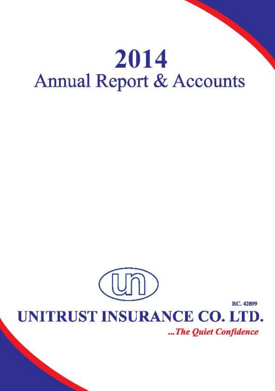# 2014 **Annual Report & Accounts**



UNITRUST INSURANCE CO. LTD.

...The Quiet Confidence

**RC.** 42899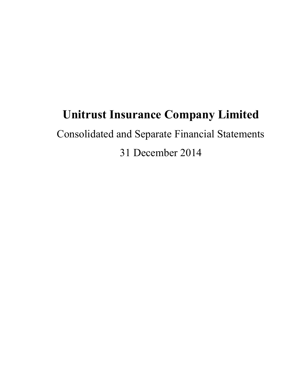## **Unitrust Insurance Company Limited**

Consolidated and Separate Financial Statements 31 December 2014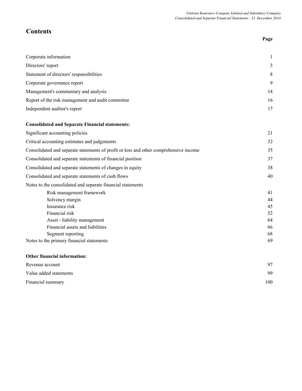**Page**

## **Contents**

| Corporate information                                                                 | 1  |
|---------------------------------------------------------------------------------------|----|
| Directors' report                                                                     | 3  |
| Statement of directors' responsibilities                                              | 8  |
| Corporate governance report                                                           | 9  |
| Management's commentary and analysis                                                  | 14 |
| Report of the risk management and audit committee                                     | 16 |
| Independent auditor's report                                                          | 17 |
| <b>Consolidated and Separate Financial statements:</b>                                |    |
| Significant accounting policies                                                       | 21 |
| Critical accounting estimates and judgements                                          | 32 |
| Consolidated and separate statements of profit or loss and other comprehensive income | 35 |
| Consolidated and separate statements of financial position                            | 37 |
| Consolidated and separate statements of changes in equity                             | 38 |
| Consolidated and separate statements of cash flows                                    | 40 |
| Notes to the consolidated and separate financial statements                           |    |
| Risk management framework                                                             | 41 |
| Solvency margin                                                                       | 44 |
| Insurance risk                                                                        | 45 |
| Financial risk                                                                        | 52 |
| Asset - liability management                                                          | 64 |
| Financial assets and liabilities                                                      | 66 |
| Segment reporting                                                                     | 68 |
| Notes to the primary financial statements                                             | 69 |
| Other financial information:                                                          |    |

| Revenue account        | 97  |
|------------------------|-----|
| Value added statements | 99  |
| Financial summary      | 100 |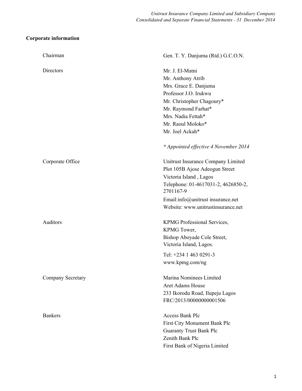## **Corporate information**

| Chairman          | Gen. T. Y. Danjuma (Rtd.) G.C.O.N.                                                                                                                                                                                               |
|-------------------|----------------------------------------------------------------------------------------------------------------------------------------------------------------------------------------------------------------------------------|
| Directors         | Mr. J. El-Matni<br>Mr. Anthony Atrib<br>Mrs. Grace E. Danjuma<br>Professor J.O. Irukwu<br>Mr. Christopher Chagoury*<br>Mr. Raymond Farhat*<br>Mrs. Nadia Fettah*<br>Mr. Raoul Moloko*<br>Mr. Joel Ackah*                         |
| Corporate Office  | * Appointed effective 4 November 2014<br>Unitrust Insurance Company Limited<br>Plot 105B Ajose Adeogun Street<br>Victoria Island, Lagos<br>Telephone: 01-4617031-2, 4626850-2,<br>2701167-9<br>Email:info@unitrust insurance.net |
| Auditors          | Website: www.unitrustinsurance.net<br>KPMG Professional Services,<br>KPMG Tower,<br>Bishop Aboyade Cole Street,<br>Victoria Island, Lagos.<br>Tel: +234 1 463 0291-3                                                             |
| Company Secretary | www.kpmg.com/ng<br>Marina Nominees Limited<br><b>Aret Adams House</b><br>233 Ikorodu Road, Ilupeju Lagos<br>FRC/2013/00000000001506                                                                                              |
| <b>Bankers</b>    | <b>Access Bank Plc</b><br>First City Monument Bank Plc<br><b>Guaranty Trust Bank Plc</b><br>Zenith Bank Plc<br>First Bank of Nigeria Limited                                                                                     |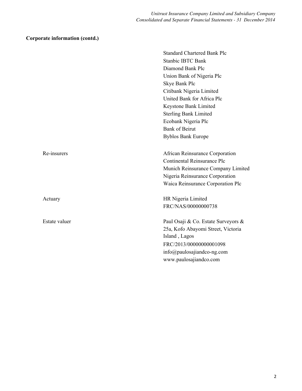## **Corporate information (contd.)**

|               | <b>Standard Chartered Bank Plc</b>  |
|---------------|-------------------------------------|
|               | <b>Stanbic IBTC Bank</b>            |
|               | Diamond Bank Plc                    |
|               | Union Bank of Nigeria Plc           |
|               | Skye Bank Plc                       |
|               | Citibank Nigeria Limited            |
|               | United Bank for Africa Plc          |
|               | Keystone Bank Limited               |
|               | <b>Sterling Bank Limited</b>        |
|               | Ecobank Nigeria Plc                 |
|               | <b>Bank of Beirut</b>               |
|               | <b>Byblos Bank Europe</b>           |
|               |                                     |
| Re-insurers   | African Reinsurance Corporation     |
|               | Continental Reinsurance Plc         |
|               | Munich Reinsurance Company Limited  |
|               | Nigeria Reinsurance Corporation     |
|               | Waica Reinsurance Corporation Plc   |
| Actuary       | HR Nigeria Limited                  |
|               | FRC/NAS/00000000738                 |
| Estate valuer | Paul Osaji & Co. Estate Surveyors & |
|               | 25a, Kofo Abayomi Street, Victoria  |
|               | Island, Lagos                       |
|               | FRC/2013/00000000001098             |
|               | info@paulosajiandco-ng.com          |
|               | www.paulosajiandco.com              |
|               |                                     |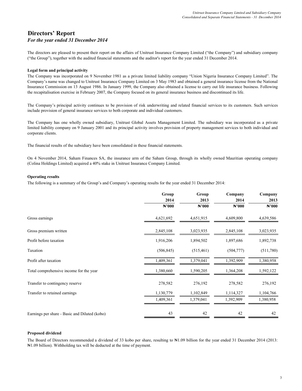## **Directors' Report** *For the year ended 31 December 2014*

The directors are pleased to present their report on the affairs of Unitrust Insurance Company Limited ("the Company") and subsidiary company ("the Group"), together with the audited financial statements and the auditor's report for the year ended 31 December 2014.

## **Legal form and principal activity**

The Company was incorporated on 9 November 1981 as a private limited liability company "Union Nigeria Insurance Company Limited". The Company's name was changed to Unitrust Insurance Company Limited on 3 May 1983 and obtained a general insurance license from the National Insurance Commission on 13 August 1986. In January 1999, the Company also obtained a license to carry out life insurance business. Following the recapitalisation exercise in February 2007, the Company focused on its general insurance business and discontinued its life.

The Company's principal activity continues to be provision of risk underwriting and related financial services to its customers. Such services include provision of general insurance services to both corporate and individual customers.

The Company has one wholly owned subsidiary, Unitrust Global Assets Management Limited. The subsidiary was incorporated as a private limited liability company on 9 January 2001 and its principal activity involves provision of property management services to both individual and corporate clients.

The financial results of the subsidiary have been consolidated in these financial statements.

On 4 November 2014, Saham Finances SA, the insurance arm of the Saham Group, through its wholly owned Mauritian operating company (Colina Holdings Limited) acquired a 40% stake in Unitrust Insurance Company Limited.

## **Operating results**

The following is a summary of the Group's and Company's operating results for the year ended 31 December 2014:

|                                               | Group<br>2014<br>$\mathbb{N}^2000$ | Group<br>2013<br>$\mathbb{N}^2000$ | Company<br>2014<br>$\mathbb{N}^2000$ | Company<br>2013<br>$\mathbb{N}^2000$ |
|-----------------------------------------------|------------------------------------|------------------------------------|--------------------------------------|--------------------------------------|
| Gross earnings                                | 4,621,692                          | 4,651,915                          | 4,609,800                            | 4,639,586                            |
| Gross premium written                         | 2,845,108                          | 3,023,935                          | 2,845,108                            | 3,023,935                            |
| Profit before taxation                        | 1,916,206                          | 1,894,502                          | 1,897,686                            | 1,892,738                            |
| Taxation                                      | (506, 845)                         | (515, 461)                         | (504, 777)                           | (511,780)                            |
| Profit after taxation                         | 1,409,361                          | 1,379,041                          | 1,392,909                            | 1,380,958                            |
| Total comprehensive income for the year       | 1,380,660                          | 1,590,205                          | 1,364,208                            | 1,592,122                            |
| Transfer to contingency reserve               | 278,582                            | 276,192                            | 278,582                              | 276,192                              |
| Transfer to retained earnings                 | 1,130,779                          | 1,102,849                          | 1,114,327                            | 1,104,766                            |
|                                               | 1,409,361                          | 1,379,041                          | 1,392,909                            | 1,380,958                            |
| Earnings per share - Basic and Diluted (kobo) | 43                                 | 42                                 | 42                                   | 42                                   |

## **Proposed dividend**

The Board of Directors recommended a dividend of 33 kobo per share, resulting to N1.09 billion for the year ended 31 December 2014 (2013: ₦1.09 billion). Withholding tax will be deducted at the time of payment.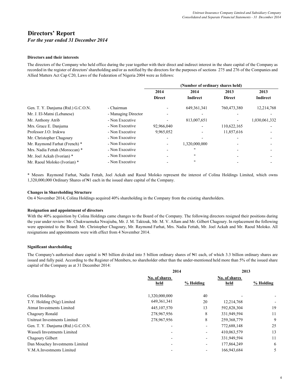## **Directors' Report**

## *For the year ended 31 December 2014*

## **Directors and their interests**

The directors of the Company who held office during the year together with their direct and indirect interest in the share capital of the Company as recorded in the register of directors' shareholding and/or as notified by the directors for the purposes of sections 275 and 276 of the Companies and Allied Matters Act Cap C20, Laws of the Federation of Nigeria 2004 were as follows:

|                                    |                     | (Number of ordinary shares held) |                 |               |                 |  |
|------------------------------------|---------------------|----------------------------------|-----------------|---------------|-----------------|--|
|                                    |                     | 2014                             | 2014            | 2013          | 2013            |  |
|                                    |                     | <b>Direct</b>                    | <b>Indirect</b> | <b>Direct</b> | <b>Indirect</b> |  |
| Gen. T. Y. Danjuma (Rtd.) G.C.O.N. | - Chairman          |                                  | 649, 361, 341   | 760,473,380   | 12,214,768      |  |
| Mr. J. El-Matni (Lebanese)         | - Managing Director |                                  |                 |               |                 |  |
| Mr. Anthony Atrib                  | - Non Executive     |                                  | 813,007,651     |               | 1,030,061,332   |  |
| Mrs. Grace E. Danjuma              | - Non Executive     | 92,966,040                       |                 | 110,622,165   |                 |  |
| Professor J.O. Irukwu              | - Non Executive     | 9,965,052                        |                 | 11,857,616    |                 |  |
| Mr. Christopher Chagoury           | - Non Executive     | -                                |                 |               |                 |  |
| Mr. Raymond Farhat (French) *      | - Non Executive     |                                  | 1,320,000,000   |               |                 |  |
| Mrs. Nadia Fettah (Moroccan) *     | - Non Executive     |                                  | 11              |               |                 |  |
| Mr. Joel Ackah (Ivorian) *         | - Non Executive     |                                  | 11              |               |                 |  |
| Mr. Raoul Moloko (Ivorian) *       | - Non Executive     |                                  | 11              |               |                 |  |

\* Messrs Raymond Farhat, Nadia Fettah, Joel Ackah and Raoul Moloko represent the interest of Colina Holdings Limited, which owns 1,320,000,000 Ordinary Shares of ₦1 each in the issued share capital of the Company.

## **Changes in Shareholding Structure**

On 4 November 2014, Colina Holdings acquired 40% shareholding in the Company from the existing shareholders.

#### **Resignation and appointment of directors**

With the 40% acquisition by Colina Holdings came changes to the Board of the Company. The following directors resigned their positions during the year under review: Mr. Chukwuemeka Nwajiuba, Mr. J. M. Taktouk, Mr. M. V. Allam and Mr. Gilbert Chagoury. In replacement the following were appointed to the Board: Mr. Christopher Chagoury, Mr. Raymond Farhat, Mrs. Nadia Fettah, Mr. Joel Ackah and Mr. Raoul Moloko. All resignations and appointments were with effect from 4 November 2014.

## **Significant shareholding**

The Company's authorised share capital is N5 billion divided into 5 billion ordinary shares of N1 each, of which 3.3 billion ordinary shares are issued and fully paid. According to the Register of Members, no shareholder other than the under-mentioned held more than 5% of the issued share capital of the Company as at 31 December 2014:

|                                    | 2014          |           | 2013          |           |
|------------------------------------|---------------|-----------|---------------|-----------|
|                                    | No. of shares |           | No. of shares |           |
|                                    | held          | % Holding | held          | % Holding |
|                                    |               |           |               |           |
| Colina Holdings                    | 1,320,000,000 | 40        |               |           |
| T.Y. Holding (Nig) Limited         | 649, 361, 341 | 20        | 12,214,768    |           |
| <b>Atmat Investments Limited</b>   | 445, 107, 570 | 13        | 592,828,304   | 19        |
| Chagoury Ronald                    | 278,967,956   | 8         | 331,949,594   | 11        |
| Unitrust Investments Limited       | 278,967,956   | 8         | 259, 368, 779 | 9         |
| Gen. T. Y. Danjuma (Rtd.) G.C.O.N. |               |           | 772,688,148   | 25        |
| Wasseli Investments Limited        |               |           | 410,063,579   | 13        |
| Chagoury Gilbert                   |               | -         | 331,949,594   | 11        |
| Dan Mouchey Investments Limited    |               | -         | 177,864,249   | 6         |
| V.M.A.Investments Limited          |               |           | 166,943,684   | 5         |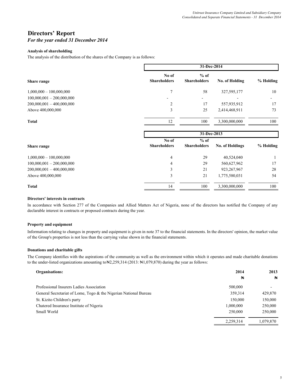## **Directors' Report**

## *For the year ended 31 December 2014*

## **Analysis of shareholding**

The analysis of the distribution of the shares of the Company is as follows:

|                             | 31-Dec-2014                  |                               |                        |           |  |
|-----------------------------|------------------------------|-------------------------------|------------------------|-----------|--|
| Share range                 | No of<br><b>Shareholders</b> | $%$ of<br><b>Shareholders</b> | <b>No. of Holding</b>  | % Holding |  |
| $1,000,000 - 100,000,000$   | $\overline{7}$               | 58                            | 327,595,177            | 10        |  |
| $100,000,001 - 200,000,000$ |                              |                               |                        |           |  |
| $200,000,001 - 400,000,000$ | 2                            | 17                            | 557,935,912            | 17        |  |
| Above 400,000,000           | 3                            | 25                            | 2,414,468,911          | 73        |  |
| <b>Total</b>                | 12                           | 100                           | 3,300,000,000          | 100       |  |
|                             |                              | 31-Dec-2013                   |                        |           |  |
|                             | No of                        | $%$ of                        |                        |           |  |
| Share range                 | <b>Shareholders</b>          | <b>Shareholders</b>           | <b>No. of Holdings</b> | % Holding |  |
| $1,000,000 - 100,000,000$   | 4                            | 29                            | 40,524,040             |           |  |
| $100,000,001 - 200,000,000$ | 4                            | 29                            | 560,627,962            | 17        |  |
| $200,000,001 - 400,000,000$ | 3                            | 21                            | 923, 267, 967          | 28        |  |
| Above 400,000,000           | 3                            | 21                            | 1,775,580,031          | 54        |  |
| <b>Total</b>                | 14                           | 100                           | 3,300,000,000          | 100       |  |

## **Directors' interests in contracts**

In accordance with Section 277 of the Companies and Allied Matters Act of Nigeria, none of the directors has notified the Company of any declarable interest in contracts or proposed contracts during the year.

## **Property and equipment**

Information relating to changes in property and equipment is given in note 37 to the financial statements. In the directors' opinion, the market value of the Group's properties is not less than the carrying value shown in the financial statements.

## **Donations and charitable gifts**

The Company identifies with the aspirations of the community as well as the environment within which it operates and made charitable donations to the under-listed organizations amounting to  $\frac{12,259,314}{2013}$ :  $\frac{11,079,870}{201}$  during the year as follows:

| Organisations:                                                   | 2014      | 2013         |
|------------------------------------------------------------------|-----------|--------------|
|                                                                  | N         | $\mathbb{N}$ |
| Professional Insurers Ladies Association                         | 500,000   | -            |
| General Secretariat of Lome, Togo & the Nigerian National Bureau | 359,314   | 429,870      |
| St. Kizito Children's party                                      | 150,000   | 150,000      |
| Chatered Insurance Institute of Nigeria                          | 1,000,000 | 250,000      |
| Small World                                                      | 250,000   | 250,000      |
|                                                                  | 2.259.314 | 1.079.870    |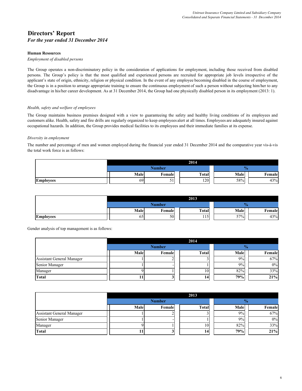## **Directors' Report** *For the year ended 31 December 2014*

## **Human Resources**

### *Employment of disabled persons*

The Group operates a non-discriminatory policy in the consideration of applications for employment, including those received from disabled persons. The Group's policy is that the most qualified and experienced persons are recruited for appropriate job levels irrespective of the applicant's state of origin, ethnicity, religion or physical condition. In the event of any employee becoming disabled in the course of employment, the Group is in a position to arrange appropriate training to ensure the continuous employment of such a person without subjecting him/her to any disadvantage in his/her career development. As at 31 December 2014, the Group had one physically disabled person in its employment (2013: 1).

## *Health, safety and welfare of employees*

The Group maintains business premises designed with a view to guaranteeing the safety and healthy living conditions of its employees and customers alike. Health, safety and fire drills are regularly organized to keep employees alert at all times. Employees are adequately insured against occupational hazards. In addition, the Group provides medical facilities to its employees and their immediate families at its expense.

## *Diversity in employment*

The number and percentage of men and women employed during the financial year ended 31 December 2014 and the comparative year vis-à-vis the total work force is as follows:

|                  |      |                                | 2014         |      |        |
|------------------|------|--------------------------------|--------------|------|--------|
|                  |      | <b>Number</b>                  |              | 70   |        |
|                  | Male | Female                         | <b>Total</b> | Male | Female |
| <b>Employees</b> | 69   | $\blacksquare$<br>$\checkmark$ | 120          | 58%  | 43%    |

|                  |      |               | 2013         |      |        |
|------------------|------|---------------|--------------|------|--------|
|                  |      | <b>Number</b> |              | %    |        |
|                  | Male | Female        | <b>Total</b> | Male | Female |
| <b>Employees</b> | 65   | 50            | 115          | 57%  | 43%    |

Gender analysis of top management is as follows:

|                                  |      |               | 2014            |      |               |        |
|----------------------------------|------|---------------|-----------------|------|---------------|--------|
|                                  |      | <b>Number</b> |                 |      | $\frac{0}{2}$ |        |
|                                  | Male | Female        | <b>Total</b>    | Male |               | Female |
| <b>Assistant General Manager</b> |      |               |                 | 9%   |               | 67%    |
| Senior Manager                   |      |               |                 | 9%   |               | 0%     |
| Manager                          |      |               | 10              | 82%  |               | 33%    |
| <b>Total</b>                     |      |               | 14 <sub>1</sub> | 79%  |               | 21%    |

|                                  | 2013                           |  |  |    |               |  |        |
|----------------------------------|--------------------------------|--|--|----|---------------|--|--------|
|                                  | <b>Number</b>                  |  |  |    | $\frac{0}{2}$ |  |        |
|                                  | Male<br><b>Total</b><br>Female |  |  |    | Male          |  | Female |
| <b>Assistant General Manager</b> |                                |  |  |    | 9%            |  | 67%    |
| Senior Manager                   |                                |  |  |    | 9%            |  | 0%     |
| Manager                          |                                |  |  | 10 | 82%           |  | 33%    |
| <b>Total</b>                     |                                |  |  | 14 | 79%           |  | 21%    |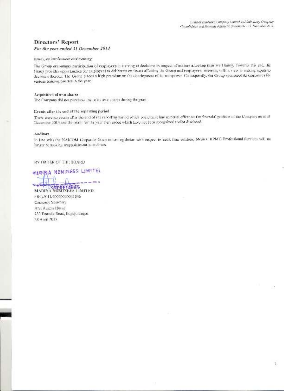## **Directors' Report** For the year ended 31 December 2014

### Employee lovelyendat and program

The Group encourages participation of couployees in serving at decisions in respect allucators allocang moir well being. Towards this end, the Citaten provides opportuncties for employees to deliberate on issues affecting the Group and cooployees' interests, with a view to making inputs to decisions thereon. The Group places a high premium on the doorlopment of its manpower. Canasquerdly, the Orang sponsored its employees for various training, courses in the year.

#### Aequisition of own shares-

The Company did not purchase my of its own shares during the year.

## Events after the end of the reporting period

There were no events after the cod of the reporting period which could have had material effect on the financial position of the Company as at 31 December 2014 and the profit for the year then ended which have not been recognized and/or disclosed.

#### Auditors

In line with the NAICOM Corporate Governance regulation with respect to audit firm retalion, Messrs. KPMG Professional Services will no langer be socking reappointment as andirars.

## BY ORDER OF THE BOARD

**WARINA NOMINEES LIMITEL** MARINA NONLYLES LIMITED

FRC:2013/00000000001506 Company Secretary Aret Adams House 233 Traroda Ruad, Hupeju Lagos 28 April 2015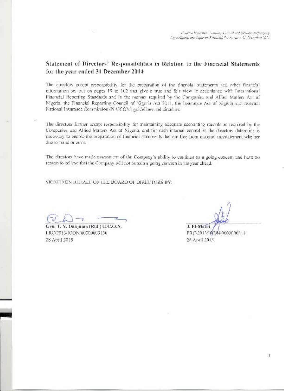## Statement of Directors' Responsibilities in Relation to the Financial Statements for the year ended 31 December 2014

The directors accept responsibility for the preparation of the tinancial statements and other financial information set out on pages 19 to 102 that give a true and fair view in accordance with International Financial Reporting Standards and in the manner required by the Companies and Allied Matlers Act of Nigeria, the Financial Reporting Council of Nigeria Act 2011, the Insurance Act of Nigeria and relevant National Insurance Commission (NAICOM) guidelines and circulars.

The directors further accept responsibility for maintaining adequate accounting records as required by the Companies and Allied Matters Act of Nigeria, and for such internal control as the directors determine is necessary to enable the preparation of financial statements that are free from material misstatement whether due to fraud or error.

The directors have made assessment of the Company's ability to continue as a going concern and have no reason to believe that the Company will not remain a going concern in the year ahead.

SIGNED ON BLITALF OF THE BOARD OF DIRECTORS BY:

Gen. 1. Y. Danjuma (Rtd.) G.C.O.N. 1 RC/2013/IODN/00000003130 28 April 2015

J. El-Matni

FRC/2013/IQDA-0000000313 28 April 2015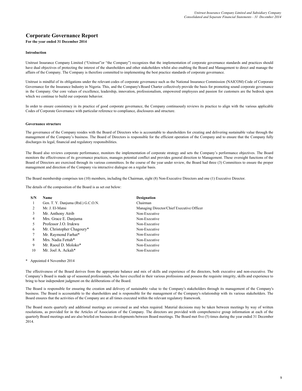**For the year ended 31 December 2014**

#### **Introduction**

Unitrust Insurance Company Limited ("Unitrust"or "the Company") recognizes that the implementation of corporate governance standards and practices should have dual objectives of protecting the interest of the shareholders and other stakeholders whilst also enabling the Board and Management to direct and manage the affairs of the Company. The Company is therefore committed to implementing the best practice standards of corporate governance.

Unitrust is mindful of its obligations under the relevant codes of corporate governance such as the National Insurance Commission (NAICOM) Code of Corporate Governance for the Insurance Industry in Nigeria. This, and the Company's Board Charter collectively provide the basis for promoting sound corporate governance in the Company. Our core values of excellence, leadership, innovation, professionalism, empowered employees and passion for customers are the bedrock upon which we continue to build our corporate behavior.

In order to ensure consistency in its practice of good corporate governance, the Company continuously reviews its practice to align with the various applicable Codes of Corporate Governance with particular reference to compliance, disclosures and structure.

#### **Governance structure**

The governance of the Company resides with the Board of Directors who is accountable to shareholders for creating and delivering sustainable value through the management of the Company's business. The Board of Directors is responsible for the efficient operation of the Company and to ensure that the Company fully discharges its legal, financial and regulatory responsibilities.

The Board also reviews corporate performance, monitors the implementation of corporate strategy and sets the Company's performance objectives. The Board monitors the effectiveness of its governance practices, manages potential conflict and provides general direction to Management. These oversight functions of the Board of Directors are exercised through its various committees. In the course of the year under review, the Board had three (3) Committees to ensure the proper management and direction of the Company via interactive dialogue on a regular basis.

The Board membership comprises ten (10) members, including the Chairman, eight (8) Non-Executive Directors and one (1) Executive Director.

The details of the composition of the Board is as set out below:

| S/N | <b>Name</b>                        | <b>Designation</b>                        |
|-----|------------------------------------|-------------------------------------------|
|     | Gen. T. Y. Danjuma (Rtd.) G.C.O.N. | Chairman                                  |
| 2   | Mr. J. El-Matni                    | Managing Director/Chief Executive Officer |
| 3   | Mr. Anthony Atrib                  | Non-Executive                             |
| 4   | Mrs. Grace E. Danjuma              | Non-Executive                             |
| 5   | Professor J.O. Irukwu              | Non-Executive                             |
| 6   | Mr. Christopher Chagoury*          | Non-Executive                             |
| 7   | Mr. Raymond Farhat*                | Non-Executive                             |
| 8   | Mrs. Nadia Fettah*                 | Non-Executive                             |
| 9   | Mr. Raoul D. Moloko*               | Non-Executive                             |
| 10  | Mr. Joel A. Ackah*                 | Non-Executive                             |

#### \* Appointed 4 November 2014

The effectiveness of the Board derives from the appropriate balance and mix of skills and experience of the directors, both executive and non-executive. The Company's Board is made up of seasoned professionals, who have excelled in their various professions and possess the requisite integrity, skills and experience to bring to bear independent judgment on the deliberations of the Board.

The Board is responsible for ensuring the creation and delivery of sustainable value to the Company's stakeholders through its management of the Company's business. The Board is accountable to the shareholders and is responsible for the management of the Company's relationship with its various stakeholders. The Board ensures that the activities of the Company are at all times executed within the relevant regulatory framework.

The Board meets quarterly and additional meetings are convened as and when required. Material decisions may be taken between meetings by way of written resolutions, as provided for in the Articles of Association of the Company. The directors are provided with comprehensive group information at each of the quarterly Board meetings and are also briefed on business developments between Board meetings. The Board met five (5) times during the year ended 31 December 2014.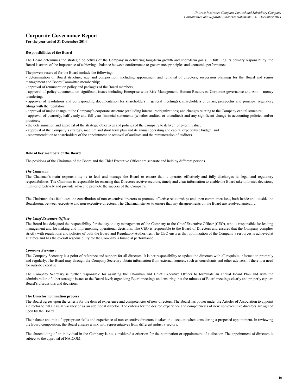#### **For the year ended 31 December 2014**

#### **Responsibilities of the Board**

The Board determines the strategic objectives of the Company in delivering long-term growth and short-term goals. In fulfilling its primary responsibility, the Board is aware of the importance of achieving a balance between conformance to governance principles and economic performance.

The powers reserved for the Board include the following:

- determination of Board structure, size and composition, including appointment and removal of directors, succession planning for the Board and senior management and Board Committee membership;

- approval of remuneration policy and packages of the Board members;

- approval of policy documents on significant issues including Enterprise-wide Risk Management, Human Resources, Corporate governance and Anti – money laundering;

- approval of resolutions and corresponding documentation for shareholders in general meeting(s), shareholders circulars, prospectus and principal regulatory filings with the regulators.

- approval of major change to the Company's corporate structure (excluding internal reorganizations) and changes relating to the Company capital structure;

- approval of quarterly, half-yearly and full year financial statements (whether audited or unaudited) and any significant change in accounting policies and/or practices;

- the determination and approval of the strategic objectives and policies of the Company to deliver long-term value;

- approval of the Company's strategy, medium and short term plan and its annual operating and capital expenditure budget; and

- recommendation to shareholders of the appointment or removal of auditors and the remuneration of auditors.

#### **Role of key members of the Board**

The positions of the Chairman of the Board and the Chief Executive Officer are separate and held by different persons.

#### *The Chairman*

The Chairman's main responsibility is to lead and manage the Board to ensure that it operates effictively and fully discharges its legal and regulatory responsibilities. The Chairman is responsible for ensuring that Directors receive accurate, timely and clear information to enable the Board take informed decisions, monitor effectively and provide advice to promote the success of the Company.

The Chairman also facilitates the contribution of non-executive directors to promote effective relationships and open communications, both inside and outside the Boardroom, between executive and non-executive directors. The Chairman strives to ensure that any disagreements on the Board are resolved amicably.

#### *The Chief Executive Officer*

The Board has delegated the responsibility for the day-to-day management of the Company to the Chief Executive Officer (CEO), who is responsible for leading management and for making and implementing operational decisions. The CEO is responsible to the Board of Directors and ensures that the Company complies strictly with regulations and policies of both the Board and Regulatory Authorities. The CEO ensures that optimization of the Company's resources is achieved at all times and has the overall responsibility for the Company's financial performance.

#### *Company Secretary*

The Company Secretary is a point of reference and support for all directors. It is her responsibility to update the directors with all requisite information promptly and regularly. The Board may through the Company Secretary obtain information from external sources, such as consultants and other advisers, if there is a need for outside expertise.

The Company Secretary is further responsible for assisting the Chairman and Chief Executive Officer to formulate an annual Board Plan and with the administration of other strategic issues at the Board level; organizing Board meetings and ensuring that the minutes of Board meetings clearly and properly capture Board's discussions and decisions.

#### **The Director nomination process**

The Board agrees upon the criteria for the desired experience and competencies of new directors. The Board has power under the Articles of Association to appoint a director to fill a casual vacancy or as an additional director. The criteria for the desired experience and competencies of new non-executive directors are agreed upon by the Board.

The balance and mix of appropriate skills and experience of non-executive directors is taken into account when considering a proposed appointment. In reviewing the Board composition, the Board ensures a mix with representatives from different industry sectors.

The shareholding of an individual in the Company is not considered a criterion for the nomination or appointment of a director. The appointment of directors is subject to the approval of NAICOM.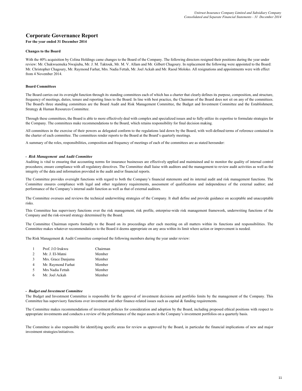#### **For the year ended 31 December 2014**

#### **Changes to the Board**

With the 40% acquisition by Colina Holdings came changes to the Board of the Company. The following directors resigned their positions during the year under review: Mr. Chukwuemeka Nwajiuba, Mr. J. M. Taktouk, Mr. M. V. Allam and Mr. Gilbert Chagoury. In replacement the following were appointed to the Board: Mr. Christopher Chagoury, Mr. Raymond Farhat, Mrs. Nadia Fettah, Mr. Joel Ackah and Mr. Raoul Moloko. All resignations and appointments were with effect from 4 November 2014.

#### **Board Committees**

The Board carries out its oversight function through its standing committees each of which has a charter that clearly defines its purpose, composition, and structure, frequency of meetings, duties, tenure and reporting lines to the Board. In line with best practice, the Chairman of the Board does not sit on any of the committees. The Board's three standing committees are the Board Audit and Risk Management Committee, the Budget and Investment Committee and the Establishment, Strategy & Human Resources Committee.

Through these committees, the Board is able to more effectively deal with complex and specialized issues and to fully utilize its expertise to formulate strategies for the Company. The committees make recommendations to the Board, which retains responsibility for final decision making.

All committees in the exercise of their powers as delegated conform to the regulations laid down by the Board, with well-defined terms of reference contained in the charter of each committee. The committees render reports to the Board at the Board's quarterly meetings.

A summary of the roles, responsibilities, composition and frequency of meetings of each of the committees are as stated hereunder:

#### *- Risk Management and Audit Committee*

Auditing is vital to ensuring that accounting norms for insurance businesses are effectively applied and maintained and to monitor the quality of internal control procedures; ensure compliance with all regulatory directives. The Committee shall liaise with auditors and the management to review audit activities as well as the integrity of the data and information provided in the audit and/or financial reports.

The Committee provides oversight functions with regard to both the Company's financial statements and its internal audit and risk management functions. The Committee ensures compliance with legal and other regulatory requirements, assessment of qualifications and independence of the external auditor; and performance of the Company's internal audit function as well as that of external auditors.

The Committee oversees and reviews the technical underwriting strategies of the Company. It shall define and provide guidance on acceptable and unacceptable risks.

This Committee has supervisory functions over the risk management, risk profile, enterprise-wide risk management framework, underwriting functions of the Company and the risk-reward strategy determined by the Board.

The Committee Chairman reports formally to the Board on its proceedings after each meeting on all matters within its functions and responsibilities. The Committee makes whatever recommendations to the Board it deems appropriate on any area within its limit where action or improvement is needed.

The Risk Management & Audit Committee comprised the following members during the year under review:

|               | Prof. J.O Irukwu   | Chairman |
|---------------|--------------------|----------|
| $\mathcal{D}$ | Mr. J. El-Matni    | Member   |
| 3             | Mrs. Grace Danjuma | Member   |
| 4             | Mr. Raymond Farhat | Member   |
| 5             | Mrs Nadia Fettah   | Member   |

6 Member Mr. Joel Ackah

#### *- Budget and Investment Committee*

The Budget and Investment Committee is responsible for the approval of investment decisions and portfolio limits by the management of the Company. This Committee has supervisory functions over investment and other finance-related issues such as capital & funding requirements.

The Committee makes recommendations of investment policies for consideration and adoption by the Board, including proposed ethical positions with respect to appropriate investments and conducts a review of the performance of the major assets in the Company's investment portfolios on a quarterly basis.

The Committee is also responsible for identifying specific areas for review as approved by the Board, in particular the financial implications of new and major investment strategies/initiatives.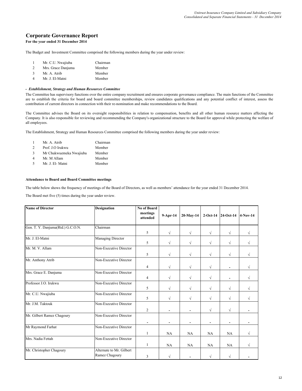**For the year ended 31 December 2014**

The Budget and Investment Committee comprised the following members during the year under review:

|               | Mr. C.U. Nwajiuba  | Chairman |
|---------------|--------------------|----------|
| 2             | Mrs. Grace Danjuma | Member   |
| $\mathcal{F}$ | Mr. A. Atrib       | Member   |
| 4             | Mr. J. El-Matni    | Member   |

#### *- Establishment, Strategy and Human Resources Committee*

The Committee has supervisory functions over the entire company recruitment and ensures corporate governance compliance. The main functions of the Committee are to establish the criteria for board and board committee memberships, review candidates qualifications and any potential conflict of interest, assess the contribution of current directors in connection with their re-nomination and make recommendations to the Board.

The Committee advises the Board on its oversight responsibilities in relation to compensation, benefits and all other human resource matters affecting the Company. It is also responsible for reviewing and recommending the Company's organizational structure to the Board for approval while protecting the welfare of all employees.

The Establishment, Strategy and Human Resources Committee comprised the following members during the year under review:

|               | Mr. A. Atrib            | Chairman |
|---------------|-------------------------|----------|
| $\mathcal{D}$ | Prof. J.O Irukwu        | Member   |
| 3             | Mr Chukwuemeka Nwajiuba | Member   |
| 4             | Mr. M Allam             | Member   |
| 5             | Mr. J. El-Matni         | Member   |

#### **Attendance to Board and Board Committee meetings**

The table below shows the frequency of meetings of the Board of Directors, as well as members' attendance for the year ended 31 December 2014.

The Board met five (5) times during the year under review.

| <b>Name of Director</b>           | <b>Designation</b>                         | <b>No of Board</b><br>meetings<br>attended | $9-Apr-14$ | 20-May-14  |           | 2-Oct-14 24-Oct-14 | $4-Nov-14$ |
|-----------------------------------|--------------------------------------------|--------------------------------------------|------------|------------|-----------|--------------------|------------|
| Gen. T. Y. Danjuma(Rtd.) G.C.O.N. | Chairman                                   | 5                                          | $\sqrt{}$  | $\sqrt{}$  | $\sqrt{}$ | $\sqrt{}$          | $\sqrt{}$  |
| Mr. J. El-Matni                   | <b>Managing Director</b>                   | 5                                          | $\sqrt{}$  | $\sqrt{}$  | $\sqrt{}$ | $\sqrt{}$          | $\sqrt{}$  |
| Mr. M. V. Allam                   | Non-Executive Director                     | 5                                          | $\sqrt{}$  | √          | $\sqrt{}$ | $\sqrt{}$          | $\sqrt{}$  |
| Mr. Anthony Atrib                 | Non-Executive Director                     | $\overline{4}$                             | $\sqrt{}$  | $\sqrt{}$  | $\sqrt{}$ |                    | $\sqrt{}$  |
| Mrs. Grace E. Danjuma             | Non-Executive Director                     | 4                                          | $\sqrt{}$  | $\sqrt{}$  | $\sqrt{}$ | ٠                  | $\sqrt{}$  |
| Professor J.O. Irukwu             | Non-Executive Director                     | 5                                          | $\sqrt{}$  | $\sqrt{ }$ | $\sqrt{}$ | $\sqrt{}$          | $\sqrt{}$  |
| Mr. C.U. Nwajiuba                 | Non-Executive Director                     | 5                                          | $\sqrt{}$  | $\sqrt{ }$ | $\sqrt{}$ | $\sqrt{}$          | $\sqrt{}$  |
| Mr. J.M. Taktouk                  | Non-Executive Director                     | $\overline{2}$                             |            |            | $\sqrt{}$ | $\sqrt{}$          |            |
| Mr. Gilbert Ramez Chagoury        | Non-Executive Director                     |                                            |            |            |           | ۰                  |            |
| Mr Raymond Farhat                 | Non-Executive Director                     | 1                                          | NA         | <b>NA</b>  | NA        | NA                 | $\sqrt{}$  |
| Mrs. Nadia Fettah                 | Non-Executive Director                     | 1                                          | NA         | <b>NA</b>  | NA        | NA                 | $\sqrt{}$  |
| Mr. Christopher Chagoury          | Alternate to Mr. Gilbert<br>Ramez Chagoury | 3                                          | $\sqrt{}$  |            | $\sqrt{}$ | $\sqrt{}$          |            |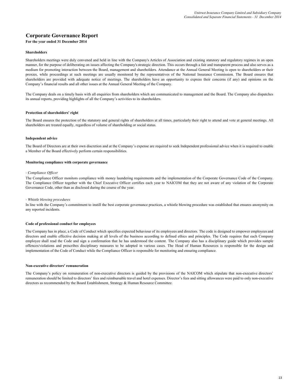#### **For the year ended 31 December 2014**

#### **Shareholders**

Shareholders meetings were duly convened and held in line with the Company's Articles of Association and existing statutory and regulatory regimes in an open manner, for the purpose of deliberating on issues affecting the Company's strategic direction. This occurs through a fair and transparent process and also serves as a medium for promoting interaction between the Board, management and shareholders. Attendance at the Annual General Meeting is open to shareholders or their proxies, while proceedings at such meetings are usually monitored by the representatives of the National Insurance Commission. The Board ensures that shareholders are provided with adequate notice of meetings. The shareholders have an opportunity to express their concerns (if any) and opinions on the Company's financial results and all other issues at the Annual General Meeting of the Company.

The Company deals on a timely basis with all enquiries from shareholders which are communicated to management and the Board. The Company also dispatches its annual reports, providing highlights of all the Company's activities to its shareholders.

#### **Protection of shareholders' right**

The Board ensures the protection of the statutory and general rights of shareholders at all times, particularly their right to attend and vote at general meetings. All shareholders are treated equally, regardless of volume of shareholding or social status.

#### **Independent advice**

The Board of Directors are at their own discretion and at the Company's expense are required to seek Independent professional advice when it is required to enable a Member of the Board effectively perform certain responsibilities.

#### **Monitoring compliance with corporate governance**

#### *- Compliance Officer*

The Compliance Officer monitors compliance with money laundering requirements and the implementation of the Corporate Governance Code of the Company. The Compliance Officer together with the Chief Executive Officer certifies each year to NAICOM that they are not aware of any violation of the Corporate Governance Code, other than as disclosed during the course of the year.

#### *- Whistle blowing procedures*

In line with the Company's commitment to instill the best corporate governance practices, a whistle blowing procedure was established that ensures anonymity on any reported incidents.

#### **Code of professional conduct for employees**

The Company has in place, a Code of Conduct which specifies expected behaviour of its employees and directors. The code is designed to empower employees and directors and enable effective decision making at all levels of the business according to defined ethics and principles. The Code requires that each Company employee shall read the Code and sign a confirmation that he has understood the content. The Company also has a disciplinary guide which provides sample offences/violations and prescribes disciplinary measures to be adopted in various cases. The Head of Human Resources is responsible for the design and implementation of the Code of Conduct while the Compliance Officer is responsible for monitoring and ensuring compliance.

#### **Non-executive directors' remuneration**

The Company's policy on remuneration of non-executive directors is guided by the provisions of the NAICOM which stipulate that non-executive directors' remuneration should be limited to directors' fees and reimbursable travel and hotel expenses. Director's fees and sitting allowances were paid to only non-executive directors as recommended by the Board Establishment, Strategy & Human Resource Committee.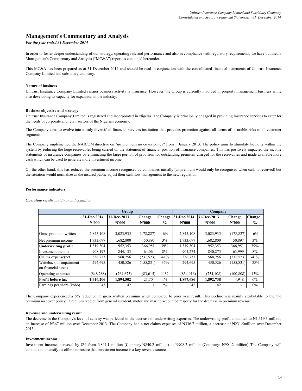## **Management's Commentary and Analysis**

## *For the year ended 31 December 2014*

In order to foster deeper understanding of our strategy, operating risk and performance and also in compliance with regulatory requirements, we have outlined a Management's Commentary and Analysis ("MC&A") report as contained hereunder.

This MC&A has been prepared as at 31 December 2014 and should be read in conjunction with the consolidated financial statements of Unitrust Insurance Company Limited and subsidiary company.

#### **Nature of business**

Unitrust Insurance Company Limited's major business activity is insurance. However, the Group is currently involved in property management business while also developing its capacity for expansion in the industry.

#### **Business objective and strategy**

Unitrust Insurance Company Limited is registered and incorporated in Nigeria. The Company is principally engaged in providing insurance services to cater for the needs of corporate and retail sectors of the Nigerian economy.

The Company aims to evolve into a truly diversified financial services institution that provides protection against all forms of insurable risks to all customer segments.

The Company implemented the NAICOM directive on "no premium no cover policy" from 1 January 2013. The policy aims to stimulate liquidity within the system by reducing the huge receivables being carried on the statement of financial position of insurance companies. This has positively impacted the income statements of insurance companies by eliminating the large portion of provision for outstanding premium charged for the receivables and made available more cash which can be used to generate more investment income.

On the other hand, this has reduced the premium income recognised by companies initially (as premium would only be recognised when cash is received) but the situation would normalize as the insured public adjust their cashflow management to the new regulation.

#### **Performance indicators**

*Operating results and financial condition*

|                                                | <b>Group</b>       |                    |                    |               | Company            |             |                    |               |  |
|------------------------------------------------|--------------------|--------------------|--------------------|---------------|--------------------|-------------|--------------------|---------------|--|
|                                                | 31-Dec-2014        | 31-Dec-2013        | Change             | Change        | 31-Dec-2014        | 31-Dec-2013 | Change             | Change        |  |
|                                                | $\mathbb{N}^{000}$ | $\mathbb{N}^{000}$ | $\mathbb{N}^{000}$ | $\frac{0}{0}$ | $\mathbb{N}^{000}$ | N'000       | $\mathbb{N}^{000}$ | $\frac{6}{9}$ |  |
|                                                |                    |                    |                    |               |                    |             |                    |               |  |
| Gross premium written                          | 2,845,108          | 3,023,935          | (178, 827)         | $-6\%$        | 2,845,108          | 3,023,935   | (178, 827)         | $-6\%$        |  |
| Net premium income                             | 1,733,697          | 1,682,800          | 50,897             | 3%            | 1,733,697          | 1,682,800   | 50,897             | 3%            |  |
| <b>Underwriting profit</b>                     | 1,319,304          | 952,353            | 366,951            | 39%           | 1,319,304          | 952,353     | 366,951            | 39%           |  |
| Investment income                              | 908,197            | 844,133            | 64,064             | 8%            | 904,274            | 840,275     | 63,999             | 8%            |  |
| Claims expense(net)                            | 336,733            | 568,256            | (231, 523)         | $-41%$        | 336,733            | 568,256     | (231, 523)         | $-41%$        |  |
| Writeback of impairment<br>on financial assets | 294,695            | 450,526            | (155, 831)         | $-35%$        | 294,695            | 450,526     | (155, 831)         | $-35%$        |  |
|                                                |                    |                    |                    | 11%           | (854, 916)         |             |                    | 13%           |  |
| Operating expenses                             | (848, 288)         | (764, 673)         | (83, 615)          |               |                    | (754, 108)  | (100, 808)         |               |  |
| Profit before tax                              | 1,916,206          | 1,894,502          | 21,704             | $1\%$         | 1,897,686          | 1,892,738   | 4,948              | $0\%$         |  |
| Earnings per share (kobo)                      | 43                 | 42                 |                    | $2\%$         | 42                 | 42          |                    | $0\%$         |  |

The Company experienced a 6% reduction in gross written premium when compared to prior year result. This decline was mainly attributable to the "no premium no cover policy". Premium receipt from general accident, motor and marine accounted majorly for the decrease in premium revenue.

#### **Revenue and underwriting result**

The decrease in the Company's level of activity was reflected in the decrease of underwriting expenses. The underwriting profit amounted to #1,319.3 million, an increase of ₦367 million over December 2013. The Company had a net claims expenses of ₦336.7 million, a decrease of ₦231.5million over December 2013.

#### **Investment income**

Investment income increased by 8% from N844.1 miliion (Company:N840.2 million) to N908.2 million (Company: N904.2 miliion) The Company will continue to intensify its efforts to ensure that investment income is a key revenue source.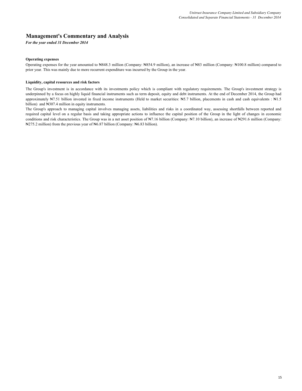## **Management's Commentary and Analysis**

*For the year ended 31 December 2014*

#### **Operating expenses**

Operating expenses for the year amounted to ₦848.3 million (Company: ₦854.9 million), an increase of ₦83 million (Company: ₦100.8 million) compared to prior year. This was mainly due to more recurrent expenditure was incurred by the Group in the year.

### **Liquidity, capital resources and risk factors**

The Group's investment is in accordance with its investments policy which is compliant with regulatory requirements. The Group's investment strategy is underpinned by a focus on highly liquid financial instruments such as term deposit, equity and debt instruments. At the end of December 2014, the Group had approximately ₦7.51 billion invested in fixed income instruments (Held to market securities: ₦5.7 billion, placements in cash and cash equivalents : ₦1.5 billion) and N307.4 million in equity instruments.

The Group's approach to managing capital involves managing assets, liabilities and risks in a coordinated way, assessing shortfalls between reported and required capital level on a regular basis and taking appropriate actions to influence the capital position of the Group in the light of changes in economic conditions and risk characteristics. The Group was in a net asset position of  $N7.16$  billion (Company:  $N7.10$  billion), an increase of N291.6 million (Company: ₦275.2 million) from the previous year of ₦6.87 billion (Company: ₦6.83 billion).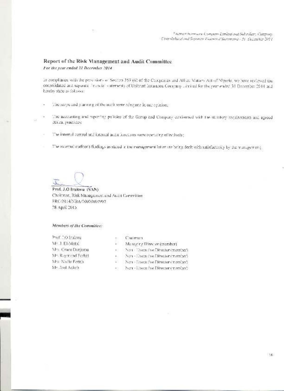## Report of the Risk Management and Audit Committee

For the year ended 31 December 2014

In compliance with the provisions of Section 359 (6) of the Campanies and Albem Matters Act of Nigeria, we have reviewed the consolidated and separate Francial statements of Unitrust Insurance Countary Limited for the year ended 31 December 2014 and hereby state as follows:

- The scepe and planning of the audit were adequate in our opinion, ä,
- The accounting and reporting policies of the Group and Company conformed with the struttery requirements and agreed ÷. ethical practices:
- The internal control and internal audit functions were operating effectively;  $\sim$
- The external suditor's findings as stated in the management letter are being dealt with satisfactorily by the management;

Prof. J.O Irukwa (SAN) Cheltman, Risk Management and Audit Committee. FRC/2014/NBA/00000007997 28 April 2015

## Members of the Committee:

wakef.CC. Yers Mr. J. El-Mathi Mrs. Crace Danjuma. Mr. Raymond Farbat Mrs. Nacia Fertsh. Mr. Joel Ackah

- Catrona
- Managing Director (member).
- Non-Hiseculive Director (mention). έö,
- Non Dream's ve Director (member).
- Non-Diseastive Director (member) 88
- 
- Non-Executive Director (member)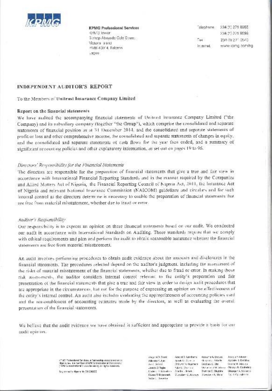

**KPMG Professional Services** OPM G Toward Bishop Aboyade Cole Street: Victoria issuo PMB 40014, Falamo Lagos:

anodosi 234 (1) 271 8965 234 (1) 271 8599  $T_{\rm SN}$ 234 (1) 271 0540 loternet. www.komplearving.

## **INDEPENDENT AUDITOR'S REPORT**

## To the Members of Unitrust Insurance Company Limited

### Report on the financial statements

We have andited the accompanying financial statements of Uniterst Insurance Company Limited ("the Company) and its subsidiary company (together "the Group"), which comprise the consolidated and separate statements of financial position as at 31 December 2014, and the consolidated and separate statements of neofit or loss and other comprehensive income, the consolidated and separate statements of changes in equily, and the consolidated and separate statements of cash flows for the year fren ended, and a summary of significant accounting policies and other explanatory information, as set out on pages 19 to 96.

## Directors' Responsibility for the Financial Statements

The directors are responsible for the preparation of financial statements that give a true and lair view in accordance with International Financial Reporting Standards and in the manner required by the Companies and Allied Motters Act of Nigeria, the Financial Reporting Council of Nigeria Act, 2011, the Insurance Act of Nigeria and relevant National Insurance Commission (NAICOM) guidelines and circulars and for such internal control as the directors determine is necessary to enable the preparation of financial statements that are free from material misstatement, whether due to traud or error.

#### Auditor's Responsibility

Our responsibility is to express an opinion on these financial statements hased on our audit. We conducted our audit in accordance with International Standards on Auditing. Those standards require that we comply with othical requirements and plan and perform the audit to phtain reasonable assurance whether the financial statements are free from material misstatement.

An audit involves performing procedures to obtain andit evidence about the amounts and disclosures in the financial statements. The procedures selected depend on the auditor's judgment, including the assessment of the risks of material misstatement of the financial statements, whether due to fraud or error. In making those risk assessments, the auditor considers internal control relevant to the entity's preparation and fair presentation of the financial statements that give a true and fair view in order to design andit procedures that are appropriate in the circumstances, hat not for the purpose of expressing an opinion on the effectiveness of the entity's internal control. An audit also includes evaluating the appropriateness of accounting policies used and the reasonableness of accounting estimates made by the directors, as well as evaluating the overal. presentation of the financial statements.

We believe that the audit evidence we have obtained is sufficient and appropriate to provide a basis for our audit upinam.

> CTMC Professional Services: a Partnership established under-Signs when it is member of MWG (stamphoral Cooperation)<br>(1996) Signs wide of 1 and change of sights move with

Registración Migera No. 201206000

Varyant D. Sanné :  $3.51 \pm 3.7$   $\lambda$   $\lambda$ (a)  $\alpha$ Record S. Lamiterry - Romania & Electric Adentic Alan Apple 0: 0 yrs.) di centis, Atlanto Acceler L. Carlisbus **Children Mikrophers** Doday, C.Oli Avril Seland Store M. Adusta We arrest Middless Obstycik Collection what Circum. Maio Burica Cader: Ládamher Daola Jawa, Diamont Di Obytoka Okeayur 4. Schartz Chase Tillichemath - Chaseler, Children, Checke a A Shah-Doll Openheim Webs Chevrice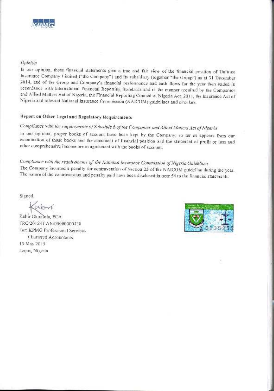

## Opinium

In our opinion, these financial statements give a true and fair view of the financial position of Unitrust Insurance Company Cimited ("the Company") and its subsidiary (together "the Group") as at 31 December 2014, and of the Group and Company's financial performance and eash flows for the year then ended in accordance with International Financial Reporting Standards and in the manner required by the Companies and Allied Matters Act of Nigeria, the Financial Reporting Council of Nigeria Act, 2011, the Insurance Act of Nigeria and relevant National Insurance Commission (NAICOM) guidelines and circulars.

## Report on Other Legal and Regulatory Requirements

## Compliance with the requirements of Schedule 6 of the Companies and Allied Matters Act of Nigerla

In our opinion, proper books of accuunt have been kept by the Company, so fur as appears from our examination of those books and the statement of financial position and the statement of profit or loss and other comprehensive income are in agreement with the books of account.

Compliance with the requirements of the National Insurance Commission of Nigeria Guideliuss The Company incurred a penalty for contravention of Section 25 of the NAICOM guideline during the year. The nature of the contravention and penalty paid have been disclosed in note 54 to the financial statements.

Signed.

Kabir Okunbola, FCA FRC/2012/ICAN/00000000428 For: KPMG Professional Services Charlered Accountants 13 May 2015 Lagos, Nigeria

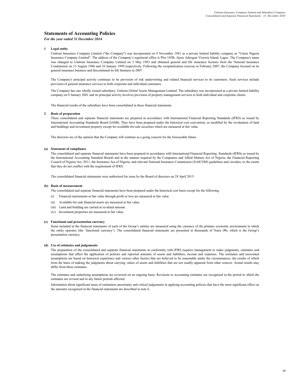#### *For the year ended 31 December 2014*

#### **1 Legal entity**

Unitrust Insurance Company Limited ("the Company") was incorporated on 9 November 1981 as a private limited liability company as "Union Nigeria Insurance Company Limited". The address of the Company's registered office is Plot 105B, Ajose Adeogun Victoria Island, Lagos. The Company's name was changed to Unitrust Insurance Company Limited on 3 May 1983 and obtained general and life insurance licenses from the National lnsurance Commission on 13 August 1986 and 10 January 1999 respectively. Following the recapitalisation exercise in February 2007, the Company focused on its general insurance business and discontinued its life business in 2007.

The Company's principal activity continues to be provision of risk underwriting and related financial services to its customers. Such services include provision of general insurance services to both corporate and individual customers.

The Company has one wholly owned subsidiary, Unitrust Global Assets Management Limited. The subsidiary was incorporated as a private limited liability company on 9 January 2001 and its principal activity involves provision of property management services to both individual and corporate clients.

The financial results of the subsidiary have been consolidated in these financial statements.

#### **2 Basis of preparation**

These consolidated and separate financial statements are prepared in accordance with International Financial Reporting Standards (IFRS) as issued by International Accounting Standards Board (IASB). They have been prepared under the historical cost convention, as modified by the revaluation of land and buildings and investment property except for available-for-sale securities which are measured at fair value.

The directors are of the opinion that the Company will continue as a going concern for the foreseeable future.

#### **(a) Statement of compliance**

The consolidated and separate financial statements have been prepared in accordance with International Financial Reporting Standards (IFRSs as issued by the International Accounting Standard Board) and in the manner required by the Companies and Allied Matters Act of Nigeria, the Financial Reporting Council of Nigeria Act, 2011, the Insurance Act of Nigeria, and relevant National Insurance Commission (NAICOM) guidelines and circulars, to the extent that they do not conflict with the requirement of IFRS.

The consolidated financial statements were authorised for issue by the Board of directors on 28 April 2015.

#### **(b) Basis of measurement**

The consolidated and separate financial statements have been prepared under the historical cost basis except for the following:

- (i) Financial instruments at fair value through profit or loss are measured at fair value
- (ii) Available-for-sale financial assets are measured at fair value.
- (iii) Land and building are carried at revalued amount.
- (iv) Investment properties are measured at fair value.

#### **(c) Functional and presentation currency**

Items included in the financial statements of each of the Group's entities are measured using the currency of the primary economic environment in which the entity operates (the 'functional currency'). The consolidated financial statements are presented in thousands of Naira (₦), which is the Group's presentation currency.

#### **(d) Use of estimates and judgements**

The preparation of the consolidated and separate financial statements in conformity with IFRS requires management to make judgments, estimates and assumptions that affect the application of policies and reported amounts of assets and liabilities, income and expenses. The estimates and associated assumptions are based on historical experience and various other factors that are believed to be reasonable under the circumstances, the results of which form the basis of making the judgments about carrying values of assets and liabilities that are not readily apparent from other sources. Actual results may differ from these estimates.

The estimates and underlying assumptions are reviewed on an ongoing basis. Revisions to accounting estimates are recognised in the period in which the estimates are revised and in any future periods affected.

Information about significant areas of estimation uncertainty and critical judgements in applying accounting policies that have the most significant effect on the amounts recognised in the financial statements are described in note 6.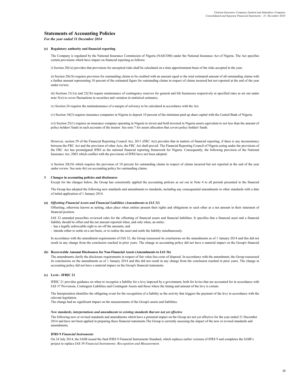*For the year ended 31 December 2014*

#### **(e) Regulatory authority and financial reporting**

The Company is regulated by the National Insurance Commission of Nigeria (NAICOM) under the National Insurance Act of Nigeria. The Act specifies certain provisions which have impact on financial reporting as follows:

i) Section 20(1a) provides that provisions for unexpired risks shall be calculated on a time apportionment basis of the risks accepted in the year;

ii) Section 20(1b) requires provision for outstanding claims to be credited with an amount equal to the total estimated amount of all outstanding claims with a further amount representing 10 percent of the estimated figure for outstanding claims in respect of claims incurred but not reported at the end of the year under review;

iii) Sections 21(1a) and 22(1b) require maintenance of contingency reserves for general and life businesses respectively at specified rates as set out under note 5(w) to cover fluctuations in securities and variation in statistical estimates;

iv) Section 24 requires the maintainenance of a margin of solvency to be calculated in accordance with the Act.

(v) Section 10(3) requires insurance companies in Nigeria to deposit 10 percent of the minimum paid up share capital with the Central Bank of Nigeria.

(vi) Section 25(1) requires an insurance company operating in Nigeria to invest and hold invested in Nigeria assets equivalent to not less than the amount of policy holders' funds in such accounts of the insurer. See note 7 for assets allocation that covers policy holders' funds.

However, section 59 of the Financial Reporting Council Act, 2011 (FRC Act) provides that in matters of financial reporting, if there is any inconsistency between the FRC Act and the provision of other Acts, the FRC Act shall prevail. The Financial Reporting Council of Nigeria acting under the provisions of the FRC Act has promulgated IFRS as the national financial reporting framework for Nigeria. Consequently, the following provision of the National Insurance Act, 2003 which conflict with the provisions of IFRS have not been adopted:

i) Section 20(1b) which requires the provision of 10 percent for outstanding claims in respect of claims incurred but not reported at the end of the year under review. See note  $4(r)$  on accounting policy for outstanding claims.

#### **3 Changes in accounting policies and disclosures**

Except for the changes below, the Group has consistently applied the accounting policies as set out in Note 4 to all periods presented in the financial

The Group has adopted the following new standards and amendments to standards, including any consequential amendments to other standards with a date of initial application of 1 January 2014.

#### **(a)** *Offsetting Financial Assets and Financial Liabilities (Amendments to IAS 32)*

Offsetting, otherwise known as netting, takes place when entities present their rights and obligations to each other as a net amount in their statement of financial position.

IAS 32 amended prescribes reviewed rules for the offsetting of financial assets and financial liabilities. It specifies that a financial asset and a financial liability should be offset and the net amount reported when, and only when, an entity:

- has a legally enforceable right to set off the amounts; and

- intends either to settle on a net basis, or to realise the asset and settle the liability simultaneously.

In accordance with the amendment requirements of IAS 32, the Group reassessed its conclusions on the amendments as of 1 January 2014 and this did not result in any change from the conclusion reached in prior years. The change in accounting policy did not have a material impact on the Group's financial

#### **(b) Recoverable Amount Disclosures for Non-Financial Assets (Amendments to IAS 36)**

The amendments clarify the disclosure requirements in respect of fair value less costs of disposal. In accordance with the amendment, the Group reassessed its conclusions on the amendments as of 1 January 2014 and this did not result in any change from the conclusion reached in prior years. The change in accounting policy did not have a material impact on the Group's financial statements.

#### **(c) Levis - IFRIC 21**

IFRIC 21 provides guidance on when to recognize a liability for a levy imposed by a government, both for levies that are accounted for in accordance with IAS 37 Provisions, Contingent Liabilities and Contingent Assets and those where the timing and amount of the levy is certain.

The Interpretation identifies the obligating event for the recognition of a liability as the activity that triggers the payment of the levy in accordance with the relevant legislation.

The change had no significant impact on the measurements of the Group's assets and liabilities.

#### *New standards, interpretations and amendments to existing standards that are not yet effective*

The following new or revised standards and amendments which have a potential impact on the Group are not yet effective for the year ended 31 December 2014 and have not been applied in preparing these financial statements.The Group is currently assessing the impact of the new or revised standards and amendments.

#### **IFRS 9** *Financial Instruments*

On 24 July 2014, the IASB issued the final IFRS 9 Financial Instruments Standard, which replaces earlier versions of IFRS 9 and completes the IASB's project to replace IAS 39 *Financial Instruments: Recognition and Measurement* .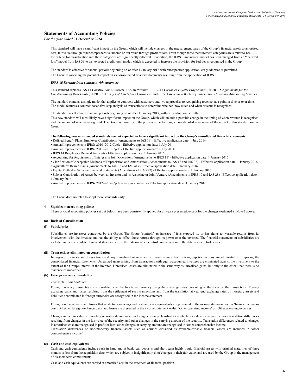#### *For the year ended 31 December 2014*

This standard will have a significant impact on the Group, which will include changes in the measurement bases of the Group's financial assets to amortised cost, fair value through other comprehensive income or fair value through profit or loss. Even though these measurement categories are similar to IAS 39, the criteria for classification into these categories are significantly different. In addition, the IFRS 9 impairment model has been changed from an "incurred loss" model from IAS 39 to an "expected credit loss" model, which is expected to increase the provision for bad debts recognised in the Group.

The standard is effective for annual periods beginning on or after 1 January 2018 with retrospective application; early adoption is permitted. The Group is assessing the potential impact on its consolidated financial statements resulting from the application of IFRS 9

#### **IFRS 15** *Revenue from contracts with customers*

This standard replaces IAS 11 *Construction Contracts*, IAS 18 *Revenue* , IFRIC 13 *Customer Loyalty Programmes*, IFRIC 15 *Agreements for the Construction of Real Estate* , IFRIC 18 T*ransfer of Assets from Customers* and SIC-31 *Revenue – Barter of Transactions Involving Advertising Services*.

The standard contains a single model that applies to contracts with customers and two approaches to recognising revenue: at a point in time or over time. The model features a contract-based five-step analysis of transactions to determine whether, how much and when revenue is recognised.

The standard is effective for annual periods beginning on or after 1 January 2017, with early adoption permitted.

This new standard will most likely have a significant impact on the Group, which will include a possible change in the timing of when revenue is recognised and the amount of revenue recognised. The Group is currently in the process of performing a more detailed assessment of the impact of this standard on the Group.

#### **The following new or amended standards are not expected to have a significant impact on the Group's consolidated financial statements:**

- ï Defined Benefit Plans: Employee Contributions (Amendments to IAS 19) Effective application date: 1 July 2014
- ï Annual Improvements to IFRSs 2010–2012 Cycle Effective application date: 1 July 2014
- ï Annual Improvements to IFRSs 2011–2013 Cycle Effective application date: 1 July 2014
- ï IFRS 14 Regulatory Deferral Accounts Effective application date: 1 January 2016.
- ï Accounting for Acquisitions of Interests in Joint Operations (Amendments to IFRS 11) Effective application date: 1 January 2016.
- ï Clarification of Acceptable Methods of Depreciation and Amortisation (Amendments to IAS 16 and IAS 38) Effective application date: 1 January 2016.
- ï Agriculture: Bearer Plants (Amendments to IAS 16 and IAS 41) Effective application date: 1 January 2016.
- ï Equity Method in Separate Financial Statements (Amendments to IAS 27) Effective application date: 1 January 2016.
- ï Sale or Contribution of Assets between an Investor and its Associate or Joint Venture (Amendments to IFRS 10 and IAS 28) Effective application date: 1 January 2016.
- Annual Improvements to IFRSs 2012–2014 Cycle various standards Effective application date: 1 January 2016.

The Group does not plan to adopt these standards early.

#### **4 Significant accounting policies**

These pricipal accounting policies set out below have been consistently applied for all years presented, except for the changes explained in Note 3 above.

#### **(a) Basis of Consolidation**

#### **(i) Subsidiaries**

Subsidiaries are investees controlled by the Group. The Group 'controls' an investee if it is exposed to, or has rights to, variable returns from its involvement with the investee and has the ability to affect those returns through its power over the investee. The financial statements of subsidiaries are included in the consolidated financial statements from the date on which control commences until the date when control ceases.

#### **(ii) Transactions eliminated on consolidation**

Intra-group balances and transactions and any unrealized income and expenses arising from intra-group transactions are eliminated in preparing the consolidated financial statements. Unrealized gains arising from transactions with equity-accounted investees are eliminated against the investment to the extent of the Group's interest in the investee. Unrealised losses are eliminated in the same way as unrealised gains, but only to the extent that there is no evidence of impairment.

#### **(b) Foreign currency translation**

*Transactions and balances*

Foreign currency transactions are translated into the functional currency using the exchange rates prevailing at the dates of the transactions. Foreign exchange gains and losses resulting from the settlement of such transactions and from the translation at year-end exchange rates of monetary assets and liabilities denominated in foreign currencies are recognised in the income statement.

Foreign exchange gains and losses that relate to borrowings and cash and cash equivalents are presented in the income statement within 'finance income or cost'. All other foreign exchange gains and losses are presented in the income statement within 'Other operating income' or 'Other operating expenses'.

Changes in the fair value of monetary securities denominated in foreign currency classified as available for sale are analysed between translation differences resulting from changes in the fair value of the security, and other changes in the carrying amount of the security. Translation differences related to changes in amortised cost are recognised in profit or loss; other changes in carrying amount are recognised in 'other comprehensive income'. Translation differences on non-monetary financial assets such as equities classified as available-for-sale financial assets are included in 'other comprehensive income'.

#### **(c) Cash and cash equivalents**

Cash and cash equivalents include cash in hand and at bank, call deposits and short term highly liquid financial assets with original maturities of three months or less from the acquisition date, which are subject to insignificant risk of changes in their fair value, and are used by the Group in the management of its short-term commitments.

Cash and cash equivalents are carried at amortised cost in the statement of financial position.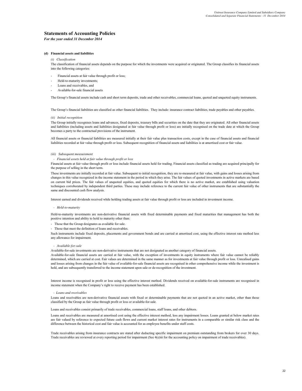*For the year ended 31 December 2014*

#### **(d) Financial assets and liabilities**

#### *(i) Classification*

The classification of financial assets depends on the purpose for which the investments were acquired or originated. The Group classifies its financial assets into the following categories:

- Financial assets at fair value through profit or loss:
- Held-to-maturity investments;
- Loans and receivables, and
- Available-for-sale financial assets

The Group's financial assets include cash and short term deposits, trade and other receivables, commercial loans, quoted and unquoted equity instruments.

The Group's financial liabilities are classified as other financial liabilities. They include: insurance contract liabilities, trade payables and other payables.

#### *(ii) Initial recognition*

The Group initially recognises loans and advances, fixed deposits, treasury bills and securities on the date that they are originated. All other financial assets and liabilities (including assets and liabilities designated at fair value through profit or loss) are initially recognised on the trade date at which the Group becomes a party to the contractual provisions of the instrument.

All financial assets or financial liabilities are measured initially at their fair value plus transaction costs, except in the case of financial assets and financial liabilities recorded at fair value through profit or loss. Subsequent recognition of financial assets and liabilities is at amortised cost or fair value.

#### *(iii) Subsequent measurement*

#### $F$ *inancial assets held at fair value through profit or loss*

Financial assets at fair value through profit or loss include financial assets held for trading. Financial assets classified as trading are acquired principally for the purpose of selling in the short term.

These investments are initially recorded at fair value. Subsequent to initial recognition, they are re-measured at fair value, with gains and losses arising from changes in this value recognized in the income statement in the period in which they arise. The fair values of quoted investments in active markets are based on current bid prices. The fair values of unquoted equities, and quoted equities for which there is no active market, are established using valuation techniques corroborated by independent third parties. These may include reference to the current fair value of other instruments that are substantially the same and discounted cash flow analysis.

Interest earned and dividends received while holding trading assets at fair value through profit or loss are included in investment income.

#### *- Held-to-maturity*

Held-to-maturity investments are non-derivative financial assets with fixed determinable payments and fixed maturities that management has both the positive intention and ability to hold to maturity other than:

- Those that the Group designates as available for sale.
- Those that meet the definition of loans and receivables.

Such instruments include fixed deposits, placements and government bonds and are carried at amortised cost, using the effective interest rate method less any allowance for impairment.

#### *- Available-for-sale*

Available-for-sale investments are non-derivative instruments that are not designated as another category of financial assets.

Available-for-sale financial assets are carried at fair value, with the exception of investments in equity instruments where fair value cannot be reliably determined, which are carried at cost. Fair values are determined in the same manner as for investments at fair value through profit or loss. Unrealised gains and losses arising from changes in the fair value of available-for-sale financial assets are recognised in other comprehensive income while the investment is held, and are subsequently transferred to the income statement upon sale or de-recognition of the investment.

Interest income is recognised in profit or loss using the effective interest method. Dividends received on available-for-sale instruments are recognised in income statement when the Company's right to receive payment has been established.

#### *- Loans and receivables*

Loans and receivables are non-derivative financial assets with fixed or determinable payments that are not quoted in an active market, other than those classified by the Group as fair value through profit or loss or available-for-sale.

Loans and receivables consist primarily of trade receivables, commercial loans, staff loans, and other debtors.

Loans and receivables are measured at amortised cost using the effective interest method, less any impairment losses. Loans granted at below market rates are fair valued by reference to expected future cash flows and current market interest rates for instruments in a comparable or similar risk class and the difference between the historical cost and fair value is accounted for as employee benefits under staff costs.

Trade receivables arising from insurance contracts are stated after deducting specific impairment on premium outstanding from brokers for over 30 days. Trade receivables are reviewed at every reporting period for impairment (See 4(e)iii for the accounting policy on impairment of trade receivables).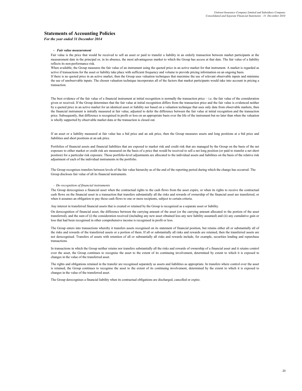#### *For the year ended 31 December 2014*

#### *- Fair value measurement*

Fair value is the price that would be received to sell an asset or paid to transfer a liability in an orderly transaction between market participants at the measurement date in the principal or, in its absence, the most advantageous market to which the Group has access at that date. The fair value of a liability reflects its non-performance risk.

When available, the Group measures the fair value of an instrument using the quoted price in an active market for that instrument. A market is regarded as active if transactions for the asset or liability take place with sufficient frequency and volume to provide pricing information on an ongoing basis. If there is no quoted price in an active market, then the Group uses valuation techniques that maximise the use of relevant observable inputs and minimise the use of unobservable inputs. The chosen valuation technique incorporates all of the factors that market participants would take into account in pricing a transaction.

The best evidence of the fair value of a financial instrument at initial recognition is normally the transaction price – i.e. the fair value of the consideration given or received. If the Group determines that the fair value at initial recognition differs from the transaction price and the fair value is evidenced neither by a quoted price in an active market for an identical asset or liability nor based on a valuation technique that uses only data from observable markets, then the financial instrument is initially measured at fair value, adjusted to defer the difference between the fair value at initial recognition and the transaction price. Subsequently, that difference is recognised in profit or loss on an appropriate basis over the life of the instrument but no later than when the valuation is wholly supported by observable market data or the transaction is closed out.

If an asset or a liability measured at fair value has a bid price and an ask price, then the Group measures assets and long positions at a bid price and liabilities and short positions at an ask price.

Portfolios of financial assets and financial liabilities that are exposed to market risk and credit risk that are managed by the Group on the basis of the net exposure to either market or credit risk are measured on the basis of a price that would be received to sell a net long position (or paid to transfer a net short position) for a particular risk exposure. Those portfolio-level adjustments are allocated to the individual assets and liabilities on the basis of the relative risk adjustment of each of the individual instruments in the portfolio.

The Group recognises transfers between levels of the fair value hierarchy as of the end of the reporting period during which the change has occurred. The Group discloses fair value of all its financial instruments.

#### *- De-recognition of financial instruments*

The Group derecognises a financial asset when the contractual rights to the cash flows from the asset expire, or when its rights to receive the contractual cash flows on the financial asset in a transaction that transfers substantially all the risks and rewards of ownership of the financial asset are transferred, or when it assumes an obligation to pay those cash flows to one or more recipients, subject to certain criteria.

Any interest in transferred financial assets that is created or retained by the Group is recognized as a separate asset or liability.

On derecognition of financial asset, the difference between the carrying amount of the asset (or the carrying amount allocated to the portion of the asset transferred), and the sum of (i) the consideration received (including any new asset obtained less any new liability assumed) and (ii) any cumulative gain or loss that had been recognised in other comprehensive income is recognised in profit or loss.

The Group enters into transactions whereby it transfers assets recognised on its statement of financial position, but retains either all or substantially all of the risks and rewards of the transferred assets or a portion of them. If all or substantially all risks and rewards are retained, then the transferred assets are not derecognised. Transfers of assets with retention of all or substantially all risks and rewards include, for example, securities lending and repurchase transactions.

In transactions in which the Group neither retains nor transfers substantially all the risks and rewards of ownership of a financial asset and it retains control over the asset, the Group continues to recognise the asset to the extent of its continuing involvement, determined by extent to which it is exposed to changes in the value of the transferred asset.

The rights and obligations retained in the transfer are recognised separately as assets and liabilities as appropriate. In transfers where control over the asset is retained, the Group continues to recognise the asset to the extent of its continuing involvement, determined by the extent to which it is exposed to changes in the value of the transferred asset.

The Group derecognises a financial liability when its contractual obligations are discharged, cancelled or expire.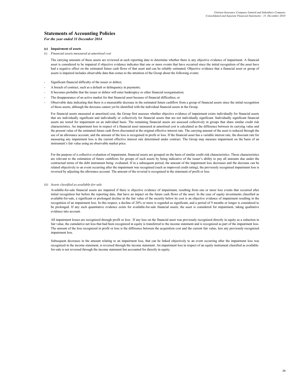*For the year ended 31 December 2014*

#### **(e) Impairment of assets**

*(i) Financial assets measured at amortised cost*

The carrying amounts of these assets are reviewed at each reporting date to determine whether there is any objective evidence of impairment. A financial asset is considered to be impaired if objective evidence indicates that one or more events that have occurred since the initial recognition of the asset have had a negative effect on the estimated future cash flows of that asset and can be reliably estimated. Objective evidence that a financial asset or group of assets is impaired includes observable data that comes to the attention of the Group about the following events:

- Significant financial difficulty of the issuer or debtor;
- A breach of contract, such as a default or delinquency in payments;
- It becomes probable that the issuer or debtor will enter bankruptcy or other financial reorganisation;
- The disappearance of an active market for that financial asset because of financial difficulties; or
- Observable data indicating that there is a measurable decrease in the estimated future cashflow from a group of financial assets since the initial recognition of those assets, although the decrease cannot yet be identified with the individual financial assets in the Group.

For financial assets measured at amortised cost, the Group first assesses whether objective evidence of impairment exists individually for financial assets that are individually significant and individually or collectively for financial assets that are not individually significant. Individually significant financial assets are tested for impairment on an individual basis. The remaining financial assets are assessed collectively in groups that share similar credit risk characteristics. An impairment loss in respect of a financial asset measured at amortised cost is calculated as the difference between its carrying value and the present value of the estimated future cash flows discounted at the original effective interest rate. The carrying amount of the asset is reduced through the use of an allowance account, and the amount of the loss is recognised in profit or loss. If the financial asset has a variable interest rate, the discount rate for measuring any impairment loss is the current effective interest rate determined under contract. The Group may measure impairment on the basis of an instrument's fair value using an observable market price.

For the purpose of a collective evaluation of impairment, financial assets are grouped on the basis of similar credit risk characteristics. Those characteristics are relevant to the estimation of future cashflows for groups of such assets by being indicative of the issuer's ability to pay all amounts due under the contractual terms of the debt instrument being evaluated. If in a subsequent period, the amount of the impairment loss decreases and the decrease can be related objectively to an event occurring after the impairment was recognised (such as improved credit rating), the previously recognised impairment loss is reversed by adjusting the allowance account. The amount of the reversal is recognised in the statement of profit or loss.

#### *(ii) Assets classified as available-for-sale*

Available-for-sale financial assets are impaired if there is objective evidence of impairment, resulting from one or more loss events that occurred after initial recognition but before the reporting date, that have an impact on the future cash flows of the asset. In the case of equity investments classified as available-for-sale, a significant or prolonged decline in the fair value of the security below its cost is an objective evidence of impairment resulting in the recognition of an impairment loss. In this respect, a decline of 20% or more is regarded as significant, and a period of 9 months or longer is considered to be prolonged. If any such quantitative evidence exists for available-for-sale financial assets, the asset is considered for impairment, taking qualitative evidence into account.

All impairment losses are recognized through profit or loss. If any loss on the financial asset was previously recognized directly in equity as a reduction in fair value, the cumulative net loss that had been recognized in equity is transferred to the income statement and is recognized as part of the impairment loss. The amount of the loss recognized in profit or loss is the difference between the acquisition cost and the current fair value, less any previously recognized impairment loss.

Subsequent decreases in the amount relating to an impairment loss, that can be linked objectively to an event occurring after the impairment loss was recognized in the income statement, is reversed through the income statement. An impairment loss in respect of an equity instrument classified as availablefor-sale is not reversed through the income statement but accounted for directly in equity.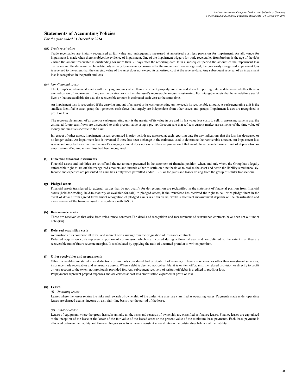#### *For the year ended 31 December 2014*

#### *(iii) Trade receivables*

Trade receivables are initially recognised at fair value and subsequently measured at amortised cost less provision for impairment. An allowance for impairment is made when there is objective evidence of impairment. One of the impairment triggers for trade receivables from brokers is the age of the debt - when the amount receivable is outstanding for more than 30 days after the reporting date. If in a subsequent period the amount of the impairment loss decreases and the decrease can be related objectively to an event occurring after the impairment was recognised, the previously recognised impairment loss is reversed to the extent that the carrying value of the asset does not exceed its amortised cost at the reverse date. Any subsequent reversal of an impairment loss is recognised in the profit and loss.

#### *(iv) Non*‐*financial assets*

The Group's non-financial assets with carrying amounts other than investment property are reviewed at each reporting date to determine whether there is any indication of impairment. If any such indication exists then the asset's recoverable amount is estimated. For intangible assets that have indefinite useful lives or that are available for use, the recoverable amount is estimated each year at the same time.

An impairment loss is recognised if the carrying amount of an asset or its cash‐generating unit exceeds its recoverable amount. A cash‐generating unit is the smallest identifiable asset group that generates cash flows that largely are independent from other assets and groups. Impairment losses are recognised in profit or loss.

The recoverable amount of an asset or cash-generating unit is the greater of its value in use and its fair value less costs to sell. In assessing value in use, the estimated future cash flows are discounted to their present value using a pre-tax discount rate that reflects current market assessments of the time value of money and the risks specific to the asset.

In respect of other assets, impairment losses recognised in prior periods are assessed at each reporting date for any indications that the loss has decreased or no longer exists. An impairment loss is reversed if there has been a change in the estimates used to determine the recoverable amount. An impairment loss is reversed only to the extent that the asset's carrying amount does not exceed the carrying amount that would have been determined, net of depreciation or amortisation, if no impairment loss had been recognised.

#### **(f) Offsetting financial instruments**

Financial assets and liabilities are set off and the net amount presented in the statement of financial position when, and only when, the Group has a legally enforceable right to set off the recognized amounts and intends either to settle on a net basis or to realise the asset and settle the liability simultaneously. Income and expenses are presented on a net basis only when permitted under IFRS, or for gains and losses arising from the group of similar transactions.

#### **(g) Pledged assets**

Financial assets transferred to external parties that do not qualify for de-recognition are reclassified in the statement of financial position from financial assets (held-for-trading, held-to-maturity or available-for-sale) to pledged assets, if the transferee has received the right to sell or re-pledge them in the event of default from agreed terms.Initial recognition of pledged assets is at fair value, whilst subsequent measurement depends on the classification and measurement of the financial asset in accordance with IAS 39.

#### **(h) Reinsurance assets**

These are receivables that arise from reinsurance contracts.The details of recognition and measurement of reinsurance contracts have been set out under note q(iii).

#### **(i) Deferred acquisition costs**

Acquisition costs comprise all direct and indirect costs arising from the origination of insurance contracts.

Deferred acquisition costs represent a portion of commission which are incurred during a financial year and are deferred to the extent that they are recoverable out of future revenue margins. It is calculated by applying the ratio of unearned premiun to written premium.

#### **(j) Other receivables and prepayments**

Other receivables are stated after deductions of amounts considered bad or doubtful of recovery. These are receivables other than investment securities, insurance trade receivables and reinsurance assets. When a debt is deemed not collectible, it is written off against the related provision or directly to profit or loss account to the extent not previously provided for. Any subsequent recovery of written-off debts is credited to profit or loss. Prepayments represent prepaid expenses and are carried at cost less amortisation expensed in profit or loss.

#### **(k) Leases**

#### *(i) Operating leases*

Leases where the lessor retains the risks and rewards of ownership of the underlying asset are classified as operating leases. Payments made under operating leases are charged against income on a straight-line basis over the period of the lease.

#### *(ii) Finance leases*

Leases of equipment where the group has substantially all the risks and rewards of ownership are classified as finance leases. Finance leases are capitalised at the inception of the lease at the lower of the fair value of the leased asset or the present value of the minimum lease payments. Each lease payment is allocated between the liability and finance charges so as to achieve a constant interest rate on the outstanding balance of the liability.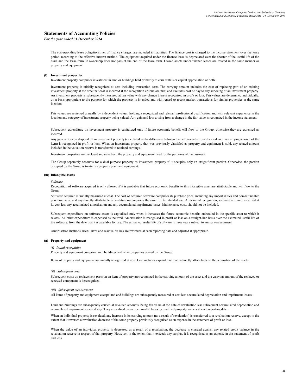*For the year ended 31 December 2014*

The corresponding lease obligations, net of finance charges, are included in liabilities. The finance cost is charged to the income statement over the lease period according to the effective interest method. The equipment acquired under the finance lease is depreciated over the shorter of the useful life of the asset and the lease term, if ownership does not pass at the end of the lease term. Leased assets under finance leases are treated in the same manner as property and equipment.

#### **(l) Investment properties**

Investment property comprises investment in land or buildings held primarily to earn rentals or capital appreciation or both.

Investment property is initially recognized at cost including transaction costs The carrying amount includes the cost of replacing part of an existing investment property at the time that cost is incurred if the recognition criteria are met; and excludes cost of day to day servicing of an investment property. An investment property is subsequently measured at fair value with any change therein recognised in profit or loss. Fair values are determined individually, on a basis appropriate to the purpose for which the property is intended and with regard to recent market transactions for similar properties in the same **location** 

Fair values are reviewed annually by independent valuer, holding a recognized and relevant professional qualification and with relevant experience in the location and category of investment property being valued. Any gain and loss arising from a change in the fair value is recognized in the income statement.

Subsequent expenditure on investment property is capitalized only if future economic benefit will flow to the Group; otherwise they are expensed as incurred.

Any gain or loss on disposal of an investment property (calculated as the difference between the net proceeds from disposal and the carrying amount of the item) is recognized in profit or loss. When an investment property that was previously classified as property and equipment is sold, any related amount included in the valuation reserve is transferred to retained earnings.

Investment properties are disclosed separate from the property and equipment used for the purposes of the business.

The Group separately accounts for a dual purpose property as investment property if it occupies only an insignificant portion. Otherwise, the portion occupied by the Group is treated as property plant and equipment.

#### **(m) Intangible assets**

#### *Software*

Recognition of software acquired is only allowed if it is probable that future economic benefits to this intangible asset are attributable and will flow to the Group.

Software acquired is initially measured at cost. The cost of acquired software comprises its purchase price, including any import duties and non-refundable purchase taxes, and any directly attributable expenditure on preparing the asset for its intended use. After initial recognition, software acquired is carried at its cost less any accumulated amortisation and any accumulated impairment losses. Maintenance costs should not be included.

Subsequent expenditure on software assets is capitalised only when it increases the future economic benefits embodied in the specific asset to which it relates. All other expenditure is expensed as incurred. Amortisation is recognised in profit or loss on a straight-line basis over the estimated useful life of the software, from the date that it is available for use. The estimated useful life of software is three years subject to annual reassessment.

Amortisation methods, useful lives and residual values are reviewed at each reporting date and adjusted if appropriate.

#### **(n) Property and equipment**

#### *(i) Initial recognition*

Property and equipment comprise land, buildings and other properties owned by the Group.

Items of property and equipment are initially recognized at cost. Cost includes expenditure that is directly attributable to the acquisition of the assets.

#### *(ii) Subsequent costs*

Subsequent costs on replacement parts on an item of property are recognized in the carrying amount of the asset and the carrying amount of the replaced or renewed component is derecognized.

#### *(iii) Subsequent measurement*

All items of property and equipment except land and buildings are subsequently measured at cost less accumulated depreciation and impairment losses.

Land and buildings are subsequently carried at revalued amounts, being fair value at the date of revaluation less subsequent accumulated depreciation and accumulated impairment losses, if any. They are valued on an open market basis by qualified property valuers at each reporting date.

When an individual property is revalued, any increase in its carrying amount (as a result of revaluation) is transferred to a revaluation reserve, except to the extent that it reverses a revaluation decrease of the same property previously recognised as an expense in the statement of profit or loss.

When the value of an individual property is decreased as a result of a revaluation, the decrease is charged against any related credit balance in the revaluation reserve in respect of that property. However, to the extent that it exceeds any surplus, it is recognised as an expense in the statement of profit and loss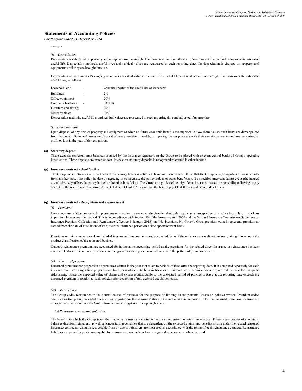*For the year ended 31 December 2014*

and loss.

#### *(iv) Depreciation*

Depreciation is calculated on property and equipment on the straight line basis to write down the cost of each asset to its residual value over its estimated useful life. Depreciation methods, useful lives and residual values are reassessed at each reporting date. No depreciation is charged on property and equipments until they are brought into use.

Depreciation reduces an asset's carrying value to its residual value at the end of its useful life, and is allocated on a straight line basis over the estimated useful lives, as follows:

| Leasehold land         | ۰ | Over the shorter of the useful life or lease term |
|------------------------|---|---------------------------------------------------|
| <b>Buildings</b>       |   | 2%                                                |
| Office equipment       | ٠ | 20%                                               |
| Computer hardware      | ۰ | 33.33%                                            |
| Furniture and fittings |   | 20%                                               |
| Motor vehicles         | ۰ | 25%                                               |
|                        |   | $\cdots$ $\cdots$                                 |

Depreciation methods, useful lives and residual values are reassessed at each reporting date and adjusted if appropriate.

#### *(v) De-recognition*

Upon disposal of any item of property and equipment or when no future economic benefits are expected to flow from its use, such items are derecognized from the books. Gains and losses on disposal of assets are determined by comparing the net proceeds with their carrying amounts and are recognized in profit or loss in the year of de-recognition.

#### **(o) Statutory deposit**

These deposits represent bank balances required by the insurance regulators of the Group to be placed with relevant central banks of Group's operating jurisdictions. These deposits are stated at cost. Interest on statutory deposits is recognized as earned in other income.

#### **(p) Insurance contract - classification**

The Group enters into insurance contracts as its primary business activities. Insurance contracts are those that the Group accepts significant insurance risk from another party (the policy holder) by agreeing to compensate the policy holder or other beneficiary, if a specified uncertain future event (the insured event) adversely affects the policy holder or the other beneficiary. The Group as a guide defines significant insurance risk as the possibility of having to pay benefit on the occurrence of an insured event that are at least 10% more than the benefit payable if the insured event did not occur.

#### **(q) Insurance contract - Recognition and measurement**

#### *(i) Premiums*

Gross premium written comprise the premiums received on insurance contracts entered into during the year, irrespective of whether they relate in whole or in part to a later accounting period. This is in compliance with Section 50 of the Insurance Act, 2003 and the National Insurance Commission Guidelines on Insurance Premium Collection and Remittance (effective 1 January 2013) on "No Premium, No Cover". Gross premium earned represents premium as earned from the date of attachment of risk, over the insurance period on a time apportionment basis.

Premiums on reinsurance inward are included in gross written premiums and accounted for as if the reinsurance was direct business, taking into account the product classification of the reinsured business.

Outward reinsurance premiums are accounted for in the same accounting period as the premiums for the related direct insurance or reinsurance business assumed. Outward reinsurance premiums are recognized as an expense in accordance with the pattern of premium earned.

#### *(ii) Unearned premiums*

Unearned premiums are proportion of premiums written in the year that relate to periods of risks after the reporting date. It is computed separately for each insurance contract using a time proportionate basis, or another suitable basis for uneven risk contracts. Provision for unexpired risk is made for unexpired risks arising where the expected value of claims and expenses attributable to the unexpired period of policies in force at the reporting date exceeds the unearned premium in relation to such policies after deduction of any deferred acquisition costs.

#### *(iii) Reinsurance*

The Group cedes reinsurance in the normal course of business for the purpose of limiting its net potential losses on policies written. Premium ceded comprise written premiums ceded to reinsurers, adjusted for the reinsurers' share of the movement in the provision for the unearned premiums. Reinsurance arrangements do not relieve the Group from its direct obligations to its policyholders.

#### *(a) Reinsurance assets and liabilities*

The benefits to which the Group is entitled under its reinsurance contracts held are recognised as reinsurance assets. These assets consist of short-term balances due from reinsurers, as well as longer term receivables that are dependent on the expected claims and benefits arising under the related reinsured insurance contracts. Amounts recoverable from or due to reinsurers are measured in accordance with the terms of each reinsurance contract. Reinsurance liabilities are primarily premiums payable for reinsurance contracts and are recognised as an expense when incurred.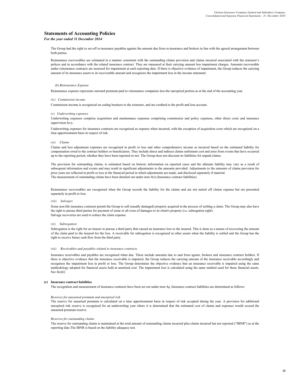*For the year ended 31 December 2014*

The Group had the right to set-off re-insurance payables against the amount due from re-insurance and brokers in line with the agreed arrangement between both parties.

Reinsurance recoverables are estimated in a manner consistent with the outstanding claims provision and claims incurred associated with the reinsurer's polices and in accordance with the related insurance contract. They are measured at their carrying amount less impairment charges. Amounts recoverable under reinsurance contracts are assessed for impairment at each reporting date. If there is objective evidence of impairment, the Group reduces the carrying amount of its insurance assets to its recoverable amount and recognizes the impairment loss in the income statement.

#### *(b) Reinsurance Expense*

Reinsurance expense represents outward premium paid to reinsurance companies less the unexpired portion as at the end of the accounting year.

#### *(iv) Commission income*

Commission income is recognized on ceding business to the reinsurer, and are credited to the profit and loss account.

#### *(v) Underwriting expenses*

Underwriting expenses comprise acquisition and maintenance expenses comprising commission and policy expenses, other direct costs and insurance supervision levy.

Underwriting expenses for insurance contracts are recognized as expense when incurred, with the exception of acquisition costs which are recognized on a time apportionment basis in respect of risk.

#### *(vi) Claims*

Claims and loss adjustment expenses are recognized in profit or loss and other comprehensive income as incurred based on the estimated liability for compensation owed to the contract holders or beneficiaries. They include direct and indirect claims settlement cost and arise from events that have occurred up to the reporting period, whether they have been reported or not. The Group does not discount its liabilities for unpaid claims.

The provision for outstanding claims, is estimated based on historic information on reported cases and the ultimate liability may vary as a result of subsequent information and events and may result in significant adjustments to the amounts provided. Adjustments to the amounts of claims provision for prior years are reflected in profit or loss in the financial period in which adjustments are made, and disclosed separately if material. The measurement of outstanding claims have been detailed out under note 4(r) (Insurance contract liabilities).

Reinsurance recoverables are recognized when the Group records the liability for the claims and are not netted off claims expense but are presented separately in profit or loss.

#### *(vii) Salvages*

Some non-life insurance contracts permit the Group to sell (usually damaged) property acquired in the process of settling a claim. The Group may also have the right to pursue third parties for payment of some or all costs of damages to its client's property (i.e. subrogation right). Salvage recoveries are used to reduce the claim expense.

#### *(vi) Subrogation*

Subrogation is the right for an insurer to pursue a third party that caused an insurance loss to the insured. This is done as a means of recovering the amount of the claim paid to the insured for the loss. A receivable for subrogation is recognized in other assets when the liability is settled and the Group has the right to receive future cash flow from the third party.

#### *(vii) Receivables and payables related to insurance contracts*

Insurance receivables and payables are recognised when due. These include amounts due to and from agents, brokers and insurance contract holders. If there is objective evidence that the insurance receivable is impaired, the Group reduces the carrying amount of the insurance receivable accordingly and recognises the impairment loss in profit or loss. The Group determines the objective evidence that an insurance receivable is impaired using the same methodology adopted for financial assets held at amotised cost. The impairment loss is calculated using the same method used for these financial assets. See 4(e)(i)

#### **(r) Insurance contract liabilities**

The recognition and measurement of insurance contracts have been set out under note 4q. Insurance contract liabilities are determined as follows:

#### *Reserves for unearned premium and unexpired risk*

The reserve for unearned premium is calculated on a time apportionment basis in respect of risk accepted during the year. A provision for additional unexpired risk reserve is recognised for an underwriting year where it is determined that the estimated cost of claims and expenses would exceed the unearned premium reserve.

#### *Reserves for outstanding claims*

The reserve for outstanding claims is maintained at the total amount of outstanding claims incurred plus claims incurred but not reported ("IBNR") as at the reporting date.The IBNR is based on the liability adequacy test.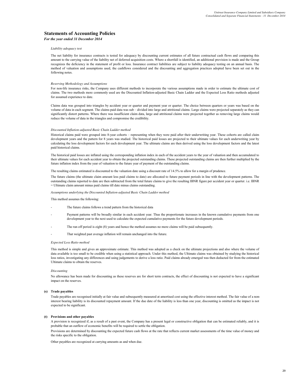#### *For the year ended 31 December 2014*

#### *Liability adequacy test*

The net liability for insurance contracts is tested for adequacy by discounting current estimates of all future contractual cash flows and comparing this amount to the carrying value of the liability net of deferred acquisition costs. Where a shortfall is identified, an additional provision is made and the Group recognizes the deficiency in the statement of profit or loss. Insurance contract liabilities are subject to liability adequacy testing on an annual basis. The method of valuation and assumptions used, the cashflows considered and the discounting and aggregation practices adopted have been set out in the following notes.

#### *Reserving Methodology and Assumptions*

For non-life insurance risks, the Company uses different methods to incorporate the various assumptions made in order to estimate the ultimate cost of claims. The two methods more commonly used are the Discounted Inflation-adjusted Basic Chain Ladder and the Expected Loss Ratio methods adjusted for assumed experience to date.

Claims data was grouped into triangles by accident year or quarter and payment year or quarter. The choice between quarters or years was based on the volume of data in each segment. The claims paid data was sub – divided into large and attritional claims. Large claims were projected separately as they can significantly distort patterns. Where there was insufficient claim data, large and attritional claims were projected together as removing large claims would reduce the volume of data in the triangles and compromise the credibility.

#### *Discounted Inflation-adjusted Basic Chain Ladder method*

Historical claims paid were grouped into 8-year cohorts – representing when they were paid after their underwriting year. These cohorts are called claim development years and the pattern for 8 years was studied. The historical paid losses are projected to their ultimate values for each underwriting year by calculating the loss development factors for each development year. The ultimate claims are then derived using the loss development factors and the latest paid historical claims.

The historical paid losses are inflated using the corresponding inflation index in each of the accident years to the year of valuation and then accumulated to their ultimate values for each accident year to obtain the projected outstanding claims. These projected outstanding claims are then further multiplied by the future inflation index from the year of valuation to the future year of payment of the outstanding claims.

The resulting claims estimated is discounted to the valuation date using a discount rate of 14.5% to allow for a margin of prudence.

The future claims (the ultimate claim amount less paid claims to date) are allocated to future payment periods in line with the development patterns. The outstanding claims reported to date are then subtracted from the total future claims to give the resulting IBNR figure per accident year or quarter. i.e. IBNR = Ultimate claim amount minus paid claims till date minus claims outstanding.

#### *Assumptions underlying the Discounted Inflation-adjusted Basic Chain Ladder method*

#### This method assumes the following:

- The future claims follows a trend pattern from the historical data
- Payment patterns will be broadly similar in each accident year. Thus the proportionate increases in the known cumulative payments from one development year to the next used to calculate the expected cumulative payments for the future development periods.
- The run off period is eight (8) years and hence the method assumes no more claims will be paid subsequently.
- That weighted past average inflation will remain unchanged into the future.

#### *Expected Loss Ratio method*

This method is simple and gives an approximate estimate. This method was adopted as a check on the ultimate projections and also where the volume of data available is too small to be credible when using a statistical approach. Under this method, the Ultimate claims was obtained by studying the historical loss ratios, investigating any differences and using judgements to derive a loss ratio. Paid claims already emerged was then deducted for from the estimated Ultimate claims to obtain the reserves.

#### *Discounting*

No allowance has been made for discounting as these reserves are for short term contracts, the effect of discounting is not expected to have a significant impact on the reserves.

#### **(s) Trade payables**

Trade payables are recognised initially at fair value and subsequently measured at amortised cost using the effective interest method. The fair value of a noninterest bearing liability is its discounted repayment amount. If the due date of the liability is less than one year, discounting is omitted as the impact is not expected to be significant.

#### **(t) Provisions and other payables**

A provision is recognized if, as a result of a past event, the Company has a present legal or constructive obligation that can be estimated reliably, and it is probable that an outflow of economic benefits will be required to settle the obligation.

Provisions are determined by discounting the expected future cash flows at the rate that reflects current market assessments of the time value of money and the risks specific to the obligation.

Other payables are recognized at carrying amounts as and when due.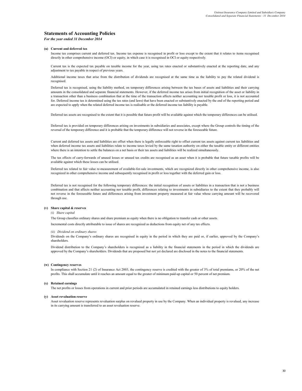#### *For the year ended 31 December 2014*

#### **(u) Current and deferred tax**

Income tax comprises current and deferred tax. Income tax expense is recognised in profit or loss except to the extent that it relates to items recognised directly in other comprehensive income (OCI) or equity, in which case it is recognised in OCI or equity respectively.

Current tax is the expected tax payable on taxable income for the year, using tax rates enacted or substantively enacted at the reporting date, and any adjustment to tax payable in respect of previous years.

Additional income taxes that arise from the distribution of dividends are recognised at the same time as the liability to pay the related dividend is recognised.

Deferred tax is recognised, using the liability method, on temporary differences arising between the tax bases of assets and liabilities and their carrying amounts in the consolidated and separate financial statements. However, if the deferred income tax arises from initial recognition of the asset or liability in a transaction other than a business combination that at the time of the transaction affects neither accounting nor taxable profit or loss, it is not accounted for. Deferred income tax is determined using the tax rates (and laws) that have been enacted or substantively enacted by the end of the reporting period and are expected to apply when the related deferred income tax is realisable or the deferred income tax liability is payable.

Deferred tax assets are recognised to the extent that it is possible that future profit will be available against which the temporary differences can be utilised.

Deferred tax is provided on temporary differences arising on investments in subsidiaries and associates, except where the Group controls the timing of the reversal of the temporary difference and it is probable that the temporary difference will not reverse in the foreseeable future.

Current and deferred tax assets and liabilities are offset when there is legally enforceable right to offset current tax assets against current tax liabilities and when deferred income tax assets and liabilities relate to income taxes levied by the same taxation authority on either the taxable entity or different entities where there is an intention to settle the balances on a net basis or their tax assets and liabilities will be realized simultaneously.

The tax effects of carry-forwards of unused losses or unused tax credits are recognised as an asset when it is probable that future taxable profits will be available against which these losses can be utilised.

Deferred tax related to fair value re-measurement of available-for-sale investments, which are recognized directly in other comprehensive income, is also recognized in other comprehensive income and subsequently recognised in profit or loss together with the deferred gain or loss.

Deferred tax is not recognised for the following temporary differences: the initial recognition of assets or liabilities in a transaction that is not a business combination and that affects neither accounting nor taxable profit, differences relating to investments in subsidiaries to the extent that they probably will not reverse in the foreseeable future and differences arising from investment property measured at fair value whose carrying amount will be recovered through use.

#### **(v) Share capital & reserves**

#### *(i) Share capital*

The Group classifies ordinary shares and share premium as equity when there is no obligation to transfer cash or other assets.

Incremental costs directly attributable to issue of shares are recognized as deductions from equity net of any tax effects.

#### *(ii) Dividend on ordinary shares*

Dividends on the Company's ordinary shares are recognised in equity in the period in which they are paid or, if earlier, approved by the Company's shareholders.

Dividend distribution to the Company's shareholders is recognized as a liability in the financial statements in the period in which the dividends are approved by the Company's shareholders. Dividends that are proposed but not yet declared are disclosed in the notes to the financial statements.

#### **(w) Contingency reserves**

In compliance with Section 21 (2) of Insurance Act 2003, the contingency reserve is credited with the greater of 3% of total premiums, or 20% of the net profits. This shall accumulate until it reaches an amount equal to the greater of minimum paid-up capital or 50 percent of net premium.

#### **(x) Retained earnings**

The net profits or losses from operations in current and prior periods are accumulated in retained earnings less distributions to equity holders.

#### **(y) Asset revaluation reserve**

Asset revaluation reserve represents revaluation surplus on revalued property in use by the Company. When an individual property is revalued, any increase in its carrying amount is transferred to an asset revaluation reserve.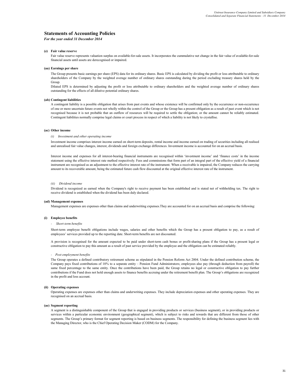#### *For the year ended 31 December 2014*

#### **(z) Fair value reserve**

Fair value reserve represents valuation surplus on available-for-sale assets. It incorporates the cummulative net change in the fair value of available-for-sale financial assets until assets are derecognised or impaired.

#### **(aa) Earnings per share**

The Group presents basic earnings per share (EPS) data for its ordinary shares. Basic EPS is calculated by dividing the profit or loss attributable to ordinary shareholders of the Company by the weighted average number of ordinary shares outstanding during the period excluding treasury shares held by the Group.

Diluted EPS is determined by adjusting the profit or loss attributable to ordinary shareholders and the weighted average number of ordinary shares outstanding for the effects of all dilutive potential ordinary shares.

#### **(ab) Contingent liabilities**

A contingent liability is a possible obligation that arises from past events and whose existence will be confirmed only by the occurrence or non-occurrence of one or more uncertain future events not wholly within the control of the Group or the Group has a present obligation as a result of past event which is not recognised because it is not probable that an outflow of resources will be required to settle the obligation; or the amount cannot be reliably estimated. Contingent liabilities normally comprise legal claims or court process in respect of which a liability is not likely to crystallise.

#### **(ac) Other income**

#### *(i) Investment and other operating income*

Investment income comprises interest income earned on short-term deposits, rental income and income earned on trading of securities including all realised and unrealised fair value changes, interest, dividends and foreign exchange differences. Investment income is accounted for on an accrual basis.

Interest income and expenses for all interest-bearing financial instruments are recognised within 'investment income' and 'finance costs' in the income statement using the effective interest rate method respectively. Fees and commissions that form part of an integral part of the effective yield of a financial instrument are recognised as an adjustment to the effective interest rate of the instrument. When a receivable is impaired, the Company reduces the carrying amount to its recoverable amount, being the estimated future cash flow discounted at the original effective interest rate of the instrument.

#### *(ii) Dividend income*

Dividend is recognized as earned when the Company's right to receive payment has been established and is stated net of withholding tax. The right to receive dividend is established when the dividend has been duly declared.

#### **(ad) Management expenses**

Management expenses are expenses other than claims and underwriting expenses.They are accounted for on an accrual basis and comprise the following:

#### **(i) Employee benefits**

#### *- Short-term benefits*

Short-term employee benefit obligations include wages, salaries and other benefits which the Group has a present obligation to pay, as a result of employees' services provided up to the reporting date. Short-term benefits are not discounted.

A provision is recognised for the amount expected to be paid under short-term cash bonus or profit-sharing plans if the Group has a present legal or constructive obligation to pay this amount as a result of past service provided by the employee and the obligation can be estimated reliably.

#### *- Post-employment benefits*

The Group operates a defined contributory retirement scheme as stipulated in the Pension Reform Act 2004. Under the defined contribution scheme, the Company pays fixed contributions of 10% to a separate entity – Pension Fund Administrators; employees also pay (through deduction from payroll) the same fixed percentage to the same entity. Once the contributions have been paid, the Group retains no legal or constructive obligation to pay further contributions if the Fund does not hold enough assets to finance benefits accruing under the retirement benefit plan. The Group's obligations are recognized in the profit and loss account.

#### **(ii) Operating expenses**

Operating expenses are expenses other than claims and underwriting expenses. They include depreciation expenses and other operating expenses. They are recognised on an accrual basis.

#### **(ae) Segment reporting**

A segment is a distinguishable component of the Group that is engaged in providing products or services (business segment), or in providing products or services within a particular economic environment (geographical segment), which is subject to risks and rewards that are different from those of other segments. The Group's primary format for segment reporting is based on business segments. The responsibility for defining the business segment lies with the Managing Director, who is the Chief Operating Decision Maker (CODM) for the Company.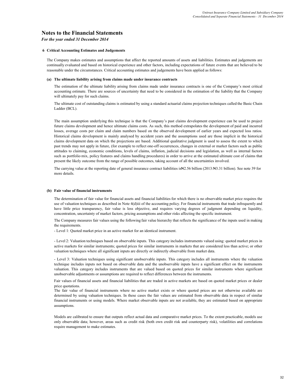## **Notes to the Financial Statements**

#### *For the year ended 31 December 2014*

#### **6 Critical Accounting Estimates and Judgements**

The Company makes estimates and assumptions that affect the reported amounts of assets and liabilities. Estimates and judgements are continually evaluated and based on historical experience and other factors, including expectations of future events that are believed to be reasonable under the circumstances. Critical accounting estimates and judgements have been applied as follows:

#### **(a) The ultimate liability arising from claims made under insurance contracts**

The estimation of the ultimate liability arising from claims made under insurance contracts is one of the Company's most critical accounting estimate. There are sources of uncertainty that need to be considered in the estimation of the liability that the Company will ultimately pay for such claims.

The ultimate cost of outstanding claims is estimated by using a standard actuarial claims projection techniques called the Basic Chain Ladder (BCL).

The main assumption underlying this technique is that the Company's past claims development experience can be used to project future claims development and hence ultimate claims costs. As such, this method extrapolates the development of paid and incurred losses, average costs per claim and claim numbers based on the observed development of earlier years and expected loss ratios. Historical claims development is mainly analysed by accident years and the assumptions used are those implicit in the historical claims development data on which the projections are based. Additional qualitative judgment is used to assess the extent to which past trends may not apply in future, (for example to reflect one-off occurrences, changes in external or market factors such as public attitudes to claiming, economic conditions, levels of claims, inflation, judicial decisions and legislation, as well as internal factors such as portfolio mix, policy features and claims handling procedures) in order to arrive at the estimated ultimate cost of claims that present the likely outcome from the range of possible outcomes, taking account of all the uncertainties involved.

The carrying value at the reporting date of general insurance contract liabilities is #2.56 billion (2013: #3.31 billion). See note 39 for more details.

#### **(b) Fair value of financial instruments**

The determination of fair value for financial assets and financial liabilities for which there is no observable market price requires the use of valuation techniques as described in Note 4(d)iii of the accounting policy. For financial instruments that trade infrequently and have little price transparency, fair value is less objective, and requires varying degrees of judgment depending on liquidity, concentration, uncertainty of market factors, pricing assumptions and other risks affecting the specific instrument.

The Company measures fair values using the following fair value hierarchy that reflects the significance of the inputs used in making the requirements.

- Level 1: Quoted market price in an active market for an identical instrument.

- Level 2: Valuation techniques based on observable inputs. This category includes instruments valued using: quoted market prices in active markets for similar instruments; quoted prices for similar instruments in markets that are considered less than active; or other valuation techniques where all significant inputs are directly or indirectly observable from market data.

- Level 3: Valuation techniques using significant unobservable inputs. This category includes all instruments where the valuation technique includes inputs not based on observable data and the unobservable inputs have a significant effect on the instruments valuation. This category includes instruments that are valued based on quoted prices for similar instruments where significant unobservable adjustments or assumptions are required to reflect differences between the instruments.

Fair values of financial assets and financial liabilities that are traded in active markets are based on quoted market prices or dealer price quotations.

The fair value of financial instruments where no active market exists or where quoted prices are not otherwise available are determined by using valuation techniques. In these cases the fair values are estimated from observable data in respect of similar financial instruments or using models. Where market observable inputs are not available, they are estimated based on appropriate assumptions.

Models are calibrated to ensure that outputs reflect actual data and comparative market prices. To the extent practicable, models use only observable data; however, areas such as credit risk (both own credit risk and counterparty risk), volatilities and correlations require management to make estimates.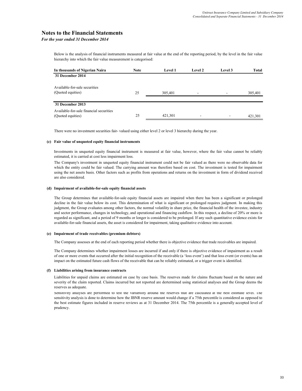## **Notes to the Financial Statements**

#### *For the year ended 31 December 2014*

Below is the analysis of financial instruments measured at fair value at the end of the reporting period, by the level in the fair value hierarchy into which the fair value measurement is categorised:

| In thousands of Nigerian Naira          | <b>Note</b> | <b>Level 1</b> | <b>Level 2</b>           | Level 3 | Total   |
|-----------------------------------------|-------------|----------------|--------------------------|---------|---------|
| 31 December 2014                        |             |                |                          |         |         |
| Available-for-sale securities           |             |                |                          |         |         |
| (Quoted equities)                       | 25          | 305,401        | $\overline{\phantom{a}}$ |         | 305,401 |
|                                         |             |                |                          |         |         |
| 31 December 2013                        |             |                |                          |         |         |
| Available-for-sale financial securities |             |                |                          |         |         |
| (Quoted equities)                       | 25          | 421,301        | $\overline{\phantom{a}}$ | ۰       | 421,301 |

There were no investment securities fair- valued using either level 2 or level 3 hierarchy during the year.

#### **(c) Fair value of unquoted equity financial instruments**

Investments in unquoted equity financial instrument is measured at fair value, however, where the fair value cannot be reliably estimated, it is carried at cost less impairment loss.

The Company's investment in unquoted equity financial instrument could not be fair valued as there were no observable data for which the entity could be fair valued. The carrying amount was therefore based on cost. The investment is tested for impairment using the net assets basis. Other factors such as profits from operations and returns on the investment in form of dividend received are also considered.

#### **(d) Impairment of available-for-sale equity financial assets**

The Group determines that available-for-sale equity financial assets are impaired when there has been a significant or prolonged decline in the fair value below its cost. This determination of what is significant or prolonged requires judgment. In making this judgment, the Group evaluates among other factors, the normal volatility in share price, the financial health of the investee, industry and sector performance, changes in technology, and operational and financing cashflow. In this respect, a decline of 20% or more is regarded as significant, and a period of 9 months or longer is considered to be prolonged. If any such quantitative evidence exists for available-for-sale financial assets, the asset is considered for impairment, taking qualitative evidence into account.

#### **(e) Impairment of trade receivables (premium debtors)**

The Company assesses at the end of each reporting period whether there is objective evidence that trade receivables are impaired.

The Company determines whether impairment losses are incurred if and only if there is objective evidence of impairment as a result of one or more events that occurred after the initial recognition of the receivable (a 'loss event') and that loss event (or events) has an impact on the estimated future cash flows of the receivable that can be reliably estimated, or a trigger event is identified.

#### **(f) Liabilities arising from insurance contracts**

Liabilities for unpaid claims are estimated on case by case basis. The reserves made for claims fluctuate based on the nature and severity of the claim reported. Claims incurred but not reported are dertermined using statistical analyses and the Group deems the reserves as adequate.

sensitivity analyses are performed to test the variability around the reserves that are calculated at the best estimate level. The sensitivity analysis is done to determine how the IBNR reserve amount would change if a 75th percentile is considered as opposed to the best estimate figures included in reserve reviews as at 31 December 2014. The 75th percentile is a generally accepted level of prudency.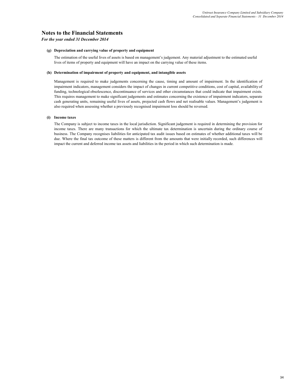## **Notes to the Financial Statements**

### *For the year ended 31 December 2014*

### **(g) Depreciation and carrying value of property and equipment**

The estimation of the useful lives of assets is based on management's judgement. Any material adjustment to the estimated useful lives of items of property and equipment will have an impact on the carrying value of these items.

### **(h) Determination of impairment of property and equipment, and intangible assets**

Management is required to make judgements concerning the cause, timing and amount of impairment. In the identification of impairment indicators, management considers the impact of changes in current competitive conditions, cost of capital, availability of funding, technological obsolescence, discontinuance of services and other circumstances that could indicate that impairment exists. This requires management to make significant judgements and estimates concerning the existence of impairment indicators, separate cash generating units, remaining useful lives of assets, projected cash flows and net realisable values. Management's judgement is also required when assessing whether a previously recognised impairment loss should be reversed.

### **(i) Income taxes**

The Company is subject to income taxes in the local jurisdiction. Significant judgement is required in determining the provision for income taxes. There are many transactions for which the ultimate tax determination is uncertain during the ordinary course of business. The Company recognises liabilities for anticipated tax audit issues based on estimates of whether additional taxes will be due. Where the final tax outcome of these matters is different from the amounts that were initially recorded, such differences will impact the current and deferred income tax assets and liabilities in the period in which such determination is made.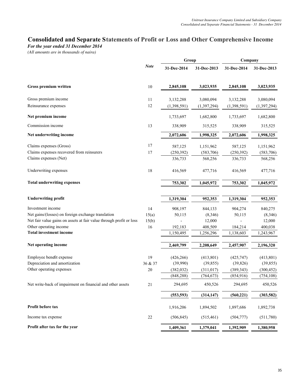# **Consolidated and Separate Statements of Profit or Loss and Other Comprehensive Income**

*For the year ended 31 December 2014*

*(All amounts are in thousands of naira)*

|                                                                     | Group       |             |               | Company     |             |
|---------------------------------------------------------------------|-------------|-------------|---------------|-------------|-------------|
|                                                                     | <b>Note</b> | 31-Dec-2014 | 31-Dec-2013   | 31-Dec-2014 | 31-Dec-2013 |
| Gross premium written                                               | 10          | 2,845,108   | 3,023,935     | 2,845,108   | 3,023,935   |
| Gross premium income                                                | 11          | 3,132,288   | 3,080,094     | 3,132,288   | 3,080,094   |
| Reinsurance expenses                                                | 12          | (1,398,591) | (1, 397, 294) | (1,398,591) | (1,397,294) |
| Net premium income                                                  |             | 1,733,697   | 1,682,800     | 1,733,697   | 1,682,800   |
| Commission income                                                   | 13          | 338,909     | 315,525       | 338,909     | 315,525     |
| Net underwriting income                                             |             | 2,072,606   | 1,998,325     | 2,072,606   | 1,998,325   |
| Claims expenses (Gross)                                             | 17          | 587,125     | 1,151,962     | 587,125     | 1,151,962   |
| Claims expenses recovered from reinsurers                           | 17          | (250, 392)  | (583,706)     | (250, 392)  | (583, 706)  |
| Claims expenses (Net)                                               |             | 336,733     | 568,256       | 336,733     | 568,256     |
| Underwriting expenses                                               | 18          | 416,569     | 477,716       | 416,569     | 477,716     |
| <b>Total underwriting expenses</b>                                  |             | 753,302     | 1,045,972     | 753,302     | 1,045,972   |
| <b>Underwriting profit</b>                                          |             | 1,319,304   | 952,353       | 1,319,304   | 952,353     |
| Investment income                                                   | 14          | 908,197     | 844,133       | 904,274     | 840,275     |
| Net gains/(losses) on foreign exchange translation                  | 15(a)       | 50,115      | (8,346)       | 50,115      | (8,346)     |
| Net fair value gains on assets at fair value through profit or loss | 15(b)       |             | 12,000        |             | 12,000      |
| Other operating income                                              | 16          | 192,183     | 408,509       | 184,214     | 400,038     |
| <b>Total investment income</b>                                      |             | 1,150,495   | 1,256,296     | 1,138,603   | 1,243,967   |
| Net operating income                                                |             | 2,469,799   | 2,208,649     | 2,457,907   | 2,196,320   |
| Employee benefit expense                                            | 19          | (426, 266)  | (413, 801)    | (425, 747)  | (413,801)   |
| Depreciation and amortization                                       | 36 & 37     | (39,990)    | (39, 855)     | (39, 826)   | (39, 855)   |
| Other operating expenses                                            | 20          | (382, 032)  | (311, 017)    | (389, 343)  | (300, 452)  |
|                                                                     |             | (848, 288)  | (764, 673)    | (854, 916)  | (754, 108)  |
| Net write-back of impairment on financial and other assets          | 21          | 294,695     | 450,526       | 294,695     | 450,526     |
|                                                                     |             | (553, 593)  | (314, 147)    | (560, 221)  | (303, 582)  |
| Profit before tax                                                   |             | 1,916,206   | 1,894,502     | 1,897,686   | 1,892,738   |
| Income tax expense                                                  | 22          | (506, 845)  | (515, 461)    | (504, 777)  | (511,780)   |
| Profit after tax for the year                                       |             | 1,409,361   | 1,379,041     | 1,392,909   | 1,380,958   |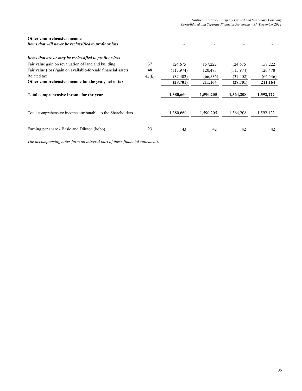## **Other comprehensive income**

*Items that will never be reclassified to profit or loss*  $\overline{\phantom{a}}$  -  $\overline{\phantom{a}}$  -  $\overline{\phantom{a}}$  -  $\overline{\phantom{a}}$  -

| Items that are or may be reclassified to profit or loss       |       |            |           |            |           |
|---------------------------------------------------------------|-------|------------|-----------|------------|-----------|
| Fair value gain on revaluation of land and building           | 37    | 124,675    | 157.222   | 124.675    | 157,222   |
| Fair value (loss)/gain on available-for-sale financial assets | 48    | (115, 974) | 120,478   | (115, 974) | 120,478   |
| Related tax                                                   | 43(b) | (37, 402)  | (66, 536) | (37, 402)  | (66, 536) |
| Other comprehensive income for the year, net of tax           |       | (28,701)   | 211,164   | (28,701)   | 211,164   |
| Total comprehensive income for the year                       |       | 1.380.660  | 1.590.205 | 1.364.208  | 1,592,122 |
| Total comprehensive income attributable to the Shareholders   |       | 1,380,660  | 1,590,205 | 1,364,208  | 1,592,122 |
| Earning per share - Basic and Diluted (kobo)                  | 23    | 43         | 42        | 42         | 42        |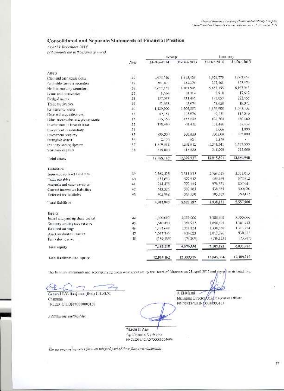## Consolidated and Separate Statements of Financial Position

As at 31 December 2014

(cill amounts are in thesearch of name).

| 31-Dec 2014<br>31-Drc-2014<br>31-Dec-2013<br>Note<br>Assets.<br>1.615.429<br>1,970,779<br>24<br>.976.040<br>Cast: and cash equivalents.<br>423,376<br>307, 101<br>407.401<br>25<br>Available-for-sale securities<br>57.155<br>6.103.945<br>2.527.155<br>26<br>Held-to-martinty securities.<br>7.913<br>27<br>18.114<br>8,766<br>Leans and receivables.<br>137.057<br>28<br>223,465<br>117,057<br>Pledgol assets.<br>26<br>53.658<br>51.678<br>13.073<br>Traducecciosbles<br>1.120.900<br>90<br>1,129,900<br>1.563,363<br>Reinsurance assets<br>41.<br>1.3.016<br>49,131<br>49,151<br>Deferred acquisition cost<br>433.299<br>631,504<br>37.<br>535,355<br>Other receivables and propayments<br>.38.480<br>33<br>(2.4.12)<br>138,480<br>Investments in finance lease.<br>1,000<br>$2-1$<br>lovestment in subsidiary.<br>395,900<br>305,000<br>35<br>535,300<br>Imvestment proporty<br>654<br>1,870<br>16<br>2.156<br>finangible assets<br>1.249.541<br>1,262,612<br>17<br>1.349.542 |             |
|------------------------------------------------------------------------------------------------------------------------------------------------------------------------------------------------------------------------------------------------------------------------------------------------------------------------------------------------------------------------------------------------------------------------------------------------------------------------------------------------------------------------------------------------------------------------------------------------------------------------------------------------------------------------------------------------------------------------------------------------------------------------------------------------------------------------------------------------------------------------------------------------------------------------------------------------------------------------------------|-------------|
|                                                                                                                                                                                                                                                                                                                                                                                                                                                                                                                                                                                                                                                                                                                                                                                                                                                                                                                                                                                    | 31-Drc-2013 |
|                                                                                                                                                                                                                                                                                                                                                                                                                                                                                                                                                                                                                                                                                                                                                                                                                                                                                                                                                                                    |             |
|                                                                                                                                                                                                                                                                                                                                                                                                                                                                                                                                                                                                                                                                                                                                                                                                                                                                                                                                                                                    | 1,602,954   |
|                                                                                                                                                                                                                                                                                                                                                                                                                                                                                                                                                                                                                                                                                                                                                                                                                                                                                                                                                                                    | 423,376     |
|                                                                                                                                                                                                                                                                                                                                                                                                                                                                                                                                                                                                                                                                                                                                                                                                                                                                                                                                                                                    | 5,103,945   |
|                                                                                                                                                                                                                                                                                                                                                                                                                                                                                                                                                                                                                                                                                                                                                                                                                                                                                                                                                                                    | 17,512      |
|                                                                                                                                                                                                                                                                                                                                                                                                                                                                                                                                                                                                                                                                                                                                                                                                                                                                                                                                                                                    | 223,465     |
|                                                                                                                                                                                                                                                                                                                                                                                                                                                                                                                                                                                                                                                                                                                                                                                                                                                                                                                                                                                    | 18,371      |
|                                                                                                                                                                                                                                                                                                                                                                                                                                                                                                                                                                                                                                                                                                                                                                                                                                                                                                                                                                                    | 1.533,932   |
|                                                                                                                                                                                                                                                                                                                                                                                                                                                                                                                                                                                                                                                                                                                                                                                                                                                                                                                                                                                    | 115.035     |
|                                                                                                                                                                                                                                                                                                                                                                                                                                                                                                                                                                                                                                                                                                                                                                                                                                                                                                                                                                                    | 436,460     |
|                                                                                                                                                                                                                                                                                                                                                                                                                                                                                                                                                                                                                                                                                                                                                                                                                                                                                                                                                                                    | 62,432      |
|                                                                                                                                                                                                                                                                                                                                                                                                                                                                                                                                                                                                                                                                                                                                                                                                                                                                                                                                                                                    | 1,000       |
|                                                                                                                                                                                                                                                                                                                                                                                                                                                                                                                                                                                                                                                                                                                                                                                                                                                                                                                                                                                    | 305.000     |
|                                                                                                                                                                                                                                                                                                                                                                                                                                                                                                                                                                                                                                                                                                                                                                                                                                                                                                                                                                                    |             |
| Property and equipment.                                                                                                                                                                                                                                                                                                                                                                                                                                                                                                                                                                                                                                                                                                                                                                                                                                                                                                                                                            | 1,262,355   |
| 315,000<br>315,000<br>\$15,000<br>-38<br>Statutory deposits                                                                                                                                                                                                                                                                                                                                                                                                                                                                                                                                                                                                                                                                                                                                                                                                                                                                                                                        | 315,000     |
| 12.045.374<br>12,399,937<br>12.065.162<br>Fotal assets                                                                                                                                                                                                                                                                                                                                                                                                                                                                                                                                                                                                                                                                                                                                                                                                                                                                                                                             | 12,389.940  |
| Liabilities                                                                                                                                                                                                                                                                                                                                                                                                                                                                                                                                                                                                                                                                                                                                                                                                                                                                                                                                                                        |             |
| 5.311.015<br>2,563,525<br>34<br>2,563,525<br>Insurance contract babilities                                                                                                                                                                                                                                                                                                                                                                                                                                                                                                                                                                                                                                                                                                                                                                                                                                                                                                         | 1,111,015   |
| 455,659<br>577,912<br>455,659<br>49.<br>Trade payables                                                                                                                                                                                                                                                                                                                                                                                                                                                                                                                                                                                                                                                                                                                                                                                                                                                                                                                             | 575,912     |
| 772,445<br>976.555<br>934.475<br>41<br>Accruals and other payables.                                                                                                                                                                                                                                                                                                                                                                                                                                                                                                                                                                                                                                                                                                                                                                                                                                                                                                                | 原6,541      |
| 536.535<br>543,326<br>507,463<br>42<br>Cun ent income un Eabilities.                                                                                                                                                                                                                                                                                                                                                                                                                                                                                                                                                                                                                                                                                                                                                                                                                                                                                                               | 500,020.    |
| 405.962<br>360,550<br>405,909<br>45.<br>Deferred tax liabilities.                                                                                                                                                                                                                                                                                                                                                                                                                                                                                                                                                                                                                                                                                                                                                                                                                                                                                                                  | 360,477     |
| 5.529.387<br>4,938,181<br>4,902,947<br><b>Tatal liabilities</b>                                                                                                                                                                                                                                                                                                                                                                                                                                                                                                                                                                                                                                                                                                                                                                                                                                                                                                                    | 5,557,960   |
| Equity                                                                                                                                                                                                                                                                                                                                                                                                                                                                                                                                                                                                                                                                                                                                                                                                                                                                                                                                                                             |             |
| 3.380.000<br>1,300,000<br>J, 300, 000<br>44<br>Issued and paid up share capital                                                                                                                                                                                                                                                                                                                                                                                                                                                                                                                                                                                                                                                                                                                                                                                                                                                                                                    | 5.300,000   |
| 1.361.912<br>1,640,494<br>1,640,454<br>45<br>Statutory accrimentey reserve                                                                                                                                                                                                                                                                                                                                                                                                                                                                                                                                                                                                                                                                                                                                                                                                                                                                                                         | 1.351,912   |
| 1.351.324<br>1,338,586<br>1,891,608<br>4e<br>Refaired earnings                                                                                                                                                                                                                                                                                                                                                                                                                                                                                                                                                                                                                                                                                                                                                                                                                                                                                                                     | 1.313,254   |
| 930.023<br>1,017,296<br>47.<br>101728-<br>Asset revaluation macrye                                                                                                                                                                                                                                                                                                                                                                                                                                                                                                                                                                                                                                                                                                                                                                                                                                                                                                                 | 950,024     |
| (73.209)<br>(185.183)<br>$-13$<br>(182.182)<br>Fair value reserve                                                                                                                                                                                                                                                                                                                                                                                                                                                                                                                                                                                                                                                                                                                                                                                                                                                                                                                  | (73,202)    |
| 7.107.193<br>6,870,550<br>7,162,215<br><b>Total</b> equily                                                                                                                                                                                                                                                                                                                                                                                                                                                                                                                                                                                                                                                                                                                                                                                                                                                                                                                         | 6.831.980   |
| 12,399,937<br>12,045,374<br>12,065,162<br>Total liabilities and equity-                                                                                                                                                                                                                                                                                                                                                                                                                                                                                                                                                                                                                                                                                                                                                                                                                                                                                                            | 12.389.940  |

The huancial statements and accompanying collis were approval by the Hoard of Directors on 28 April 2015 and pigred an its behalf by:

تتماز ÷

General T.Y. Daujumn (Rtd.) G.C.O.N. Charman FRC32013;TODIN:000000003130

Additionally certified by:

محت J. El-Maini -Managing DirectoryChief Fiscontive Officer FREEZOL3/IODN/00000003131

Nkechi P. Ago Ag. Cinancial Controller FROZELMCANOCCCCC04606

The net omponition now r form on integral part of these financial statements.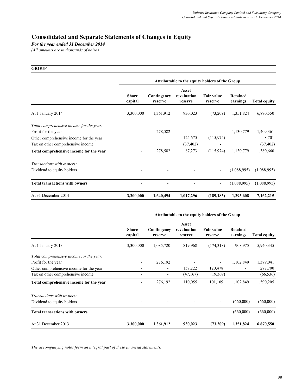# **Consolidated and Separate Statements of Changes in Equity**

*For the year ended 31 December 2014*

*(All amounts are in thousands of naira)*

| <b>GROUP</b>                             |                                                 |                        |                                 |                              |                      |                     |  |  |
|------------------------------------------|-------------------------------------------------|------------------------|---------------------------------|------------------------------|----------------------|---------------------|--|--|
|                                          | Attributable to the equity holders of the Group |                        |                                 |                              |                      |                     |  |  |
|                                          | <b>Share</b><br>capital                         | Contingency<br>reserve | Asset<br>revaluation<br>reserve | <b>Fair value</b><br>reserve | Retained<br>earnings | <b>Total equity</b> |  |  |
| At 1 January 2014                        | 3,300,000                                       | 1,361,912              | 930,023                         | (73,209)                     | 1,351,824            | 6,870,550           |  |  |
| Total comprehensive income for the year: |                                                 |                        |                                 |                              |                      |                     |  |  |
| Profit for the year                      |                                                 | 278,582                |                                 |                              | 1,130,779            | 1,409,361           |  |  |
| Other comprehensive income for the year  |                                                 |                        | 124,675                         | (115, 974)                   |                      | 8,701               |  |  |
| Tax on other comprehensive income        |                                                 |                        | (37, 402)                       |                              |                      | (37, 402)           |  |  |
| Total comprehensive income for the year  |                                                 | 278,582                | 87,273                          | (115, 974)                   | 1,130,779            | 1,380,660           |  |  |
| Transactions with owners:                |                                                 |                        |                                 |                              |                      |                     |  |  |
| Dividend to equity holders               |                                                 |                        |                                 |                              | (1,088,995)          | (1,088,995)         |  |  |
| <b>Total transactions with owners</b>    |                                                 |                        |                                 | $\overline{\phantom{a}}$     | (1,088,995)          | (1,088,995)         |  |  |
| At 31 December 2014                      | 3,300,000                                       | 1,640,494              | 1,017,296                       | (189, 183)                   | 1,393,608            | 7,162,215           |  |  |

|                                          | Attributable to the equity holders of the Group |                        |                                 |                              |                      |                     |  |
|------------------------------------------|-------------------------------------------------|------------------------|---------------------------------|------------------------------|----------------------|---------------------|--|
|                                          | <b>Share</b><br>capital                         | Contingency<br>reserve | Asset<br>revaluation<br>reserve | <b>Fair value</b><br>reserve | Retained<br>earnings | <b>Total equity</b> |  |
| At 1 January 2013                        | 3,300,000                                       | 1,085,720              | 819,968                         | (174,318)                    | 908,975              | 5,940,345           |  |
| Total comprehensive income for the year: |                                                 |                        |                                 |                              |                      |                     |  |
| Profit for the year                      |                                                 | 276,192                |                                 |                              | 1,102,849            | 1,379,041           |  |
| Other comprehensive income for the year  |                                                 |                        | 157,222                         | 120,478                      |                      | 277,700             |  |
| Tax on other comprehensive income        |                                                 | ۰                      | (47,167)                        | (19,369)                     |                      | (66, 536)           |  |
| Total comprehensive income for the year  |                                                 | 276,192                | 110,055                         | 101,109                      | 1,102,849            | 1,590,205           |  |
| <i>Transactions with owners:</i>         |                                                 |                        |                                 |                              |                      |                     |  |
| Dividend to equity holders               |                                                 |                        |                                 |                              | (660,000)            | (660,000)           |  |
| <b>Total transactions with owners</b>    |                                                 |                        |                                 | -                            | (660,000)            | (660,000)           |  |
| At 31 December 2013                      | 3,300,000                                       | 1,361,912              | 930,023                         | (73,209)                     | 1,351,824            | 6,870,550           |  |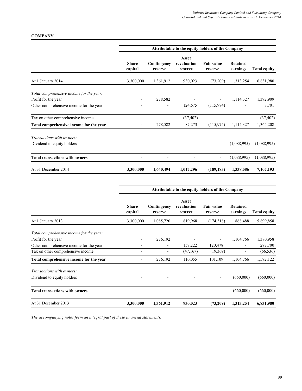# **COMPANY**

|                                          | Attributable to the equity holders of the Company |                          |                                 |                              |                          |                     |  |
|------------------------------------------|---------------------------------------------------|--------------------------|---------------------------------|------------------------------|--------------------------|---------------------|--|
|                                          | <b>Share</b><br>capital                           | Contingency<br>reserve   | Asset<br>revaluation<br>reserve | <b>Fair value</b><br>reserve | Retained<br>earnings     | <b>Total equity</b> |  |
| At 1 January 2014                        | 3,300,000                                         | 1,361,912                | 930,023                         | (73,209)                     | 1,313,254                | 6,831,980           |  |
| Total comprehensive income for the year: |                                                   |                          |                                 |                              |                          |                     |  |
| Profit for the year                      |                                                   | 278,582                  |                                 |                              | 1,114,327                | 1,392,909           |  |
| Other comprehensive income for the year  |                                                   |                          | 124,675                         | (115,974)                    |                          | 8,701               |  |
| Tax on other comprehensive income        |                                                   | $\overline{\phantom{a}}$ | (37, 402)                       | $\overline{\phantom{a}}$     | $\overline{\phantom{a}}$ | (37, 402)           |  |
| Total comprehensive income for the year  |                                                   | 278,582                  | 87,273                          | (115, 974)                   | 1,114,327                | 1,364,208           |  |
| Transactions with owners:                |                                                   |                          |                                 |                              |                          |                     |  |
| Dividend to equity holders               |                                                   |                          |                                 |                              | (1,088,995)              | (1,088,995)         |  |
| <b>Total transactions with owners</b>    |                                                   |                          |                                 |                              | (1,088,995)              | (1,088,995)         |  |
| At 31 December 2014                      | 3,300,000                                         | 1,640,494                | 1,017,296                       | (189, 183)                   | 1,338,586                | 7,107,193           |  |

|                                          | Attributable to the equity holders of the Company |                        |                                 |                              |                          |                     |  |
|------------------------------------------|---------------------------------------------------|------------------------|---------------------------------|------------------------------|--------------------------|---------------------|--|
|                                          | <b>Share</b><br>capital                           | Contingency<br>reserve | Asset<br>revaluation<br>reserve | <b>Fair value</b><br>reserve | Retained<br>earnings     | <b>Total equity</b> |  |
| At 1 January 2013                        | 3,300,000                                         | 1,085,720              | 819,968                         | (174,318)                    | 868,488                  | 5,899,858           |  |
| Total comprehensive income for the year: |                                                   |                        |                                 |                              |                          |                     |  |
| Profit for the year                      |                                                   | 276,192                |                                 |                              | 1,104,766                | 1,380,958           |  |
| Other comprehensive income for the year  |                                                   |                        | 157,222                         | 120,478                      |                          | 277,700             |  |
| Tax on other comprehensive income        |                                                   |                        | (47,167)                        | (19,369)                     | $\overline{\phantom{a}}$ | (66, 536)           |  |
| Total comprehensive income for the year  |                                                   | 276,192                | 110,055                         | 101,109                      | 1,104,766                | 1,592,122           |  |
| Transactions with owners:                |                                                   |                        |                                 |                              |                          |                     |  |
| Dividend to equity holders               |                                                   |                        |                                 |                              | (660,000)                | (660,000)           |  |
| <b>Total transactions with owners</b>    |                                                   |                        |                                 | -                            | (660,000)                | (660,000)           |  |
| At 31 December 2013                      | 3,300,000                                         | 1,361,912              | 930,023                         | (73,209)                     | 1,313,254                | 6,831,980           |  |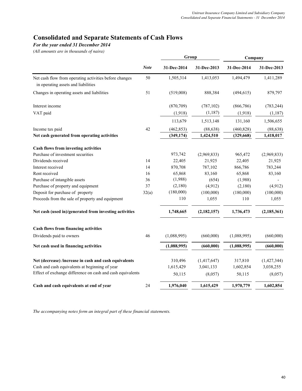# **Consolidated and Separate Statements of Cash Flows**

# *For the year ended 31 December 2014*

*(All amounts are in thousands of naira)*

|                                                                                               |             | Group       |             | Company     |               |  |
|-----------------------------------------------------------------------------------------------|-------------|-------------|-------------|-------------|---------------|--|
|                                                                                               | <b>Note</b> | 31-Dec-2014 | 31-Dec-2013 | 31-Dec-2014 | 31-Dec-2013   |  |
| Net cash flow from operating activities before changes<br>in operating assets and liabilities | 50          | 1,505,314   | 1,413,053   | 1,494,479   | 1,411,289     |  |
| Changes in operating assets and liabilities                                                   | 51          | (519,008)   | 888,384     | (494, 615)  | 879,797       |  |
| Interest income                                                                               |             | (870, 709)  | (787, 102)  | (866, 786)  | (783, 244)    |  |
| VAT paid                                                                                      |             | (1,918)     | (1,187)     | (1,918)     | (1, 187)      |  |
|                                                                                               |             | 113,679     | 1,513,148   | 131,160     | 1,506,655     |  |
| Income tax paid                                                                               | 42          | (462, 853)  | (88, 638)   | (460, 828)  | (88, 638)     |  |
| Net cash generated from operating activities                                                  |             | (349, 174)  | 1,424,510   | (329, 668)  | 1,418,017     |  |
| Cash flows from investing activities                                                          |             |             |             |             |               |  |
| Purchase of investment securities                                                             |             | 973,742     | (2,969,833) | 965,472     | (2,969,833)   |  |
| Dividends received                                                                            | 14          | 22,405      | 21,925      | 22,405      | 21,925        |  |
| Interest received                                                                             | 14          | 870,708     | 787,102     | 866,786     | 783,244       |  |
| Rent received                                                                                 | 16          | 65,868      | 83,160      | 65,868      | 83,160        |  |
| Purchase of intangible assets                                                                 | 36          | (1,988)     | (654)       | (1,988)     |               |  |
| Purchase of property and equipment                                                            | 37          | (2,180)     | (4,912)     | (2,180)     | (4,912)       |  |
| Deposit for purchase of property                                                              | 32(a)       | (180,000)   | (100,000)   | (180,000)   | (100,000)     |  |
| Proceeds from the sale of property and equipment                                              |             | 110         | 1,055       | 110         | 1,055         |  |
| Net cash (used in)/generated from investing activities                                        |             | 1,748,665   | (2,182,157) | 1,736,473   | (2, 185, 361) |  |
| Cash flows from financing activities                                                          |             |             |             |             |               |  |
| Dividends paid to owners                                                                      | 46          | (1,088,995) | (660,000)   | (1,088,995) | (660,000)     |  |
| Net cash used in financing activities                                                         |             | (1,088,995) | (660,000)   | (1,088,995) | (660,000)     |  |
| Net (decrease) /increase in cash and cash equivalents                                         |             | 310,496     | (1,417,647) | 317,810     | (1,427,344)   |  |
| Cash and cash equivalents at beginning of year                                                |             | 1,615,429   | 3,041,133   | 1,602,854   | 3,038,255     |  |
| Effect of exchange difference on cash and cash equivalents                                    |             | 50,115      | (8,057)     | 50,115      | (8,057)       |  |
| Cash and cash equivalents at end of year                                                      | 24          | 1,976,040   | 1,615,429   | 1,970,779   | 1,602,854     |  |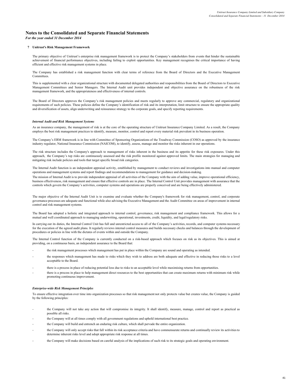### **Notes to the Consolidated and Separate Financial Statements** *For the year ended 31 December 2014*

#### **7 Unitrust's Risk Management Framework**

The primary objective of Unitrust's enterprise risk management framework is to protect the Company's stakeholders from events that hinder the sustainable achievement of financial performance objectives, including failing to exploit opportunities. Key management recognises the critical importance of having efficient and effective risk management systems in place.

The Company has established a risk management function with clear terms of reference from the Board of Directors and the Executive Management Committees.

This is supplemented with a clear organizational structure with documented delegated authorities and responsibilities from the Board of Directors to Executive Management Committees and Senior Managers. The Internal Audit unit provides independent and objective assurance on the robustness of the risk management framework, and the appropriateness and effectiveness of internal controls.

The Board of Directors approves the Company's risk management policies and meets regularly to approve any commercial, regulatory and organizational requirements of such policies. These policies define the Company's identification of risk and its interpretation, limit structure to ensure the appropriate quality and diversification of assets, align underwriting and reinsurance strategy to the corporate goals, and specify reporting requirements.

#### *Internal Audit and Risk Management Systems*

As an insurance company, the management of risk is at the core of the operating structure of Unitrust Insurance Company Limited. As a result, the Company employs the best risk management practices to identify, measure, monitor, control and report every material risk prevalent in its business operation.

The Company's ERM framework is in line with Committee of Sponsoring Organizations of the Treadway Commission (COSO) as approved by the insurance industry regulator, National Insurance Commission (NAICOM), to identify, assess, manage and monitor the risks inherent in our operations.

The risk structure includes the Company's approach to management of risks inherent in the business and its appetite for these risk exposures. Under this approach, the Company's top risks are continuously assessed and the risk profile monitored against approved limits. The main strategies for managing and mitigating risk include policies and tools that target specific broad risk categories.

The Internal Audit function is an independent appraisal activity, established by management to conduct reviews and investigations into manual and computer operations and management systems and report findings and recommendations to management for guidance and decision-making.

The mission of Internal Audit is to provide independent appraisal of all activities of the Company with the aim of adding value, improve operational efficiency, business effectiveness, risk management and ensure that effective controls are in place. The Internal Control Unit provides management with assurance that the controls which govern the Company's activities, computer systems and operations are properly conceived and are being effectively administered.

The major objective of the Internal Audit Unit is to examine and evaluate whether the Company's framework for risk management, control, and corporate governance processes are adequate and functional while also advising the Executive Management and the Audit Committee on areas of improvement in internal control and risk management systems.

The Board has adopted a holistic and integrated approach to internal control, governance, risk management and compliance framework. This allows for a mutual and well coordinated approach to managing underwriting, operational, investments, credit, liquidity, and legal/regulatory risks.

In carrying out its duties, the Internal Control Unit has full and unrestricted access to all of the Company's activities, records, and computer systems necessary for the execution of the agreed audit plans. It regularly reviews internal control measures and builds necessary checks and balances through the development of procedures or policies in line with the dictates of events within and outside the Company.

The Internal Control function of the Company is currently conducted on a risk-based approach which focuses on risk as its objectives. This is aimed at providing, on a continuous basis, an independent assurance to the Board that:

- the risk management processes which management has put in place within the Company are sound and operating as intended.
- the responses which management has made to risks which they wish to address are both adequate and effective in reducing those risks to a level acceptable to the Board.
- there is a process in place of reducing potential loss due to risks to an acceptable level while maximising returns from opportunities.
- there is a process in place to help management direct resources to the best opportunities that can create maximum returns with minimum risk while promoting continuous improvement.

#### *Enterprise-wide Risk Management Principles*

To ensure effective integration over time into organization processes so that risk management not only protects value but creates value, the Company is guided by the following principles:

- the Company will not take any action that will compromise its integrity. It shall identify, measure, manage, control and report as practical as possible all risks.
- the Company will at all times comply with all government regulations and uphold international best practice.
- the Company will build and entrench an enduring risk culture, which shall pervade the entire organization.
- the Company will only accept risks that fall within its risk acceptance criteria and have commensurate returns and continually review its activities to determine inherent risks level and adopt appropriate risk response at all times.
- the Company will make decisions based on careful analysis of the implications of such risk to its strategic goals and operating environment.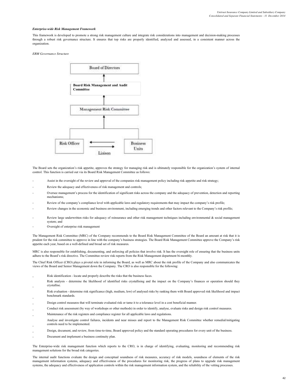#### *Enterprise-wide Risk Management Framework*

This framework is developed to promote a strong risk management culture and integrate risk considerations into management and decision-making processes through a robust risk governance structure. It ensures that top risks are properly identified, analyzed and assessed, in a consistent manner across the organization.

*ERM Governance Structure*



The Board sets the organization's risk appetite, approves the strategy for managing risk and is ultimately responsible for the organization's system of internal control. This function is carried out via its Board Risk Management Committee as follows:

- Assist in the oversight of the review and approval of the companies risk management policy including risk appetite and risk strategy;
- Review the adequacy and effectiveness of risk management and controls;
- Oversee management's process for the identification of significant risks across the company and the adequacy of prevention, detection and reporting mechanisms;
- Review of the company's compliance level with applicable laws and regulatory requirements that may impact the company's risk profile;
- Review changes in the economic and business environment, including emerging trends and other factors relevant to the Company's risk profile;
- Review large underwritten risks for adequacy of reinsurance and other risk management techniques including environmental & social management system; and
- Oversight of enterprise risk management

The Management Risk Committee (MRC) of the Company recommends to the Board Risk Management Committee of the Board an amount at risk that it is prudent for the risk committee to approve in line with the company's business strategies. The Board Risk Management Committee approve the Company's risk appetite each year, based on a well-defined and broad set of risk measures.

MRC is also responsible for establishing, documenting, and enforcing all policies that involve risk. It has the oversight role of ensuring that the business units adhere to the Board's risk directive. The Committee review risk reports from the Risk Management department bi-monthly.

The Chief Risk Officer (CRO) plays a pivotal role in informing the Board, as well as MRC about the risk profile of the Company and also communicates the views of the Board and Senior Management down the Company. The CRO is also responsible for the following:

- Risk identification - locate and properly describe the risks that the business faces.
- Risk analysis - determine the likelihood of identified risks crystallising and the impact on the Company's finances or operation should they crystallise.
- Risk evaluation - determine risk significance (high, medium, low) of analysed risks by ranking them with Board approved risk likelihood and impact benchmark standards.
- Design control measures that will terminate evaluated risk or tame it to a tolerance level in a cost beneficial manner.
- Conduct risk assessment (by way of workshops or other methods) in order to identify, analyse, evaluate risks and design risk control measures.
- Maintenance of the risk registers and compliance register for all applicable laws and regulations.
- Analyse and investigate control failures, incidents and near misses and report to the Management Risk Committee whether remedial/mitigating controls need to be implemented.
- Design, document, and review, from time-to-time, Board approved policy and the standard operating procedures for every unit of the business.
- Document and implement a business continuity plan.

The Enterprise-wide risk management function which reports to the CRO, is in charge of identifying, evaluating, monitoring and recommending risk management solutions for the broad risk categories.

The internal audit functions evaluate the design and conceptual soundness of risk measures, accuracy of risk models, soundness of elements of the risk management information systems, adequacy and effectiveness of the procedures for monitoring risk, the progress of plans to upgrade risk management systems, the adequacy and effectiveness of application controls within the risk management information system, and the reliability of the vetting processes.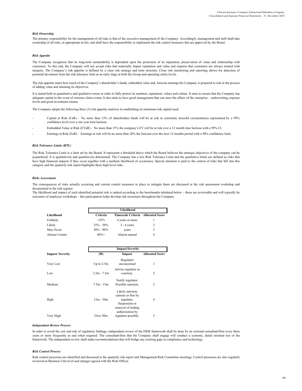#### *Risk Ownership*

The primary responsibility for the management of all risks is that of the executive management of the Company. Accordingly, management and staff shall take ownership of all risks, at appropriate levels, and shall have the responsibility to implement the risk control measures that are approved by the Board.

#### *Risk Appetite*

The Company recognizes that its long-term sustainability is dependent upon the protection of its reputation, preservation of value and relationship with customers. To this end, the Company will not accept risks that materially impair reputation and value and requires that customers are always treated with integrity. The Company's risk appetite is defined by a clear risk strategy and limit structure. Close risk monitoring and reporting allows for detection of potential deviations from the risk tolerance limit at an early stage at both the Group and operating entity levels.

The risk appetite states how much of the Company's shareholder's funds, embedded value and, forecast earnings the Company is prepared to risk in the process of adding value and attaining its objectives.

It is stated both in quantitative and qualitative terms in order to fully protect its numbers, reputation, values and culture. It aims to ensure that the Company has adequate capital in the event of extreme claim events. It also aims to have good management that can steer the affairs of the enterprise – underwriting, expense levels and good investment returns.

The Company adopts the following three (3) risk appetite matrices in establishing its minimum risk capital need:

- Capital at Risk (CaR) - No more than 15% of shareholders funds will be at risk in extremely stressful circumstances represented by a 99% confidence level over a one year time horizon.
- Embedded Value at Risk (EVaR) - No more than 15% the company's EV will be at risk over a 12 month time horizon with a 99% CI.
- Earnings at Risk (EaR) - Earnings at risk will be no more than 20% the forecast over the next 12 months period with a 90% confidence limit.

#### *Risk Tolerance Limits (RTL)*

The Risk Tolerance Limit is a limit set by the Board. It represents a threshold above which the Board believes the strategic objectives of the company can be jeopardized. It is qualitatively and quantitavely determined. The Company has a low Risk Tolerance Limit and the qualitative limits are defined as risks that have high financial impacts if they occur together with a medium likelihood of occurrence. Special attention is paid to the control of risks that fall into this category and the quarterly risk report highlights these high level risks.

#### *Risks Assessment*

The consequences of risks actually occurring and current control measures in place to mitigate them are discussed at the risk assessment workshop and documented in the risk register.

The likelihood and impact of each identified potential risk is ranked according to the benchmarks tabulated below – these are reviewable and will typically be outcomes of employee workshops – this participation helps develop risk awareness throughout the Company.

|                |               | Likelihood                                |   |  |  |  |
|----------------|---------------|-------------------------------------------|---|--|--|--|
| Likelihood     | Criteria      | <b>Timescale Criteria</b> Allocated Score |   |  |  |  |
| Unlikely       | $< 25\%$      | 4 years or more                           |   |  |  |  |
| Likely         | $25\% - 50\%$ | $2 - 4$ years                             |   |  |  |  |
| May Occur      | $50\% - 80\%$ | years                                     |   |  |  |  |
| Almost Certain | $80%+$        | Almost annual                             | 4 |  |  |  |

|                        |                | <b>Impact/Severity</b>                                                                      |                        |
|------------------------|----------------|---------------------------------------------------------------------------------------------|------------------------|
| <b>Impact/Severity</b> | $(\mathbb{N})$ | Impact                                                                                      | <b>Allocated Score</b> |
| Very Low               | Up to $2.5m$   | Regulator<br>unconcerned                                                                    | 1                      |
| Low                    | $2.5m - 7.5m$  | Advise regulator as<br>courtesy.                                                            | 2                      |
| Medium                 | $7.5m - 1.5m$  | Notify regulator.<br>Possible sanction.                                                     | 3                      |
| High                   | $15m - 30m$    | Likely sanction,<br>censure or fine by<br>regulator.<br>Suspension or<br>removal of trading | 4                      |
| Very High              | Over 30m       | authorization by<br>regulator possible.                                                     | 5                      |

#### *Independent Review Process*

In order to avoid the cost and risk of regulatory findings, independent review of the ERM framework shall be done by an external consultant/firm every three years or more frequently as and when required. The consultant/firm that the Company shall engage will conduct a systemic, detail oriented test of the framework. The independent review shall make recommendations that will bridge any existing gaps in compliance and technology.

#### *Risk Control Process*

Risk control processes are identified and discussed in the quarterly risk report and Management Risk Committee meetings. Control processes are also regularly reviewed at Business Unit level and changes agreed with the Risk Officer.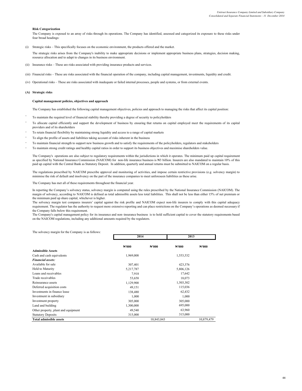#### **Risk Categorization**

The Company is exposed to an array of risks through its operations. The Company has identified, assessed and categorized its exposure to these risks under four broad headings:

(i) Strategic risks – This specifically focuses on the economic environment, the products offered and the market.

The strategic risks arises from the Company's inability to make appropriate decisions or implement appropriate business plans, strategies, decision making, resource allocation and to adapt to changes in its business environment.

- (ii) Insurance risks These are risks associated with providing insurance products and services.
- (iii) Financial risks These are risks associated with the financial operation of the company, including capital management, investments, liquidity and credit.
- (iv) Operational risks These are risks associated with inadequate or failed internal processes, people and systems, or from external events.

#### **(A) Strategic risks**

#### **Capital management policies, objectives and approach**

The Company has established the following capital management objectives, policies and approach to managing the risks that affect its capital position:

- To maintain the required level of financial stability thereby providing a degree of security to policyholders
- To allocate capital efficiently and support the development of business by ensuring that returns on capital employed meet the requirements of its capital providers and of its shareholders
- To retain financial flexibility by maintaining strong liquidity and access to a range of capital markets
- To align the profile of assets and liabilities taking account of risks inherent in the business
- To maintain financial strength to support new business growth and to satisfy the requirements of the policyholders, regulators and stakeholders
- To maintain strong credit ratings and healthy capital ratios in order to support its business objectives and maximise shareholders value.

The Company's operations are also subject to regulatory requirements within the jurisdictions in which it operates. The minimum paid up capital requirement as specified by National Insurance Commission (NAICOM) for non-life insurance business is ₦3 billion. Insurers are also mandated to maintain 10% of this paid up capital with the Central Bank as Statutory Deposit. In addition, quarterly and annual returns must be submitted to NAICOM on a regular basis.

The regulations prescribed by NAICOM prescribe approval and monitoring of activities, and impose certain restrictive provisions (e.g. solvency margin) to minimise the risk of default and insolvency on the part of the insurance companies to meet unforeseen liabilities as these arise.

The Company has met all of these requirements throughout the financial year.

In reporting the Company's solvency status, solvency margin is computed using the rules prescribed by the National Insurance Commission (NAICOM). The margin of solvency, according to NAICOM is defined as total admissible assets less total liabilities. This shall not be less than either 15% of net premium or the minimum paid up share capital, whichever is higher.

The solvency margin test compares insurers' capital against the risk profile and NAICOM expect non-life insurers to comply with this capital adequacy requirement. The regulator has the authority to request more extensive reporting and can place restrictions on the Company's operations as deemed necessary if the Company falls below this requirement.

The Company's capital management policy for its insurance and non–insurance business is to hold sufficient capital to cover the statutory requirements based on the NAICOM regulations, including any additional amounts required by the regulators.

The solvency margin for the Company is as follows:

|                                     |                    | 2014              |                    | 2013                     |
|-------------------------------------|--------------------|-------------------|--------------------|--------------------------|
|                                     | $\mathbb{N}^{000}$ | $\mathbb{H}^1000$ | $\mathbb{N}^{000}$ | $\mathbf{N}^{\prime}000$ |
| <b>Admissible Assets</b>            |                    |                   |                    |                          |
| Cash and cash equivalents           | 1,969,008          |                   | 1,553,532          |                          |
| <b>Financial assets:</b>            |                    |                   |                    |                          |
| Available for sale                  | 307,401            |                   | 423,376            |                          |
| Held to Maturity                    | 5,217,787          |                   | 5,806,126          |                          |
| Loans and receivables               | 7,918              |                   | 17,642             |                          |
| Trade receivables                   | 53,658             |                   | 18,073             |                          |
| Reinsurance assets                  | 1,129,900          |                   | 1,503,302          |                          |
| Deferred acquisition costs          | 49,151             |                   | 115,036            |                          |
| Investments in finance lease        | 138,480            |                   | 62,432             |                          |
| Investment in subsidiary            | 1,000              |                   | 1,000              |                          |
| Investment property                 | 305,000            |                   | 305,000            |                          |
| Land and building                   | 1,300,000          |                   | 695,000            |                          |
| Other property, plant and equipment | 49,540             |                   | 63,960             |                          |
| <b>Statutory Deposits</b>           | 315,000            |                   | 315,000            |                          |
| <b>Total admissible assets</b>      |                    | 10,843,843        |                    | 10,879,479               |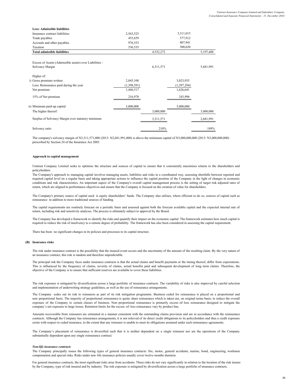| <b>Less: Admissible liabilities</b>                     |             |           |               |           |
|---------------------------------------------------------|-------------|-----------|---------------|-----------|
| Insurance contract liabilities                          | 2,563,525   |           | 3,311,015     |           |
| Trade payables                                          | 455,659     |           | 577,912       |           |
| Accruals and other payables                             | 976,553     |           | 807,941       |           |
| Taxation                                                | 536,535     |           | 500,620       |           |
| <b>Total admissible liabilities</b>                     |             | 4,532,272 |               | 5,197,488 |
| Excess of Assets (Admissible assets) over Liabilities - |             |           |               |           |
| Solvency Margin                                         |             | 6,311,571 |               | 5,681,991 |
| Higher of:                                              |             |           |               |           |
| i) Gross premium written                                | 2,845,108   |           | 3,023,935     |           |
| Less: Reinsurance paid during the year                  | (1,398,591) |           | (1, 397, 294) |           |
| Net premium                                             | 1,446,517   |           | 1,626,641     |           |
| 15% of Net premium                                      | 216,978     |           | 243,996       |           |
| ii) Minimum paid-up capital                             | 3,000,000   |           | 3,000,000     |           |
| The higher thereof:                                     |             | 3,000,000 |               | 3,000,000 |
| Surplus of Solvency Margin over statutory minimum       |             | 3,311,571 |               | 2,681,991 |
| Solvency ratio                                          |             | 210%      |               | 189%      |

The company's solvency margin of N3,311,571,000 (2013: N2,681,991,000) is above the minimum capital of N3,000,000,000 (2013: N3,000,000,000) prescribed by Section 24 of the Insurance Act 2003.

#### **Approach to capital management**

Unitrust Company Limited seeks to optimise the structure and sources of capital to ensure that it consistently maximises returns to the shareholders and policyholders.

The Company's approach to managing capital involves managing assets, liabilities and risks in a coordinated way, assessing shortfalls between reported and required capital level on a regular basis and taking appropriate actions to influence the capital position of the Company in the light of changes in economic conditions and risk characteristics. An important aspect of the Company's overall capital management process is the setting of target risk adjusted rates of return, which are aligned to performance objectives and ensure that the Company is focused on the creation of value for shareholders.

The Company's primary source of capital used is equity shareholders' funds. The Company also utilises, where efficient to do so, sources of capital such as reinsurance in addition to more traditional sources of funding.

The capital requirements are routinely forecast on a periodic basis and assessed against both the forecast available capital and the expected internal rate of return, including risk and sensitivity analyses. The process is ultimately subject to approval by the Board.

The Company has developed a framework to identify the risks and quantify their impact on the economic capital. The framework estimates how much capital is required to reduce the risk of insolvency to a remote degree of probability. The framework has also been considered in assessing the capital requirement.

There has been no significant changes in its policies and processes to its capital structure.

#### **(B) Insurance risks**

The risk under insurance contract is the possibility that the insured event occurs and the uncertainty of the amount of the resulting claim. By the very nature of an insurance contract, this risk is random and therefore unpredictable.

The principal risk the Company faces under insurance contracts is that the actual claims and benefit payments or the timing thereof, differ from expectations. This is influenced by the frequency of claims, severity of claims, actual benefits paid and subsequent development of long–term claims. Therefore, the objective of the Company is to ensure that sufficient reserves are available to cover these liabilities.

The risk exposure is mitigated by diversification across a large portfolio of insurance contracts. The variability of risks is also improved by careful selection and implementation of underwriting strategy guidelines, as well as the use of reinsurance arrangements.

The Company cedes out its risk to reinsurers as part of its risk mitigation programme. Business ceded for reinsurance is placed on a proportional and non–proportional basis. The majority of proportional reinsurance is quota–share reinsurance which is taken out, on original terms basis, to reduce the overall exposure of the Company to certain classes of business. Non–proportional reinsurance is primarily excess–of–loss reinsurance designed to mitigate the company's net exposure to large losses. Retention limits for the excess–of–loss reinsurance vary by product line.

Amounts recoverable from reinsurers are estimated in a manner consistent with the outstanding claims provision and are in accordance with the reinsurance contracts. Although the Company has reinsurance arrangements, it is not relieved of its direct credit obligations to its policyholders and thus a credit exposure exists with respect to ceded insurance, to the extent that any reinsurer is unable to meet its obligations assumed under such reinsurance agreements.

The Company's placement of reinsurance is diversified such that it is neither dependent on a single reinsurer nor are the operations of the Company substantially dependent upon any single reinsurance contract.

#### *Non-life insurance contracts*

The Company principally issues the following types of general insurance contracts: fire, motor, general accidents, marine, bond, engineering, workmen compensation and special risks. Risks under non–life insurance policies usually cover twelve months duration.

For general insurance contracts, the most significant risks arise from accidents. These risks do not vary significantly in relation to the location of the risk insured by the Company, type of risk insured and by industry. The risk exposure is mitigated by diversification across a large portfolio of insurance contracts.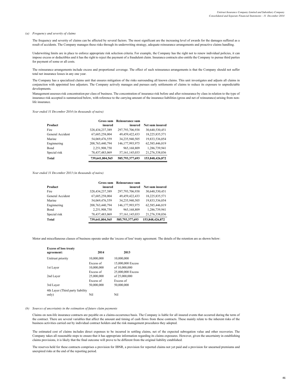#### *(a) Frequency and severity of claims*

The frequency and severity of claims can be affected by several factors. The most significant are the increasing level of awards for the damages suffered as a result of accidents. The Company manages these risks through its underwriting strategy, adequate reinsurance arrangements and proactive claims handling.

Underwriting limits are in place to enforce appropriate risk selection criteria. For example, the Company has the right not to renew individual policies, it can impose excess or deductibles and it has the right to reject the payment of a fraudulent claim. Insurance contracts also entitle the Company to pursue third parties for payment of some or all costs.

The reinsurance arrangements include excess and proportional coverage. The effect of such reinsurance arrangements is that the Company should not suffer total net insurance losses in any one year.

The Company has a specialized claims unit that ensures mitigation of the risks surrounding all known claims. This unit investigates and adjusts all claims in conjunction with appointed loss adjusters. The Company actively manages and pursues early settlements of claims to reduce its exposure to unpredictable developments.

Management assesses risk concentration per class of business. The concentration of insurance risk before and after reinsurance by class in relation to the type of insurance risk accepted is summarized below, with reference to the carrying amount of the insurance liabilities (gross and net of reinsurance) arising from nonlife insurance.

### *Year ended 31 December 2014 (in thousands of naira)*

|                  | Gross sum          | Reinsurance sum    |                 |
|------------------|--------------------|--------------------|-----------------|
| Product          | insured            | insured            | Net sum insured |
| Fire             | 328,434,237,389    | 297,793,706,938    | 30,640,530,451  |
| General Accident | 67,685,258,004     | 49,459,422,433     | 18,225,835,571  |
| Marine           | 54,069,476,559     | 34,235,940,505     | 19,833,536,054  |
| Enginnering      | 208, 763, 440, 794 | 146, 177, 993, 975 | 62,585,446,819  |
| <b>B</b> ond     | 2,251,908,750      | 965,168,809        | 1,286,739,941   |
| Special risk     | 78,437,483,069     | 57, 161, 145, 033  | 21,276,338,036  |
| Total            | 739.641.804.565    | 585,793,377,693    | 153,848,426,872 |

#### *Year ended 31 December 2013 (in thousands of naira)*

|                  | Gross sum          | <b>Reinsurance sum</b> |                 |
|------------------|--------------------|------------------------|-----------------|
| Product          | insured            | insured                | Net sum insured |
| Fire             | 328,434,237,389    | 297,793,706,938        | 30,640,530,451  |
| General Accident | 67,685,258,004     | 49,459,422,433         | 18,225,835,571  |
| Marine           | 54.069.476.559     | 34.235.940.505         | 19,833,536,054  |
| Enginnering      | 208, 763, 440, 794 | 146, 177, 993, 975     | 62,585,446,819  |
| Bond             | 2,251,908,750      | 965,168,809            | 1,286,739,941   |
| Special risk     | 78,437,483,069     | 57, 161, 145, 033      | 21,276,338,036  |
| <b>Total</b>     | 739.641.804.565    | 585,793,377,693        | 153,848,426,872 |

Motor and miscellaneous classes of business operate under the 'excess of loss' treaty agreement. The details of the retention are as shown below:

| <b>Excess of loss treaty</b><br>agreement: | 2014                    | 2013                               |
|--------------------------------------------|-------------------------|------------------------------------|
| Unitrust priority                          | 10,000,000              | 10,000,000                         |
| 1st Layer                                  | Excess of<br>10,000,000 | 15,000,000 Excess<br>of 10,000,000 |
| 2nd Layer                                  | Excess of<br>25,000,000 | 25,000,000 Excess<br>of 25,000,000 |
| 3rd Layer                                  | Excess of<br>50.000.000 | Excess of<br>50,000,000            |
| 4th Layer (Third party liability<br>only)  | Nil                     | Nil                                |

#### *(b) Sources of uncertainty in the estimation of future claim payments*

Claims on non-life insurance contracts are payable on a claims-occurrence basis. The Company is liable for all insured events that occurred during the term of the contract. There are several variables that affect the amount and timing of cash flows from these contracts. These mainly relate to the inherent risks of the business activities carried out by individual contract holders and the risk management procedures they adopted.

The estimated cost of claims includes direct expenses to be incurred in settling claims, net of the expected subrogation value and other recoveries. The Company takes all reasonable steps to ensure that it has appropriate information regarding its claims exposures. However, given the uncertainty in establishing claims provisions, it is likely that the final outcome will prove to be different from the original liability established.

The reserves held for these contracts comprises a provision for IBNR, a provision for reported claims not yet paid and a provision for unearned premiums and unexpired risks at the end of the reporting period.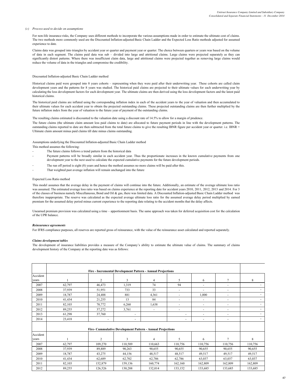#### *(c) Process used to decide on assumptions*

For non-life insurance risks, the Company uses different methods to incorporate the various assumptions made in order to estimate the ultimate cost of claims. The two methods more commonly used are the Discounted Inflation-adjusted Basic Chain Ladder and the Expected Loss Ratio methods adjusted for assumed experience to date.

Claims data was grouped into triangles by accident year or quarter and payment year or quarter. The choice between quarters or years was based on the volume of data in each segment. The claims paid data was sub – divided into large and attritional claims. Large claims were projected separately as they can significantly distort patterns. Where there was insufficient claim data, large and attritional claims were projected together as removing large claims would reduce the volume of data in the triangles and compromise the credibility.

#### Discounted Inflation-adjusted Basic Chain Ladder method

Historical claims paid were grouped into 8 years cohorts – representing when they were paid after their underwriting year. These cohorts are called claim development years and the patterns for 8 years was studied. The historical paid claims are projected to their ultimate values for each underwriting year by calculating the loss development factors for each development year. The ultimate claims are then derived using the loss development factors and the latest paid historical claims.

The historical paid claims are inflated using the corresponding inflation index in each of the accident years to the year of valuation and then accumulated to their ultimate values for each accident year to obtain the projected outstanding claims. These projected outstanding claims are then further multiplied by the future inflation index from the year of valuation to the future year of payment of the outstanding claims.

The resulting claims estimated is discounted to the valuation date using a discount rate of 14.5% to allow for a margin of prudence.

The future claims (the ultimate claim amount less paid claims to date) are allocated to future payment periods in line with the development patterns. The outstanding claims reported to date are then subtracted from the total future claims to give the resulting IBNR figure per accident year or quarter. i.e. IBNR = Ultimate claim amount minus paid claims till date minus claims outstanding.

Assumptions underlying the Discounted Inflation-adjusted Basic Chain Ladder method This method assumes the following:

- 
- The future claims follows a trend pattern from the historical data
- Payment patterns will be broadly similar in each accident year. Thus the proportionate increases in the known cumulative payments from one development year to the next used to calculate the expected cumulative payments for the future development periods.
- The run off period is eight (8) years and hence the method assumes no more claims will be paid after this.
- That weighted past average inflation will remain unchanged into the future

#### Expected Loss Ratio method

This model assumes that the average delay in the payment of claims will continue into the future. Additionally, an estimate of the average ultimate loss ratio was assumed. The estimated average loss ratio was based on claims experience at the reporting date for accident years 2010, 2011, 2012, 2013 and 2014. For 3 of the classes of business namely Miscellaneous, Bond and Oil & gas, there was limited data. A Discounted Inflation-adjusted Basic Chain Ladder method was therefore inappropriate. The reserve was calculated as the expected average ultimate loss ratio for the assumed average delay period multiplied by earned premium for the assumed delay period minus current experience to the reporting date relating to the accident months that the delay affects.

Unearned premium provision was calculated using a time – apportionment basis. The same approach was taken for deferred acquisition cost for the calculation of the UPR balance.

#### *Reinsurance agreements*

For IFRS compliance purposes, all reserves are reported gross of reinsurance, with the value of the reinsurance asset calculated and reported separately.

#### *Claims development tables*

The development of insurance liabilities provides a measure of the Company's ability to estimate the ultimate value of claims. The summary of claims development history of the Company at the reporting date was as follows:

|          |        |                                                            | Fire - Incremental Development Pattern - Annual Projections |                |         |         |                          |         |
|----------|--------|------------------------------------------------------------|-------------------------------------------------------------|----------------|---------|---------|--------------------------|---------|
| Accident |        |                                                            |                                                             |                |         |         |                          |         |
| years    |        | $\overline{c}$                                             | 3                                                           | 4              | 5       | 6       | 7                        | 8       |
| 2007     | 62,797 | 46,473                                                     | 1,319                                                       | 74             | 94      | ٠       | ٠                        |         |
| 2008     | 37,939 | 51,951                                                     | 733                                                         | 33             | ٠       | ٠       | ٠                        | ۰       |
| 2009     | 18,787 | 24,488                                                     | 881                                                         | 4,361          | ٠       | 1,000   |                          | ٠       |
| 2010     | 41,434 | 21,255                                                     | 13                                                          | 84             | ٠       | ٠       |                          |         |
| 2011     | 82,103 | 70,772                                                     | 6,260                                                       | 1,638          | ٠       | ٠       | ٠                        | ٠       |
| 2012     | 89,255 | 37,272                                                     | 3,761                                                       | ٠              | ٠       | ۰       | $\overline{\phantom{a}}$ | ٠       |
| 2013     | 61,298 | 37,760                                                     | ٠                                                           |                |         | ٠       | ٠                        | ÷.      |
| 2014     | 23,418 | ٠                                                          | $\blacksquare$                                              |                | ٠       | ۰       | ٠                        | ٠       |
|          |        | Fire- Cummulative Development Pattern - Annual Projections |                                                             |                |         |         |                          |         |
| Accident |        |                                                            |                                                             |                |         |         |                          |         |
| vears    |        | 2                                                          | 3                                                           | $\overline{4}$ | 5       | 6       | 7                        | 8       |
| 2007     | 62,797 | 109,270                                                    | 110,589                                                     | 110,663        | 110,756 | 110,756 | 110,756                  | 110,756 |
| 2008     | 37,939 | 89,889                                                     | 90,263                                                      | 90,655         | 90,655  | 90,655  | 90,655                   | 90,655  |
| 2009     | 18,787 | 43,275                                                     | 44,156                                                      | 48,517         | 48,517  | 49,517  | 49,517                   | 49,517  |
| 2010     | 41,434 | 62,689                                                     | 62,702                                                      | 62,786         | 62,786  | 63,037  | 63,037                   | 63,037  |
| 2011     | 82,103 | 152,879                                                    | 159,136                                                     | 160,774        | 162,160 | 162,809 | 162,809                  | 162,809 |
| 2012     | 89,255 | 126,526                                                    | 130,288                                                     | 132,014        | 133,152 | 133,685 | 133,685                  | 133,685 |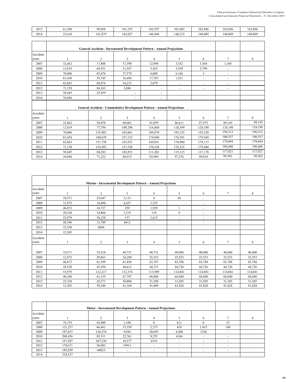| 2013     | 61,298 | 99,058         | 101,255                                                                        | 102,597        | 103,482 | 103,896                 | 103,896                  | 103,896 |
|----------|--------|----------------|--------------------------------------------------------------------------------|----------------|---------|-------------------------|--------------------------|---------|
| 2014     | 23,418 | 141,879        | 145,027                                                                        | 146,948        | 148,215 | 148,809                 | 148,809                  | 148,809 |
|          |        |                |                                                                                |                |         |                         |                          |         |
|          |        |                |                                                                                |                |         |                         |                          |         |
|          |        |                | <b>General Accident - Incremental Development Pattern - Annual Projections</b> |                |         |                         |                          |         |
| Accident |        |                |                                                                                |                |         |                         |                          |         |
| vears    |        | $\overline{c}$ | 3                                                                              | $\overline{4}$ | 5       | 6                       | $\tau$                   | 8       |
| 2007     | 32,662 | 17,808         | 17,590                                                                         | 12,998         | 5,552   | 1,364                   | 1,168                    |         |
| 2008     | 12,819 | 64,931         | 31,547                                                                         | 5,563          | 3,539   | 5,799                   | $\overline{\phantom{a}}$ |         |
| 2009     | 70,006 | 85,476         | 27,579                                                                         | 6,008          | 6,166   | $\overline{\mathbf{3}}$ | $\overline{\phantom{a}}$ |         |
| 2010     | 81,458 | 59,185         | 16,494                                                                         | 17,707         | 1,551   | ÷,                      | $\blacksquare$           |         |
| 2011     | 62,863 | 68,876         | 34,213                                                                         | 3,079          | ٠       | ÷,                      | $\overline{\phantom{a}}$ |         |
| 2012     | 71,130 | 84,363         | 2,046                                                                          |                |         |                         |                          |         |
| 2013     | 58,445 | 25,839         |                                                                                |                |         |                         |                          |         |
| 2014     | 34,846 | ٠              | $\overline{\phantom{a}}$                                                       | ٠              |         |                         |                          |         |
|          |        |                |                                                                                |                |         |                         |                          |         |
|          |        |                | <b>General Accident - Cummulative Development Pattern - Annual Projections</b> |                |         |                         |                          |         |
| Accident |        |                |                                                                                |                |         |                         |                          |         |
| vears    |        | $\overline{c}$ | 3                                                                              | 4              | 5       | 6                       | $\tau$                   | 8       |
| 2007     | 32,662 | 50,470         | 68,061                                                                         | 81,059         | 86,611  | 87,975                  | 89,143                   | 89,143  |
| 2008     | 12,819 | 77,750         | 109,298                                                                        | 114,860        | 118,399 | 124,198                 | 124,198                  | 124,198 |
| 2009     | 70,006 | 155,482        | 183,061                                                                        | 189,070        | 195,235 | 195,238                 | 196,313                  | 196,313 |
| 2010     | 81,454 | 140,639        | 157,133                                                                        | 174,840        | 176,391 | 179,549                 | 180,537                  | 180,537 |
| 2011     | 62,863 | 131,738        | 165,952                                                                        | 169,031        | 174,980 | 178,113                 | 179,094                  | 179,094 |
| 2012     | 71,130 | 155,493        | 157,538                                                                        | 170,328        | 176,323 | 179,480                 | 180,468                  | 180,468 |
| 2013     | 58,445 | 84,283         | 102,851                                                                        | 111,201        | 115,115 | 117,176                 | 117,821                  | 117,821 |
| 2014     | 34,846 | 71,222         | 86,912                                                                         | 93,969         | 97,276  | 99,018                  | 99,563                   | 99,563  |
|          |        |                |                                                                                |                |         |                         |                          |         |

|          |        |                | Marine - Incremental Development Pattern - Annual Projections |          |         |         |         |         |
|----------|--------|----------------|---------------------------------------------------------------|----------|---------|---------|---------|---------|
| Accident |        |                |                                                               |          |         |         |         |         |
| years    |        | $\overline{c}$ | 3                                                             | 4        | 5       | 6       | 7       | 8       |
| 2007     | 10,571 | 25,047         | 5,113                                                         | $\Omega$ | 69      | ٠       |         |         |
| 2008     | 12,972 | 16,890         | 4,437                                                         | 1,255    | ٠       | ٠       |         |         |
| 2009     | 46,872 | 34,727         | 259                                                           | 1,929    |         | ٠       |         |         |
| 2010     | 28,528 | 14,866         | 1,219                                                         | 118      | 6       | ٠       |         |         |
| 2011     | 53,979 | 58,238         | 157                                                           | 1,615    | ٠       | ٠       |         |         |
| 2012     | 48,346 | 12,789         | 6613                                                          |          | ٠       | ٠       |         |         |
| 2013     | 23,330 | 6040           |                                                               |          |         |         |         |         |
| 2014     | 12,303 |                |                                                               |          |         |         |         |         |
| Accident |        |                |                                                               |          |         |         |         |         |
| years    |        | $\overline{c}$ | 3                                                             | 4        | 5       | 6       | 7       | 8       |
|          |        |                |                                                               |          |         |         |         |         |
| 2007     | 10,571 | 35,618         | 40,731                                                        | 40,731   | 40,800  | 40,800  | 40,800  | 40,800  |
| 2008     | 12,972 | 29,861         | 34,298                                                        | 35,553   | 35,553  | 35,553  | 35,553  | 35,553  |
| 2009     | 46,872 | 81,599         | 81,858                                                        | 83,787   | 83,788  | 83,788  | 83,788  | 83,788  |
| 2010     | 28,528 | 43,394         | 44,613                                                        | 44,731   | 44,736  | 44,736  | 44,736  | 44,736  |
| 2011     | 53,979 | 112,217        | 112,374                                                       | 113,989  | 114,041 | 114,041 | 114,041 | 114,041 |
| 2012     | 48,346 | 61,135         | 67,747                                                        | 68,808   | 68,840  | 68,840  | 68,840  | 68,840  |
| 2013     | 23,330 | 29,371         | 30,808                                                        | 31,290   | 31,305  | 31,305  | 31,305  | 31,305  |
| 2014     | 12,303 | 39,244         | 41,164                                                        | 41,809   | 41,828  | 41,828  | 41,828  | 41,828  |

|          |         |         | Motor - Incremental Development Pattern - Annual Projections |                          |                          |                          |                          |  |
|----------|---------|---------|--------------------------------------------------------------|--------------------------|--------------------------|--------------------------|--------------------------|--|
| Accident |         |         |                                                              |                          |                          |                          |                          |  |
| years    |         |         | J.                                                           | 4                        |                          | 6                        |                          |  |
| 2007     | 74,735  | 43,409  | 1,196                                                        |                          | 611                      |                          | 25                       |  |
| 2008     | 121,257 | 66.461  | 15,358                                                       | 2,375                    | 418                      | 1,415                    | 160                      |  |
| 2009     | 197,815 | 126,274 | 9,945                                                        | 20,695                   | 4,500                    | 1230                     |                          |  |
| 2010     | 200,426 | 85,311  | 22,761                                                       | 8,255                    | 6166                     |                          |                          |  |
| 2011     | 151,587 | 107,236 | 10,377                                                       | 4316                     |                          |                          |                          |  |
| 2012     | 178,671 | 56,082  | 19911                                                        | $\overline{\phantom{a}}$ | $\overline{\phantom{a}}$ | $\overline{\phantom{a}}$ | $\overline{\phantom{a}}$ |  |
| 2013     | 185,039 | 44823   | $\overline{\phantom{a}}$                                     | $\overline{\phantom{a}}$ | $\overline{\phantom{a}}$ | $\overline{\phantom{a}}$ | ۰                        |  |
| 2014     | 234,537 |         |                                                              |                          |                          |                          |                          |  |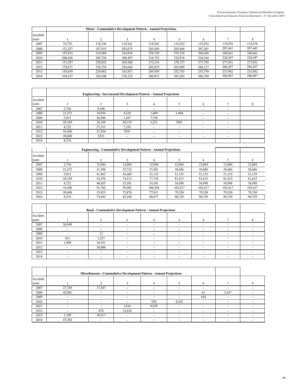|          |         |         | Motor - Cummulative Development Pattern - Annual Projections |         |         |         |         |         |
|----------|---------|---------|--------------------------------------------------------------|---------|---------|---------|---------|---------|
| Accident |         |         |                                                              |         |         |         |         |         |
| vears    |         |         |                                                              | 4       |         | 6       |         |         |
| 2007     | 74,735  | 118.144 | 119,341                                                      | 119,341 | 119,952 | 119,952 | 119,976 | 119,976 |
| 2008     | 121.257 | 187.919 | 203,075                                                      | 205,450 | 205.868 | 207,281 | 207,441 | 207,441 |
| 2009     | 197.815 | 324.089 | 334,034                                                      | 354,728 | 359,228 | 360,458 | 360,661 | 360,661 |
| 2010     | 200.426 | 285,736 | 308,497                                                      | 316,752 | 322,918 | 324.164 | 324,347 | 324,347 |
| 2011     | 151,587 | 258,822 | 269,200                                                      | 273,216 | 276,727 | 277,795 | 277,951 | 277,951 |
| 2012     | 178.671 | 234,754 | 254.664                                                      | 262,019 | 265,094 | 266,117 | 266,267 | 266,267 |
| 2013     | 185.039 | 229,862 | 242,837                                                      | 249,850 | 252,783 | 253,759 | 253,902 | 253,902 |
| 2014     | 234,537 | 350,348 | 370,123                                                      | 380,812 | 385,282 | 386,769 | 386,987 | 386,987 |

|          |        |                          | <b>Engineering - Incremental Development Pattern - Annual Projections</b> |                          |                          |                          |                          |  |
|----------|--------|--------------------------|---------------------------------------------------------------------------|--------------------------|--------------------------|--------------------------|--------------------------|--|
| Accident |        |                          |                                                                           |                          |                          |                          |                          |  |
| years    |        |                          |                                                                           | 4                        |                          | 6                        |                          |  |
| 2007     | 2,736  | 9,348                    |                                                                           |                          |                          |                          |                          |  |
| 2008     | 21,472 | 10,034                   | 4,226                                                                     | 1,469                    | 1,484                    |                          |                          |  |
| 2009     | 5,013  | 36,948                   | 1,447                                                                     | 7,744                    | $\overline{\phantom{a}}$ | $\overline{\phantom{a}}$ | $\overline{\phantom{a}}$ |  |
| 2010     | 28,189 | 26,169                   | 20,155                                                                    | 3,221                    | 3881                     |                          | $\overline{\phantom{a}}$ |  |
| 2011     | 8,722  | 37,313                   | 7,356                                                                     |                          |                          |                          |                          |  |
| 2012     | 54,308 | 37,454                   | 3241                                                                      | $\overline{\phantom{a}}$ | ۰                        |                          |                          |  |
| 2013     | 30,600 | 5233                     |                                                                           | $\overline{\phantom{a}}$ | -                        | $\overline{\phantom{a}}$ |                          |  |
| 2014     | 8,276  | $\overline{\phantom{a}}$ |                                                                           |                          |                          |                          |                          |  |

|          |        |        | <b>Engineering - Cummulative Development Pattern - Annual Projections</b> |         |         |         |         |         |
|----------|--------|--------|---------------------------------------------------------------------------|---------|---------|---------|---------|---------|
| Accident |        |        |                                                                           |         |         |         |         |         |
| years    |        |        |                                                                           | 4       |         | 6       |         | 8       |
| 2007     | 2.736  | 12.084 | 12.084                                                                    | 12.084  | 12.084  | 12.084  | 12.084  | 12.084  |
| 2008     | 21.472 | 31.506 | 35,732                                                                    | 37,201  | 38,686  | 38,686  | 38,686  | 38,686  |
| 2009     | 5,013  | 41.962 | 43.409                                                                    | 51,153  | 51,153  | 51,153  | 51,153  | 51,153  |
| 2010     | 28,189 | 54,358 | 74,513                                                                    | 77,734  | 81,615  | 81,615  | 81,615  | 81,615  |
| 2011     | 8.722  | 46.035 | 53,391                                                                    | 53.391  | 54.998  | 54,998  | 54,998  | 54,998  |
| 2012     | 54,308 | 91,762 | 95,003                                                                    | 100,394 | 103,417 | 103,417 | 103,417 | 103,417 |
| 2013     | 30.600 | 35,833 | 72.876                                                                    | 77.011  | 79.330  | 79.330  | 79,330  | 79,330  |
| 2014     | 8.276  | 73,683 | 83,348                                                                    | 88.077  | 90.729  | 90.729  | 90.729  | 90.729  |

|          |                          | <b>Bond - Cummulative Development Pattern - Annual Projections</b> |        |                          |                          |                          |                          |  |
|----------|--------------------------|--------------------------------------------------------------------|--------|--------------------------|--------------------------|--------------------------|--------------------------|--|
| Accident |                          |                                                                    |        |                          |                          |                          |                          |  |
| years    |                          |                                                                    |        | 4                        |                          | 6                        |                          |  |
| 2007     | 26,949                   | ۰                                                                  | ٠      |                          | ۰                        | ۰                        |                          |  |
| 2008     |                          |                                                                    |        |                          |                          |                          |                          |  |
| 2009     |                          | 12                                                                 |        |                          | -                        |                          |                          |  |
| 2010     | 261                      | 1,327                                                              | $\sim$ | $\overline{\phantom{a}}$ | $\overline{\phantom{a}}$ | $\overline{\phantom{a}}$ | $\overline{\phantom{a}}$ |  |
| 2011     | 1,898                    | 10,551                                                             |        | $\overline{\phantom{a}}$ | $\overline{\phantom{a}}$ | $\overline{\phantom{a}}$ | $\overline{\phantom{a}}$ |  |
| 2012     |                          | 50,000                                                             |        | $\overline{\phantom{a}}$ | ۰                        | -                        | -                        |  |
| 2013     | $\overline{\phantom{a}}$ | $\overline{\phantom{a}}$                                           | -      | $\overline{\phantom{a}}$ | ۰                        | -                        | $\overline{\phantom{a}}$ |  |
| 2014     |                          | ۰                                                                  | ۰      | $\sim$                   | ۰                        |                          |                          |  |

|          |        |                          | Miscellaneous - Cummulative Development Pattern - Annual Projections |                          |                          |                          |       |  |
|----------|--------|--------------------------|----------------------------------------------------------------------|--------------------------|--------------------------|--------------------------|-------|--|
| Accident |        |                          |                                                                      |                          |                          |                          |       |  |
| years    |        |                          | 3                                                                    |                          |                          | 6                        |       |  |
| 2007     | 27,749 | 17,367                   |                                                                      | $\overline{\phantom{a}}$ | $\overline{a}$           | $\overline{\phantom{a}}$ |       |  |
| 2008     | 42,901 | $\overline{a}$           |                                                                      | $\overline{\phantom{a}}$ | $\overline{\phantom{a}}$ | 41                       | 3,437 |  |
| 2009     |        |                          |                                                                      |                          |                          | 644                      |       |  |
| 2010     |        |                          |                                                                      | 920                      | 4,562                    |                          |       |  |
| 2011     |        |                          | 1,616                                                                | 9,629                    |                          |                          |       |  |
| 2012     |        | 474                      | 12,624                                                               |                          |                          |                          |       |  |
| 2013     | ,109   | 38,817                   |                                                                      | $\overline{\phantom{a}}$ | $\overline{\phantom{a}}$ | $\overline{\phantom{a}}$ |       |  |
| 2014     | 47,382 | $\overline{\phantom{a}}$ |                                                                      |                          | $\overline{a}$           |                          |       |  |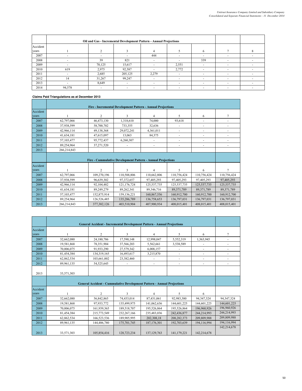|          | Oil and Gas - Incremental Development Pattern - Annual Projections |        |         |                          |       |     |                          |          |
|----------|--------------------------------------------------------------------|--------|---------|--------------------------|-------|-----|--------------------------|----------|
| Accident |                                                                    |        |         |                          |       |     |                          |          |
| years    |                                                                    |        |         |                          |       | 6   |                          | $\Delta$ |
| 2007     |                                                                    |        |         | 444                      |       |     |                          |          |
| 2008     |                                                                    | 39     | 821     |                          |       | 339 |                          |          |
| 2009     | ۰                                                                  | 70,125 | 15,617  |                          | 2,551 |     |                          |          |
| 2010     | 619                                                                | 2,975  | 92,587  |                          | 2,772 |     |                          |          |
| 2011     |                                                                    | 2,685  | 205,125 | 2,279                    | ۰     |     |                          |          |
| 2012     | 14                                                                 | 31,267 | 99,247  | $\overline{\phantom{a}}$ | ۰     |     | $\overline{\phantom{a}}$ |          |
| 2013     |                                                                    | 8,649  |         |                          | ۰     |     |                          |          |
| 2014     | 94,578                                                             |        |         |                          | ۰     |     |                          |          |

# **Claims Paid Triangulations as at December 2013**

|          |             |                | Fire - Incremental Development Pattern - Annual Projections |             |              |             |                |
|----------|-------------|----------------|-------------------------------------------------------------|-------------|--------------|-------------|----------------|
| Accident |             |                |                                                             |             |              |             |                |
| vears    |             | 2              | 3                                                           | 4           | 5            | 6           | 7              |
| 2007     | 62,797,066  | 46,473,130     | 1,318,610                                                   | 74,000      | 93,618       |             |                |
| 2008     | 37,938,599  | 58,700,702     | 733,355                                                     | 32,636      |              | ٠           |                |
| 2009     | 42,966,114  | 49,138,368     | 29,072,241                                                  | 4,361,011   | ٠            |             |                |
| 2010     | 41,634,181  | 47,615,097     | 13,063                                                      | 84,375      | ٠            | ۰           | ٠              |
| 2011     | 57,103,477  | 95,772,437     | 6,260,307                                                   |             |              |             |                |
| 2012     | 89,254,964  | 37,271,520     |                                                             | ٠           | ٠            | ۰           |                |
| 2013     | 266,214,843 |                |                                                             |             |              |             |                |
|          |             |                |                                                             |             |              |             |                |
|          |             |                | Fire - Cummulative Development Pattern - Annual Projections |             |              |             |                |
| Accident |             |                |                                                             |             |              |             |                |
| years    |             | $\overline{2}$ | 3                                                           | 4           | 5            | 6           | $\overline{7}$ |
| 2007     | 62,797,066  | 109,270,196    | 110,588,806                                                 | 110,662,806 | 110,756,424  | 110,756,424 | 110,756,424    |
| 2008     | 37,938,599  | 96,639,302     | 97,372,657                                                  | 97,405,293  | 97,405,293   | 97,405,293  | 97,405,293     |
| 2009     | 42,966,114  | 92,104,482     | 121,176,724                                                 | 125,537,735 | 125,537,735  | 125,537,735 | 125,537,735    |
| 2010     | 41,634,181  | 89,249,279     | 89,262,341                                                  | 89,346,716  | 89, 371, 789 | 89,371,789  | 89, 371, 789   |
| 2011     | 57,103,477  | 152,875,914    | 159, 136, 221                                               | 160,867,556 | 160,912,700  | 160,912,700 | 160,912,700    |
| 2012     | 89,254,964  | 126,526,485    | 135,286,789                                                 | 136,758,653 | 136,797,031  | 136,797,031 | 136,797,031    |
| 2013     | 266,214,843 | 377,382,126    | 403,510,904                                                 | 407,900,934 | 408,015,401  | 408,015,401 | 408,015,401    |

|                   |            | <b>General Accident - Incremental Development Pattern - Annual Projections</b> |             |                |                          |             |              |
|-------------------|------------|--------------------------------------------------------------------------------|-------------|----------------|--------------------------|-------------|--------------|
| Accident          |            |                                                                                |             |                |                          |             |              |
| vears             |            | $\overline{2}$                                                                 | 3           | $\overline{4}$ | 5                        | 6           | 7            |
| 2007              | 32,662,080 | 24,180,786                                                                     | 17,590,148  | 12,998,047     | 5,552,319                | 1,363,945   | ٠            |
| 2008              | 19,581,868 | 78,351,904                                                                     | 37,566,203  | 5,562,661      | 3,538,589                |             |              |
| 2009              | 70,006,075 | 91,933,290                                                                     | 27,579,342  | 6,008,157      |                          |             |              |
| 2010              | 81,454,384 | 134,319,165                                                                    | 16,493,617  | 3,215,870      |                          |             |              |
| 2011              | 62,862,534 | 103,661,002                                                                    | 23,382,460  |                | $\overline{\phantom{a}}$ | ٠           |              |
| 2012              | 89,961,135 | 54,525,645                                                                     |             |                |                          | ۰           |              |
|                   |            |                                                                                |             |                |                          |             |              |
| 2013              | 33,571,303 |                                                                                |             |                |                          |             |              |
|                   |            |                                                                                |             |                |                          |             |              |
|                   |            |                                                                                |             |                |                          |             |              |
|                   |            | <b>General Accident - Cummulative Development Pattern - Annual Projections</b> |             |                |                          |             |              |
|                   |            |                                                                                |             |                |                          |             |              |
| Accident<br>years |            | $\overline{2}$                                                                 | 3           | $\overline{4}$ | 5                        | 6           |              |
| 2007              | 32,662,080 | 56,842,865                                                                     | 74,433,014  | 87,431,061     | 92,983,380               | 94,347,324  | 94, 347, 324 |
| 2008              | 19,581,868 | 97,933,772                                                                     | 135,499,975 | 141,062,636    | 144,601,225              | 144,601,225 | 144,601,225  |
| 2009              | 70,006,075 | 161,939,365                                                                    | 189,518,707 | 195,526,864    | 195,526,864              | 196,960,926 | 196,960,926  |
| 2010              | 81,454,384 | 215,773,549                                                                    | 232,267,166 | 235,483,036    | 242,436,877              | 244,214,993 | 244,214,993  |
| 2011              | 62,862,534 | 166,523,536                                                                    | 189,905,995 | 202,308,18     | 208, 282, 373            | 209,809,988 | 209,809,988  |
| 2012              | 89,961,135 | 144,486,780                                                                    | 175,701,745 | 187,176,301    | 192,703,639              | 194.116.994 | 194,116,994  |
|                   |            |                                                                                |             |                |                          |             | 142,214,678  |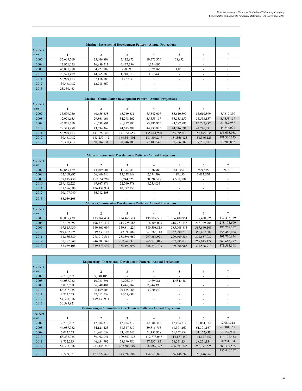|          |             |                | <b>Marine - Incremental Development Pattern - Annual Projections</b> |                |                          |             |                |
|----------|-------------|----------------|----------------------------------------------------------------------|----------------|--------------------------|-------------|----------------|
| Accident |             |                |                                                                      |                |                          |             |                |
| vears    |             | $\overline{c}$ | 3                                                                    | $\overline{4}$ | 5                        | 6           | $\overline{7}$ |
| 2007     | 35,609,760  | 25,046,899     | 5,112,972                                                            | 19,772,376     | 68,892                   |             | ٠              |
| 2008     | 12,971,655  | 16,889,511     | 4,437,296                                                            | 1,254,696      |                          |             |                |
| 2009     | 46,871,710  | 34,727,182     | 258,899                                                              | 1,929,166      | 1,031                    |             |                |
| 2010     | 28,528,489  | 14,865,880     | 1,218,913                                                            | 117,544        | $\overline{\phantom{0}}$ | ٠           | ٠              |
| 2011     | 53,979,153  | 87,118,188     | 157,314                                                              |                |                          |             |                |
| 2012     | 130,468,482 | 12,788,660     |                                                                      |                | ۰                        |             |                |
| 2013     | 23,330,463  |                | ۰                                                                    |                | ۰                        |             | ٠              |
|          |             |                |                                                                      |                |                          |             |                |
|          |             |                | Marine - Cummulative Development Pattern - Annual Projections        |                |                          |             |                |
| Accident |             |                |                                                                      |                |                          |             |                |
| years    |             | $\overline{c}$ | 3                                                                    | 4              | 5                        | 6           |                |
| 2007     | 35,609,760  | 60,656,658     | 65,769,631                                                           | 85,542,007     | 85,610,899               | 85,610,899  | 85,610,899     |
| 2008     | 12,971,655  | 29,861,166     | 34,298,462                                                           | 35,553,157     | 35,553,157               | 35,553,157  | 35,553,157     |
| 2009     | 46,871,710  | 81,598,891     | 81,857,790                                                           | 83,786,956     | 83,787,987               | 83,787,987  | 83,787,987     |
| 2010     | 28,528,489  | 43,394,369     | 44, 613, 282                                                         | 44,730,825     | 44,746,091               | 44,746,091  | 44,746,091     |
| 2011     | 53,979,153  | 141,097,340    | 141,254,654                                                          | 155,641,920    | 155,695,038              | 155,695,038 | 155,695,038    |
| 2012     | 130,468,482 | 143,257,142    | 164,544,801                                                          | 181,304,247    | 181,366,123              | 181,366,123 | 181,366,123    |
| 2013     | 23,330,463  | 60,984,031     | 70,046,108                                                           | 77,180,542     | 77,206,882               | 77,206,882  | 77,206,882     |

|          | Motor - Incremental Development Pattern - Annual Projections |                        |                                                                     |             |             |             |             |
|----------|--------------------------------------------------------------|------------------------|---------------------------------------------------------------------|-------------|-------------|-------------|-------------|
| Accident |                                                              |                        |                                                                     |             |             |             |             |
| years    |                                                              | $\mathcal{D}_{\alpha}$ | 3                                                                   | 4           | 5           | 6           | 7           |
| 2007     | 89,855,429                                                   | 43,409,004             | 1,196,081                                                           | 1,336,986   | 611,450     | 999,875     | 24,513      |
| 2008     | 132,109,897                                                  | 66,460,540             | 15,358,148                                                          | 2,374,509   | 418,050     | 1,413,550   |             |
| 2009     | 197,815,430                                                  | 152,054,269            | 9,944,525                                                           | 20,694,589  | 4,500,000   |             |             |
| 2010     | 219,462,225                                                  | 99,867,879             | 22,760,778                                                          | 8,255,033   |             |             |             |
| 2011     | 151,586,580                                                  | 126,432,934            | 10,377,153                                                          |             |             |             |             |
| 2012     | 190,197,940                                                  | 56,082,408             |                                                                     |             |             |             |             |
| 2013     | 185,039,108                                                  |                        |                                                                     |             |             |             |             |
|          |                                                              |                        | <b>Motor - Cummulative Development Pattern - Annual Projections</b> |             |             |             |             |
| Accident |                                                              |                        |                                                                     |             |             |             |             |
| years    |                                                              | $\mathfrak{D}$         | $\mathbf{3}$                                                        | 4           | 5           | 6           | 7           |
| 2007     | 89,855,429                                                   | 133,264,434            | 134,460,514                                                         | 135,797,501 | 136,408,951 | 137,408,826 | 137,433,339 |
| 2008     | 132,109,897                                                  | 198,570,437            | 213,928,585                                                         | 216,303,095 | 216,721,145 | 218,309,706 | 218,173,609 |
| 2009     | 197,815,430                                                  | 349,869,699            | 359,814,224                                                         | 380,508,813 | 385,008,813 | 387,640,109 | 387,709,262 |
| 2010     | 219,462,225                                                  | 319,330,103            | 342,090,882                                                         | 361,766,118 | 352,990,213 | 355,402,682 | 355,466,084 |
| 2011     | 151,586,580                                                  | 278,019,514            | 288,396,667                                                         | 297,364,971 | 299,609,386 | 301,657,030 | 301,710,844 |
| 2012     | 190,197,940                                                  | 246,280,348            | 257, 763, 320                                                       | 265,779,015 | 267,785,030 | 269,615,174 | 269,663,272 |
| 2013     | 185,039,108                                                  | 339, 373, 597          | 355,197,099                                                         | 366,242,703 | 369,006,985 | 371,528,919 | 371,595,198 |

|          |            | <b>Engineering - Incremental Development Pattern - Annual Projections</b> |                                                                           |             |               |               |                |  |
|----------|------------|---------------------------------------------------------------------------|---------------------------------------------------------------------------|-------------|---------------|---------------|----------------|--|
| Accident |            |                                                                           |                                                                           |             |               |               |                |  |
| years    |            | $\mathfrak{D}$                                                            | 3                                                                         | 4           | 5             | 6             | 7              |  |
| 2007     | 2,736,207  | 9,348,105                                                                 |                                                                           |             |               | ٠             |                |  |
| 2008     | 44,087,732 | 10,033,691                                                                | 4,226,214                                                                 | 1,469,081   | 1,484,448     | ٠             | ٠              |  |
| 2009     | 5,013,258  | 36,948,401                                                                | 1,446,884                                                                 | 7,744,395   |               |               |                |  |
| 2010     | 63,232,935 | 26,169,106                                                                | 20,155,084                                                                | 3,220,942   | ٠             | ٠             |                |  |
| 2011     | 8,722,233  | 37, 312, 559                                                              | 7,355,988                                                                 |             | ٠             | ٠             |                |  |
| 2012     | 54,308,316 | 179,139,931                                                               |                                                                           |             |               | ۰             |                |  |
| 2013     | 30,599,921 |                                                                           |                                                                           |             |               | ٠             |                |  |
|          |            |                                                                           | <b>Engineering - Cummulative Development Pattern - Annual Projections</b> |             |               |               |                |  |
| Accident |            |                                                                           |                                                                           |             |               |               |                |  |
| years    |            | $\overline{2}$                                                            | 3                                                                         | 4           | 5.            | 6             | $\overline{7}$ |  |
| 2007     | 2,736,207  | 12,084,312                                                                | 12,084,312                                                                | 12,084,312  | 12,084,312    | 12,084,312    | 12,084,312     |  |
| 2008     | 44,087,732 | 54,121,423                                                                | 58,347,637                                                                | 59,816,718  | 61,301,167    | 61,301,167    | 61,301,167     |  |
| 2009     | 5,013,258  | 41,961,659                                                                | 43,408,543                                                                | 51,152,938  | 51,152,938    | 51,152,938    | 51,152,938     |  |
| 2010     | 63,232,935 | 89,402,041                                                                | 109,557,125                                                               | 112,778,067 | 114, 177, 452 | 114, 177, 452 | 114, 177, 452  |  |
| 2011     | 8,722,233  | 46,034,792                                                                | 53,390,780                                                                | 57,537,195  | 58,251,134    | 58,251,134    | 58,251,134     |  |
| 2012     | 54,308,316 | 233,448,246                                                               | 262,501,107                                                               | 282,887,372 | 286, 397, 525 | 286, 397, 525 | 286, 397, 525  |  |
| 2013     | 30,599,921 | 127,522,420                                                               | 143,392,709                                                               | 154,528,821 | 156,446,262   | 156,446,262   | 156,446,262    |  |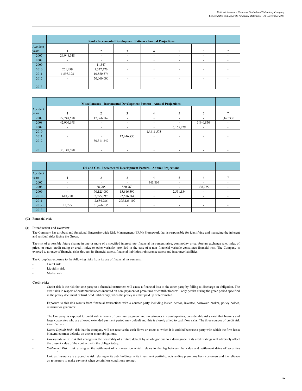|          |            | <b>Bond - Incremental Development Pattern - Annual Projections</b> |  |                          |    |   |
|----------|------------|--------------------------------------------------------------------|--|--------------------------|----|---|
| Accident |            |                                                                    |  |                          |    |   |
| years    |            |                                                                    |  |                          | h. |   |
| 2007     | 26,948,548 |                                                                    |  |                          |    |   |
| 2008     |            |                                                                    |  | $\overline{\phantom{a}}$ |    |   |
| 2009     |            | 11,547                                                             |  |                          |    |   |
| 2010     | 261,499    | 1,327,376                                                          |  |                          | -  |   |
| 2011     | 1,898,398  | 10,550,576                                                         |  | $\overline{\phantom{a}}$ |    |   |
| 2012     |            | 50,000,000                                                         |  | $\overline{\phantom{a}}$ | ۰  | ۰ |
| 2013     |            |                                                                    |  |                          |    |   |

|          |            | Miscellaneous - Incremental Development Pattern - Annual Projections |            |            |           |           |           |  |
|----------|------------|----------------------------------------------------------------------|------------|------------|-----------|-----------|-----------|--|
| Accident |            |                                                                      |            |            |           |           |           |  |
| vears    |            | ◠                                                                    |            |            |           | 6         |           |  |
| 2007     | 27,748,678 | 17,366,567                                                           |            |            |           | -         | 1,167,938 |  |
| 2008     | 42,900,698 |                                                                      |            |            |           | 5,840,850 |           |  |
| 2009     |            | $\overline{a}$                                                       |            |            | 6,165,729 | ۰         |           |  |
| 2010     |            |                                                                      |            | 15,411,575 |           |           |           |  |
| 2011     |            |                                                                      | 12,446,850 |            |           | ۰         |           |  |
| 2012     |            | 30, 311, 247                                                         |            |            |           | ۰         |           |  |
|          |            |                                                                      |            |            |           |           |           |  |
| 2013     | 35,147,588 |                                                                      |            |            |           | ۰         |           |  |

|          |         | Oil and Gas - Incremental Development Pattern - Annual Projections |             |         |           |         |  |  |
|----------|---------|--------------------------------------------------------------------|-------------|---------|-----------|---------|--|--|
| Accident |         |                                                                    |             |         |           |         |  |  |
| years    |         |                                                                    |             |         |           | 6       |  |  |
| 2007     |         |                                                                    |             | 443,804 |           |         |  |  |
| 2008     |         | 38,905                                                             | 820,763     |         |           | 338,785 |  |  |
| 2009     |         | 70,125,000                                                         | 15,616,590  |         | 2,551,134 |         |  |  |
| 2010     | 618,750 | 2,975,099                                                          | 92,586,564  |         |           |         |  |  |
| 2011     |         | 2,684,786                                                          | 205,125,109 |         | ۰         |         |  |  |
| 2012     | 13,795  | 31,266,636                                                         |             |         |           |         |  |  |
| 2013     |         |                                                                    |             |         |           |         |  |  |

#### **(C) Financial risk**

#### **(a) Introduction and overview**

The Company has a robust and functional Enterprise-wide Risk Management (ERM) Framework that is responsible for identifying and managing the inherent and residual risks facing the Group.

The risk of a possible future change in one or more of a specified interest rate, financial instrument price, commodity price, foreign exchange rate, index of prices or rates, credit rating or credit index or other variable, provided in the case of a non–financial variable constitutes financial risk. The Company is exposed to a range of financial risks through its financial assets, financial liabilities, reinsurance assets and insurance liabilities.

The Group has exposure to the following risks from its use of financial instruments:

- Credit risk
- Liquidity risk
- Market risk

**Credit risks**

Credit risk is the risk that one party to a financial instrument will cause a financial loss to the other party by failing to discharge an obligation. The credit risk in respect of customer balances incurred on non–payment of premiums or contributions will only persist during the grace period specified in the policy document or trust deed until expiry, when the policy is either paid up or terminated.

Exposure to this risk results from financial transactions with a counter party including issuer, debtor, investee, borrower, broker, policy holder, reinsurer or guarantor.

The Company is exposed to credit risk in terms of premium payment and investments in counterparties, considerable risks exist that brokers and large corporates who are allowed extended payment period may default and this is closely allied to cash flow risks. The three sources of credit risk identified are:

- *Direct Default Risk:* risk that the company will not receive the cash flows or assets to which it is entitled because a party with which the firm has a bilateral contract defaults on one or more obligations.
- *Downgrade Risk:* risk that changes in the possibility of a future default by an obligor due to a downgrade in its credit ratings will adversely affect the present value of the contract with the obligor today.
- *Settlement Risk:* risk arising at the settlement of a transaction which relates to the lag between the value and settlement dates of securities

Unitrust Insurance is exposed to risk relating to its debt holdings in its investment portfolio, outstanding premiums from customers and the reliance i on reinsurers to make payment when certain loss conditions are met.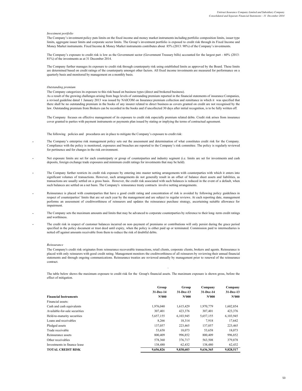#### *Investment portfolio*

The Company's investment policy puts limits on the fixed income and money market instruments including portfolio composition limits, issuer type limits, aggregate issuer limits and corporate sector limits. The Group's investment portfolio is exposed to credit risk through its Fixed Income and Money Market instruments. Fixed Income & Money Market instruments contributes about 85% (2013: 90%) of the Company's investments.

The Company's exposure to credit risk is low as the Government sector (Government Treasury bills) accounted for the largest part - 60% (2013: 81%) of the investments as at 31 December 2014.

The Company further manages its exposure to credit risk through counterparty risk using established limits as approved by the Board. These limits are determined based on credit ratings of the counterparty amongst other factors. All fixed income investments are measured for performance on a quarterly basis and monitored by management on a monthly basis.

#### *Outstanding premium*

The Company categorizes its exposure to this risk based on business types (direct and brokered business).

As a result of the growing challenges arising from huge levels of outstanding premium reported in the financial statements of insurance Companies, a revised guideline dated 1 January 2013 was issued by NAICOM on Insurance premium collection and remittance in which it was specified that there shall be no outstanding premium in the books of any insurer related to direct business as covers granted on credit are not recognised by the law. Outstanding premium from Brokers can be recorded in the books and if uncollected 30 days after initial recognition, is to be fully written off.

The Company focuses on effective management of its exposure to credit risk especially premium related debts. Credit risk arises from insurance cover granted to parties with payment instruments or payments plan issued by stating or implying the terms of contractual agreement.

The following policies and procedures are in place to mitigate the Company's exposure to credit risk:

- **-** The Company's enterprise risk management policy sets out the assessment and determination of what constitutes credit risk for the Company. Compliance with the policy is monitored, exposures and breaches are reported to the Company's risk committee. The policy is regularly reviewed for pertinence and for changes in the risk environment.
- **-** Net exposure limits are set for each counterparty or group of counterparties and industry segment (i.e. limits are set for investments and cash deposits, foreign exchange trade exposures and minimum credit ratings for investments that may be held).
- **-** The Company further restricts its credit risk exposure by entering into master netting arrangements with counterparties with which it enters into significant volumes of transactions. However, such arrangements do not generally result in an offset of balance sheet assets and liabilities, as transactions are usually settled on a gross basis. However, the credit risk associated with such balances is reduced in the event of a default, when such balances are settled on a net basis. The Company's reinsurance treaty contracts involve netting arrangements.
- **-** Reinsurance is placed with counterparties that have a good credit rating and concentration of risk is avoided by following policy guidelines in respect of counterparties' limits that are set each year by the management and are subject to regular reviews. At each reporting date, management performs an assessment of creditworthiness of reinsurers and updates the reinsurance purchase strategy, ascertaining suitable allowance for impairment.
- **-** The Company sets the maximum amounts and limits that may be advanced to corporate counterparties by reference to their long–term credit ratings and worthiness.
- **-** The credit risk in respect of customer balances incurred on non–payment of premiums or contributions will only persist during the grace period specified in the policy document or trust deed until expiry, when the policy is either paid up or terminated. Commission paid to intermediaries is netted off against amounts receivable from them to reduce the risk of doubtful debts.

### *Reinsurance*

The Company's credit risk originates from reinsurance recoverable transactions, retail clients, corporate clients, brokers and agents. Reinsurance is placed with only reinsurers with good credit rating. Management monitors the creditworthiness of all reinsurers by reviewing their annual financial statements and through ongoing communications. Reinsurance treaties are reviewed annually by management prior to renewal of the reinsurance contract.

The table below shows the maximum exposure to credit risk for the Group's financial assets. The maximum exposure is shown gross, before the effect of mitigation.

`

|                               | Group     | Group     | Company   | Company   |
|-------------------------------|-----------|-----------|-----------|-----------|
|                               | 31-Dec-14 | 31-Dec-13 | 31-Dec-14 | 31-Dec-13 |
| <b>Financial Instruments</b>  | N'000     | N'000     | N'000     | N'000     |
| Financial assets:             |           |           |           |           |
| Cash and cash equivalents     | 1,976,040 | 1,615,429 | 1,970,779 | 1,602,854 |
| Available-for-sale securities | 307,401   | 423,376   | 307,401   | 423,376   |
| Held-to-maturity securities   | 5,657,155 | 6,103,945 | 5,657,155 | 6,103,945 |
| Loans and receivables         | 8,266     | 18,314    | 7.918     | 17,642    |
| Pledged assets                | 137,057   | 223,465   | 137,057   | 223,465   |
| Trade receivable              | 53,658    | 18,073    | 53,658    | 18,073    |
| Reinsurance assets            | 800.409   | 996,852   | 800.409   | 996,852   |
| Other receivables             | 578,360   | 376,717   | 563,508   | 379,878   |
| Investments in finance lease  | 138,480   | 62,432    | 138,480   | 62,432    |
| <b>TOTAL CREDIT RISK</b>      | 9,656,826 | 9,838,603 | 9,636,365 | 9,828,517 |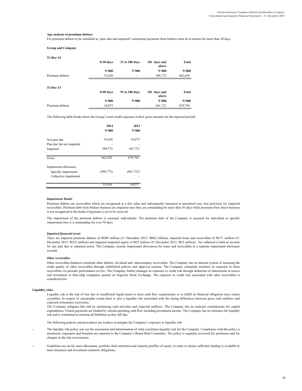#### **Age analysis of premium debtors**

For premium debtors to be classified as 'past–due and impaired' contractual payments from brokers must be in arrears for more than 30 days.

**Group and Company**

| 31-Dec-14       |             |                |                       |         |
|-----------------|-------------|----------------|-----------------------|---------|
|                 | $0-30$ days | 31 to 180 days | 181 days and<br>above | Total   |
|                 | N'000       | N'000          | N'000                 | N'000   |
| Premium debtors | 53,658      | ۰              | 388,772               | 442,430 |
|                 |             |                |                       |         |
| 31-Dec-13       |             |                |                       |         |
|                 | $0-90$ days | 91 to 180 days | 181 days and<br>above | Total   |
|                 | N'000       | N'000          | N'000                 | N'000   |
| Premium debtors | 18,073      |                | 661,721               | 679,794 |
|                 |             |                |                       |         |

The following table breaks down the Group's main credit exposure at their gross amounts for the reported periods.

|                                             | 2014       | 2013      |
|---------------------------------------------|------------|-----------|
|                                             | N'000      | N'000     |
| Not past due                                | 53,658     | 18,073    |
| Past due but not impaired                   |            |           |
| Impaired                                    | 388,772    | 661,721   |
| Gross                                       | 442,430    | 679,794   |
| Impairment allowance<br>Specific impairment | (388, 772) | (661,721) |
| Collective impairment                       |            |           |
|                                             | 53,658     | 18,0      |

#### *Impairment Model*

Premium debtors are receivables which are recognized at a fair value and subsequently measured at amortized cost, less provision for impaired receivables. Premium debt from brokers business are impaired once they are outstanding for more than 30 days while premium from direct business is not recognized in the books if payment is yet to be received.

The impairment of the premium debtors is assessed individually. The premium debt of the Company is assessed for individual or specific impairment once it is outstanding for over 30 days.

#### *Impaired financial assets*

There are impaired premium debtors of ₦389 million (31 December 2013: ₦662 billion), impaired loans and receivables of ₦171 million (31 December 2013: ₦222 million) and impaired unquoted equity of ₦25 million (31 December 2013: ₦25 million) . No collateral is held as security for any past due or impaired assets. The Company records impairment allowances for loans and receivables in a separate impairment allowance account.

#### *Other receivables*

Other receivables balances constitute other debtors, dividend and intercompany receivables. The Company has an internal system of assessing the credit quality of other receivables through established policies and approval systems. The Company constantly monitors its exposure to these receivables via periodic performance review. The Company further manages its exposure to credit risk through deduction of transactions at source and investment in blue-chip companies quoted on Nigerian Stock Exchange. The exposure to credit risk associated with other receivables is considered low.

### **Liquidity risks**

Liquidity risk is the risk of loss due to insufficient liquid assets to meet cash flow requirements or to fulfill its financial obligation once claims crystallize. In respect of catastrophe events there is also a liquidity risk associated with the timing differences between gross cash outflows and expected reinsurance recoveries.

The Company mitigates this risk by monitoring cash activities and expected outflows. The Company has no material commitments for capital expenditures. Claims payments are funded by current operating cash flow including investment income. The Company has no tolerance for liquidity risk and is committed to meeting all liabilities as they fall due.

The following policies and procedures are in place to mitigate the Company's exposure to liquidity risk:

- **-** The liquidity risk policy sets out the assessment and determination of what constitutes liquidity risk for the Company. Compliance with the policy is monitored, exposures and breaches are reported to the Company's Board Risk Committee. The policy is regularly reviewed for pertinence and for changes in the risk environment.
- **-** Guidelines are set for asset allocations, portfolio limit structures and maturity profiles of assets, in order to ensure sufficient funding is available to meet insurance and investment contracts obligations.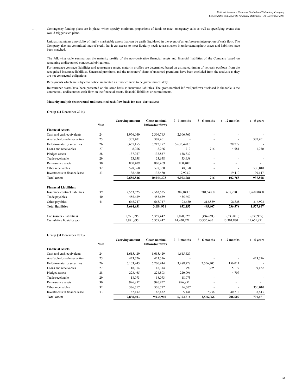#### Contingency funding plans are in place, which specify minimum proportions of funds to meet emergency calls as well as specifying events that would trigger such plans.

Unitrust maintains a portfolio of highly marketable assets that can be easily liquidated in the event of an unforeseen interruption of cash flow. The Company also has committed lines of credit that it can access to meet liquidity needs to assist users in understanding how assets and liabilities have been matched.

The following table summarizes the maturity profile of the non–derivative financial assets and financial liabilities of the Company based on remaining undiscounted contractual obligations.

For insurance contracts liabilities and reinsurance assets, maturity profiles are determined based on estimated timing of net cash outflows from the recognised insurance liabilities. Unearned premiums and the reinsurers' share of unearned premiums have been excluded from the analysis as they are not contractual obligations.

Repayments which are subject to notice are treated as if notice were to be given immediately.

Reinsurance assets have been presented on the same basis as insurance liabilities. The gross nominal inflow/(outflow) disclosed in the table is the contractual, undiscounted cash flow on the financial assets, financial liabilities or commitments.

### **Maturity analysis (contractual undiscounted cash flow basis for non–derivatives)**

### **Group (31 December 2014)**

**-**

|                                | <b>Note</b> | Carrying amount | <b>Gross nominal</b><br>Inflow/(outflow) | $0 - 3$ months | $3 - 6$ months | $6 - 12$ months | $1 - 5$ years |
|--------------------------------|-------------|-----------------|------------------------------------------|----------------|----------------|-----------------|---------------|
| <b>Financial Assets:</b>       |             |                 |                                          |                |                |                 |               |
| Cash and cash equivalents      | 24          | 1,976,040       | 2,306,765                                | 2,306,765      |                |                 |               |
| Available-for-sale securities  | 25          | 307,401         | 307,401                                  |                |                |                 | 307,401       |
| Held-to-maturity securities    | 26          | 5,657,155       | 5,712,197                                | 5,633,420.0    |                | 78,777          |               |
| Loans and receivables          | 27          | 8,266           | 8,266                                    | 1,719          | 716            | 4,581           | 1,250         |
| Pledged assets                 | 28          | 137,057         | 138,837                                  | 138,837        |                |                 |               |
| Trade receivable               | 29          | 53,658          | 53,658                                   | 53,658         |                |                 |               |
| Reinsurance assets             | 30          | 800,409         | 800,409                                  | 800,409        |                |                 |               |
| Other receivables              | 32          | 578,360         | 578,360                                  | 48,350         |                |                 | 530,010       |
| Investments in finance lease   | 33          | 138,480         | 138,480                                  | 19,923.0       |                | 19,410          | 99,147        |
| <b>Total assets</b>            |             | 9,656,826       | 10,044,373                               | 9,003,081      | 716            | 102,768         | 937,808       |
| <b>Financial Liabilities:</b>  |             |                 |                                          |                |                |                 |               |
| Insurance contract liabilities | 39          | 2,563,525       | 2,563,525                                | 382,843.0      | 281,548.0      | 638,250.0       | 1,260,884.0   |
| Trade payables                 | 40          | 455,659         | 455,659                                  | 455,659        |                |                 |               |
| Other payables                 | 41          | 665,747         | 665,747                                  | 93,650         | 213,859        | 98,328          | 316,923       |
| <b>Total liabilities</b>       |             | 3,684,931       | 3,684,931                                | 932,152        | 495,407        | 736,578         | 1,577,807     |
| Gap (assets - liabilities)     |             | 5,971,895       | 6,359,442                                | 8,070,929      | (494, 691)     | (633, 810)      | (639,999)     |
| Cumulative liquidity gap       |             | 5,971,895       | 6,359,442                                | 14,430,371     | 13,935,680     | 13,301,870      | 12,661,871    |

#### **Group (31 December 2013)**

|                               | <b>Note</b> | Carrying amount | <b>Gross nominal</b><br>Inflow/(outflow) | $0 - 3$ months | $3 - 6$ months | $6 - 12$ months | $1 - 5$ years |
|-------------------------------|-------------|-----------------|------------------------------------------|----------------|----------------|-----------------|---------------|
| <b>Financial Assets:</b>      |             |                 |                                          |                |                |                 |               |
| Cash and cash equivalents     | 24          | 1.615.429       | 1,615,429                                | 1.615.429      |                |                 |               |
| Available-for-sale securities | 25          | 423,376         | 423,376                                  |                |                |                 | 423,376       |
| Held-to-maturity securities   | 26          | 6,103,945       | 6.200.944                                | 3,488,728      | 2.556.205      | 156.011         |               |
| Loans and receivables         | 27          | 18,314          | 18,314                                   | 1,790          | 1,925          | 5,177           | 9,422         |
| Pledged assets                | 28          | 223,465         | 224,803                                  | 220,096        |                | 4,707           |               |
| Trade receivable              | 29          | 18,073          | 18,073                                   | 18.073         |                |                 |               |
| Reinsurance assets            | 30          | 996,852         | 996,852                                  | 996,852        |                |                 | ۰             |
| Other receivables             | 32          | 376,717         | 376,717                                  | 26,707         |                |                 | 350,010       |
| Investments in finance lease  | 33          | 62,432          | 62,432                                   | 5,141          | 7,936          | 40,712          | 8,643         |
| <b>Total assets</b>           |             | 9,838,603       | 9,936,940                                | 6,372,816      | 2,566,066      | 206,607         | 791,451       |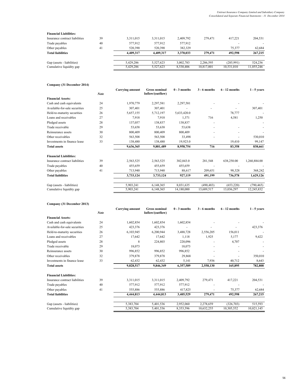### **Financial Liabilities:**

| Insurance contract liabilities | 39 | 3,311,015 | 3,311,015 | 2,409,792 | 279.471    | 417.221    | 204,531    |
|--------------------------------|----|-----------|-----------|-----------|------------|------------|------------|
| Trade payables                 | 40 | 577.912   | 577.912   | 577.912   |            |            |            |
| Other payables                 | 41 | 520.390   | 520.390   | 382.329   |            | 75.377     | 62,684     |
| <b>Total liabilities</b>       |    | 4.409.317 | 4.409.317 | 3.370.033 | 279,471    | 492,598    | 267,215    |
| Gap (assets - liabilities)     |    | 5.429.286 | 5.527.623 | 3.002.783 | 2.286.595  | (285.991)  | 524.236    |
| Cumulative liquidity gap       |    | 5.429.286 | 5,527,623 | 8,530,406 | 10,817,001 | 10,531,010 | 11,055,246 |

**Company (31 December 2014)**

|                                | <b>Note</b> | <b>Carrying amount</b> | <b>Gross nominal</b><br>Inflow/(outflow) | $0 - 3$ months | 3 - 6 months | $6 - 12$ months | $1 - 5$ years |
|--------------------------------|-------------|------------------------|------------------------------------------|----------------|--------------|-----------------|---------------|
| <b>Financial Assets:</b>       |             |                        |                                          |                |              |                 |               |
| Cash and cash equivalents      | 24          | 1,970,779              | 2,297,581                                | 2,297,581      |              |                 |               |
| Available-for-sale securities  | 25          | 307,401                | 307,401                                  |                |              |                 | 307,401       |
| Held-to-maturity securities    | 26          | 5,657,155              | 5,712,197                                | 5,633,420.0    |              | 78,777          |               |
| Loans and receivables          | 27          | 7,918                  | 7,918                                    | 1,371          | 716          | 4,581           | 1,250         |
| Pledged assets                 | 28          | 137,057                | 138,837                                  | 138,837        |              |                 |               |
| Trade receivable               | 29          | 53,658                 | 53,638                                   | 53,638         |              |                 |               |
| Reinsurance assets             | 30          | 800,409                | 800,409                                  | 800,409        |              |                 |               |
| Other receivables              | 32          | 563,508                | 563,508                                  | 33,498         |              |                 | 530,010       |
| Investments in finance lease   | 33          | 138,480                | 138,480                                  | 19,923.0       |              | 19.410          | 99,147        |
| <b>Total assets</b>            |             | 9,636,365              | 9,881,489                                | 8,958,754      | 716          | 83,358          | 838,661       |
| <b>Financial Liabilities:</b>  |             |                        |                                          |                |              |                 |               |
| Insurance contract liabilities | 39          | 2,563,525              | 2,563,525                                | 382,843.0      | 281,548      | 638,250.00      | 1,260,884.00  |
| Trade payables                 | 40          | 455,659                | 455,659                                  | 455,659        |              |                 |               |
| Other payables                 | 41          | 713,940                | 713,940                                  | 88,617         | 209,651      | 98,328          | 368,242       |
| <b>Total liabilities</b>       |             | 3,733,124              | 3,733,124                                | 927,119        | 491,199      | 736,578         | 1,629,126     |
| Gap (assets - liabilities)     |             | 5,903,241              | 6,148,365                                | 8,031,635      | (490, 483)   | (653, 220)      | (790, 465)    |
| Cumulative liquidity gap       |             | 5,903,241              | 6,148,365                                | 14,180,000     | 13,689,517   | 13,036,297      | 12,245,832    |

### **Company (31 December 2013)**

|                                | <b>Note</b> | <b>Carrying amount</b> | <b>Gross nominal</b><br>Inflow/(outflow) | $0 - 3$ months | $3 - 6$ months | $6 - 12$ months | $1 - 5$ years |
|--------------------------------|-------------|------------------------|------------------------------------------|----------------|----------------|-----------------|---------------|
| <b>Financial Assets:</b>       |             |                        |                                          |                |                |                 |               |
| Cash and cash equivalents      | 24          | 1,602,854              | 1,602,854                                | 1,602,854      |                |                 |               |
| Available-for-sale securities  | 25          | 423,376                | 423,376                                  |                |                |                 | 423,376       |
| Held-to-maturity securities    | 26          | 6,103,945              | 6,200,944                                | 3,488,728      | 2,556,205      | 156,011         |               |
| Loans and receivables          | 27          | 17,642                 | 17,642                                   | 1,118          | 1,925          | 5,177           | 9,422         |
| Pledged assets                 | 28          | 8                      | 224,803                                  | 220,096        |                | 4,707           |               |
| Trade receivable               | 29          | 18,073                 |                                          | 18,073         |                |                 |               |
| Reinsurance assets             | 30          | 996,852                | 996,852                                  | 996,852        |                |                 |               |
| Other receivables              | 32          | 379,878                | 379,878                                  | 29,868         |                |                 | 350,010       |
| Investments in finance lease   | 33          | 62,432                 | 62,432                                   | 5,141          | 7,936          | 40,712          | 8,643         |
| <b>Total assets</b>            |             | 9,828,517              | 9,846,349                                | 6,357,589      | 2,558,130      | 165,895         | 782,808       |
| <b>Financial Liabilities:</b>  |             |                        |                                          |                |                |                 |               |
| Insurance contract liabilities | 39          | 3,311,015              | 3,311,015                                | 2,409,792      | 279,471        | 417,221         | 204,531       |
| Trade payables                 | 40          | 577,912                | 577,912                                  | 577,912        |                |                 |               |
| Other payables                 | 41          | 555,886                | 555,886                                  | 417,825        |                | 75,377          | 62,684        |
| <b>Total liabilities</b>       |             | 4,444,813              | 4,444,813                                | 3,405,529      | 279,471        | 492,598         | 267,215       |
| Gap (assets - liabilities)     |             | 5,383,704              | 5,401,536                                | 2,952,060      | 2,278,659      | (326, 703)      | 515,593       |
| Cumulative liquidity gap       |             | 5,383,704              | 5,401,536                                | 8,353,596      | 10,632,255     | 10,305,552      | 10,821,145    |
|                                |             |                        |                                          |                |                |                 |               |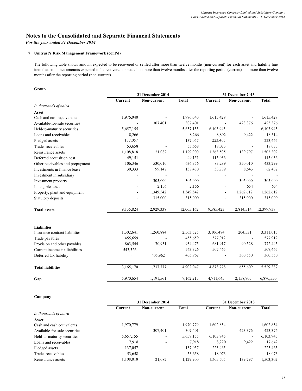# **Notes to the Consolidated and Separate Financial Statements**

*For the year ended 31 December 2014*

### **7 Unitrust's Risk Management Framework (cont'd)**

The following table shows amount expected to be recovered or settled after more than twelve months (non-current) for each asset and liability line item that combines amounts expected to be recovered or settled no more than twelve months after the reporting period (current) and more than twelve months after the reporting period (non-current).

## **Group**

|                                  | 31 December 2014 |             |              | 31 December 2013         |                          |              |
|----------------------------------|------------------|-------------|--------------|--------------------------|--------------------------|--------------|
|                                  | Current          | Non-current | <b>Total</b> | Current                  | Non-current              | <b>Total</b> |
| In thousands of naira            |                  |             |              |                          |                          |              |
| Asset                            |                  |             |              |                          |                          |              |
| Cash and cash equivalents        | 1,976,040        |             | 1,976,040    | 1,615,429                |                          | 1,615,429    |
| Available-for-sale securities    |                  | 307,401     | 307,401      |                          | 423,376                  | 423,376      |
| Held-to-maturity securities      | 5,657,155        |             | 5,657,155    | 6,103,945                | $\blacksquare$           | 6,103,945    |
| Loans and receivables            | 8,266            |             | 8,266        | 8,892                    | 9,422                    | 18,314       |
| Pledged assets                   | 137,057          |             | 137,057      | 223,465                  |                          | 223,465      |
| Trade receivables                | 53,658           |             | 53,658       | 18,073                   | $\overline{\phantom{a}}$ | 18,073       |
| Reinsurance assets               | 1,108,818        | 21,082      | 1,129,900    | 1,363,505                | 139,797                  | 1,503,302    |
| Deferred acquisition cost        | 49,151           |             | 49,151       | 115,036                  | $\blacksquare$           | 115,036      |
| Other receivables and prepayment | 106,346          | 530,010     | 636,356      | 83,289                   | 350,010                  | 433,299      |
| Investments in finance lease     | 39,333           | 99,147      | 138,480      | 53,789                   | 8,643                    | 62,432       |
| Investment in subsidiary         |                  |             |              | ÷,                       | $\blacksquare$           |              |
| Investment property              |                  | 305,000     | 305,000      | $\overline{\phantom{a}}$ | 305,000                  | 305,000      |
| Intangible assets                |                  | 2,156       | 2,156        |                          | 654                      | 654          |
| Property, plant and equipment    |                  | 1,349,542   | 1,349,542    |                          | 1,262,612                | 1,262,612    |
| Statutory deposits               |                  | 315,000     | 315,000      |                          | 315,000                  | 315,000      |
| <b>Total assets</b>              | 9,135,824        | 2,929,338   | 12,065,162   | 9,585,423                | 2,814,514                | 12,399,937   |
| <b>Liabilities</b>               |                  |             |              |                          |                          |              |
| Insurance contract liabilities   | 1,302,641        | 1,260,884   | 2,563,525    | 3,106,484                | 204,531                  | 3,311,015    |
| Trade payables                   | 455,659          |             | 455,659      | 577,912                  | $\overline{\phantom{a}}$ | 577,912      |
| Provision and other payables     | 863,544          | 70,931      | 934,475      | 681,917                  | 90,528                   | 772,445      |
| Current income tax liabilities   | 543,326          |             | 543,326      | 507,465                  |                          | 507,465      |
| Deferred tax liability           |                  | 405,962     | 405,962      |                          | 360,550                  | 360,550      |
| <b>Total liabilities</b>         | 3,165,170        | 1,737,777   | 4,902,947    | 4,873,778                | 655,609                  | 5,529,387    |
| Gap                              | 5,970,654        | 1,191,561   | 7,162,215    | 4,711,645                | 2,158,905                | 6,870,550    |

### **Company**

|                               |           | 31 December 2014         |              |           | 31 December 2013             |              |  |
|-------------------------------|-----------|--------------------------|--------------|-----------|------------------------------|--------------|--|
|                               | Current   | Non-current              | <b>Total</b> | Current   | Non-current                  | <b>Total</b> |  |
| In thousands of naira         |           |                          |              |           |                              |              |  |
| Asset                         |           |                          |              |           |                              |              |  |
| Cash and cash equivalents     | 1,970,779 | $\overline{\phantom{a}}$ | 1,970,779    | 1,602,854 | $\qquad \qquad \blacksquare$ | .602,854     |  |
| Available-for-sale securities |           | 307,401                  | 307,401      | -         | 423,376                      | 423,376      |  |
| Held-to-maturity securities   | 5,657,155 | $\overline{\phantom{a}}$ | 5,657,155    | 6,103,945 | $\overline{\phantom{a}}$     | 6,103,945    |  |
| Loans and receivables         | 7,918     | -                        | 7,918        | 8,220     | 9,422                        | 17,642       |  |
| Pledged assets                | 137,057   | $\overline{\phantom{a}}$ | 137,057      | 223,465   | $\qquad \qquad \blacksquare$ | 223,465      |  |
| Trade receivables             | 53,658    | ۰                        | 53,658       | 18,073    | -                            | 18,073       |  |
| Reinsurance assets            | 1,108,818 | 21,082                   | 1,129,900    | 1,363,505 | 139,797                      | 1,503,302    |  |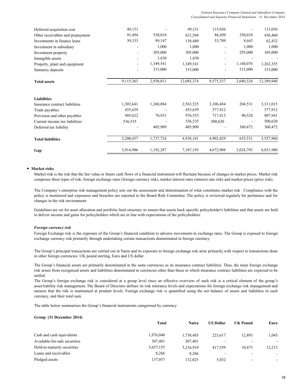*Unitrust Insurance Company Limited and Subsidiary Company Consolidated and Separate Financial Statements - 31 December 2014*

| Deferred acquisition cost        | 49,151    |           | 49,151     | 115,036                      |           | 115,036    |
|----------------------------------|-----------|-----------|------------|------------------------------|-----------|------------|
| Other receivables and prepayment | 91,494    | 530,010   | 621,504    | 86,450                       | 350,010   | 436,460    |
| Investments in finance lease     | 39,333    | 99,147    | 138,480    | 53,789                       | 8,643     | 62,432     |
| Investment in subsidiary         |           | 1,000     | 1,000      | $\qquad \qquad \blacksquare$ | 1,000     | 1,000      |
| Investment property              |           | 305,000   | 305,000    | ٠                            | 293,000   | 305,000    |
| Intangible assets                |           | 1,830     | 1,830      |                              |           |            |
| Property, plant and equipment    |           | 1,349,541 | 1,349,541  | $\overline{\phantom{0}}$     | 1,140,076 | 1,262,355  |
| Statutory deposits               |           | 315,000   | 315,000    |                              | 315,000   | 315,000    |
| <b>Total assets</b>              | 9,115,363 | 2,930,011 | 12,045,374 | 9,575,337                    | 2,680,324 | 12,389,940 |
|                                  |           |           |            |                              |           |            |
| <b>Liabilities</b>               |           |           |            |                              |           |            |
| Insurance contract liabilities   | 1,302,641 | 1,260,884 | 2,563,525  | 3,106,484                    | 204,531   | 3,311,015  |
| Trade payables                   | 455,659   |           | 455,659    | 577,912                      |           | 577,912    |
| Provision and other payables     | 905,622   | 70,931    | 976,553    | 717,413                      | 90,528    | 807,941    |
| Current income tax liabilities   | 536,535   |           | 536,535    | 500,620                      |           | 500,620    |
| Deferred tax liability           |           | 405,909   | 405,909    |                              | 360,472   | 360,472    |
| <b>Total liabilities</b>         | 3,200,457 | 1,737,724 | 4,938,181  | 4,902,429                    | 655,531   | 5,557,960  |
| Gap                              | 5,914,906 | 1,192,287 | 7,107,193  | 4,672,908                    | 2,024,793 | 6,831,980  |

### **Market risks**

Market risk is the risk that the fair value or future cash flows of a financial instrument will fluctuate because of changes in market prices. Market risk comprises three types of risk: foreign exchange rates (foreign currency risk), market interest rates (interest rate risk) and market prices (price risk).

The Company's enterprise risk management policy sets out the assessment and determination of what constitutes market risk . Compliance with the policy is monitored and exposures and breaches are reported to the Board Risk Committee. The policy is reviewed regularly for pertinence and for changes in the risk environment.

Guidelines are set for asset allocation and portfolio limit structure, to ensure that assets back specific policyholder's liabilities and that assets are held to deliver income and gains for policyholders which are in line with expectations of the policyholders.

### *Foreign currency risk*

Foreign Exchange risk is the exposure of the Group's financial condition to adverse movements in exchange rates. The Group is exposed to foreign exchange currency risk primarily through undertaking certain transactions denominated in foreign currency.

The Group's principal transactions are carried out in Naira and its exposure to foreign exchange risk arise primarily with respect to transactions done in other foreign currencies: UK pound sterling, Euro and US dollar.

The Group's financial assets are primarily denominated in the same currencies as its insurance contract liabilities. Thus, the main foreign exchange risk arises from recognised assets and liabilities denominated in currencies other than those in which insurance contract liabilities are expected to be settled.

The Group's foreign exchange risk is considered at a group level since an effective overview of such risk is a critical element of the group's asset/liability risk management. The Board of Directors defines its risk tolerance levels and expectations for foreign exchange risk management and ensures that the risk is maintained at prudent levels. Foreign exchange risk is quantified using the net balance of assets and liabilities in each currency, and their total sum.

The table below summarises the Group's financial instruments categorised by currency:

### **Group (31 December 2014)**

|                               | <b>Total</b> | Naira     | <b>US Dollar</b>         | <b>UK Pound</b>          | Euro   |
|-------------------------------|--------------|-----------|--------------------------|--------------------------|--------|
| Cash and cash equivalents     | 1,976,040    | 1,738,485 | 223.617                  | 12.893                   | 1,045  |
| Available-for-sale securities | 307,401      | 307.401   | $\overline{\phantom{a}}$ |                          | $\sim$ |
| Held-to-maturity securities   | 5,657,155    | 5.216.910 | 417.559                  | 10.473                   | 12,213 |
| Loans and receivables         | 8.266        | 8.266     | $\overline{\phantom{a}}$ | -                        | ۰.     |
| Pledged assets                | 137,057      | 132.025   | 5,032                    | $\overline{\phantom{a}}$ | ۰.     |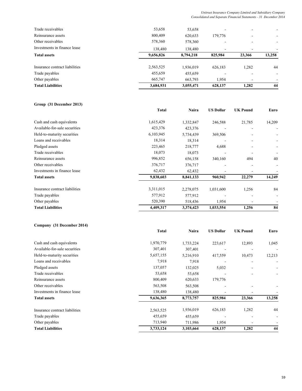### *Unitrust Insurance Company Limited and Subsidiary Company Consolidated and Separate Financial Statements - 31 December 2014*

| 3,684,931 | 3,055,471 | 628,137                  | 1,282  | 44                       |
|-----------|-----------|--------------------------|--------|--------------------------|
| 665,747   | 663,793   | 1,954                    |        |                          |
| 455,659   | 455,659   |                          |        | $\overline{\phantom{0}}$ |
| 2,563,525 | 1,936,019 | 626,183                  | 1,282  | 44                       |
| 9,656,826 | 8,794,218 | 825,984                  | 23,366 | 13,258                   |
| 138,480   | 138,480   | $\overline{\phantom{0}}$ |        |                          |
| 578,360   | 578,360   |                          |        | -                        |
| 800,409   | 620,633   | 179,776                  |        |                          |
| 53,658    | 53,658    | ۰                        |        |                          |
|           |           |                          |        |                          |

## **Group (31 December 2013)**

|                                | <b>Total</b> | Naira     | <b>US Dollar</b> | <b>UK Pound</b> | Euro   |
|--------------------------------|--------------|-----------|------------------|-----------------|--------|
| Cash and cash equivalents      | 1,615,429    | 1,332,847 | 246,588          | 21,785          | 14,209 |
| Available-for-sale securities  | 423,376      | 423,376   |                  |                 |        |
| Held-to-maturity securities    | 6,103,945    | 5,734,439 | 369,506          |                 |        |
| Loans and receivables          | 18,314       | 18,314    |                  |                 |        |
| Pledged assets                 | 223,465      | 218,777   | 4,688            |                 |        |
| Trade receivables              | 18,073       | 18,073    |                  |                 |        |
| Reinsurance assets             | 996,852      | 656,158   | 340,160          | 494             | 40     |
| Other receivables              | 376,717      | 376,717   |                  |                 |        |
| Investments in finance lease   | 62,432       | 62,432    |                  |                 |        |
| <b>Total assets</b>            | 9,838,603    | 8,841,133 | 960,942          | 22,279          | 14,249 |
| Insurance contract liabilities | 3,311,015    | 2,278,075 | 1,031,600        | 1,256           | 84     |
| Trade payables                 | 577,912      | 577,912   |                  |                 |        |
| Other payables                 | 520,390      | 518,436   | 1,954            |                 |        |
| <b>Total Liabilities</b>       | 4,409,317    | 3,374,423 | 1,033,554        | 1,256           | 84     |

## **Company (31 December 2014)**

|                                | Total     | Naira     | <b>US Dollar</b> | <b>UK Pound</b> | Euro   |
|--------------------------------|-----------|-----------|------------------|-----------------|--------|
| Cash and cash equivalents      | 1,970,779 | 1,733,224 | 223,617          | 12,893          | 1,045  |
| Available-for-sale securities  | 307,401   | 307,401   |                  |                 |        |
| Held-to-maturity securities    | 5,657,155 | 5,216,910 | 417,559          | 10,473          | 12,213 |
| Loans and receivables          | 7,918     | 7,918     |                  |                 |        |
| Pledged assets                 | 137,057   | 132,025   | 5,032            |                 |        |
| Trade receivables              | 53,658    | 53,658    |                  |                 |        |
| Reinsurance assets             | 800,409   | 620,633   | 179,776          |                 |        |
| Other receivables              | 563,508   | 563,508   |                  |                 |        |
| Investments in finance lease   | 138,480   | 138,480   |                  |                 |        |
| <b>Total assets</b>            | 9,636,365 | 8,773,757 | 825,984          | 23,366          | 13,258 |
| Insurance contract liabilities | 2,563,525 | 1,936,019 | 626,183          | 1,282           | 44     |
| Trade payables                 | 455,659   | 455,659   |                  |                 |        |
| Other payables                 | 713,940   | 711,986   | 1,954            |                 |        |
| <b>Total Liabilities</b>       | 3,733,124 | 3,103,664 | 628,137          | 1,282           | 44     |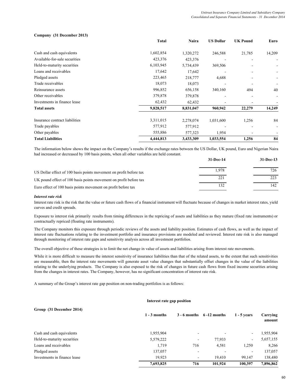### **Company (31 December 2013)**

|                                | <b>Total</b> | Naira     | <b>US Dollar</b>         | <b>UK Pound</b> | Euro   |
|--------------------------------|--------------|-----------|--------------------------|-----------------|--------|
| Cash and cash equivalents      | 1,602,854    | 1,320,272 | 246,588                  | 21,785          | 14,209 |
| Available-for-sale securities  | 423,376      | 423,376   |                          |                 |        |
| Held-to-maturity securities    | 6,103,945    | 5,734,439 | 369,506                  |                 | ۰.     |
| Loans and receivables          | 17,642       | 17,642    |                          |                 |        |
| Pledged assets                 | 223,465      | 218,777   | 4,688                    |                 |        |
| Trade receivables              | 18,073       | 18,073    |                          |                 |        |
| Reinsurance assets             | 996,852      | 656,158   | 340,160                  | 494             | 40     |
| Other receivables              | 379,878      | 379,878   |                          |                 |        |
| Investments in finance lease   | 62,432       | 62,432    | $\overline{\phantom{0}}$ |                 |        |
| <b>Total assets</b>            | 9,828,517    | 8,831,047 | 960,942                  | 22,279          | 14,249 |
| Insurance contract liabilities | 3,311,015    | 2,278,074 | 1,031,600                | 1,256           | 84     |
| Trade payables                 | 577,912      | 577,912   |                          |                 |        |
| Other payables                 | 555,886      | 577,323   | 1,954                    |                 |        |
| <b>Total Liabilities</b>       | 4,444,813    | 3,433,309 | 1,033,554                | 1,256           | 84     |

The information below shows the impact on the Company's results if the exchange rates between the US Dollar, UK pound, Euro and Nigerian Naira had increased or decreased by 100 basis points, when all other variables are held constant.

|                                                                    | 31-Dec-14 | $31 - Dec-13$ |
|--------------------------------------------------------------------|-----------|---------------|
| US Dollar effect of 100 basis points movement on profit before tax | 1.978     | 726           |
| UK pound effect of 100 basis points movement on profit before tax  | 221       |               |
| Euro effect of 100 basis points movement on profit before tax      |           | 142.          |

### *Interest rate risk*

Interest rate risk is the risk that the value or future cash flows of a financial instrument will fluctuate because of changes in market interest rates, yield curves and credit spreads.

Exposure to interest risk primarily results from timing differences in the repricing of assets and liabilities as they mature (fixed rate instruments) or contractually repriced (floating rate instruments).

The Company monitors this exposure through periodic reviews of the assets and liability position. Estimates of cash flows, as well as the impact of interest rate fluctuations relating to the investment portfolio and insurance provisions are modeled and reviewed. Interest rate risk is also managed through monitoring of interest rate gaps and sensitivity analysis across all investment portfolios.

The overall objective of these strategies is to limit the net change in value of assets and liabilities arising from interest rate movements.

While it is more difficult to measure the interest sensitivity of insurance liabilities than that of the related assets, to the extent that such sensitivities are measurable, then the interest rate movements will generate asset value changes that substantially offset changes in the value of the liabilities relating to the underlying products. The Company is also exposed to the risk of changes in future cash flows from fixed income securities arising from the changes in interest rates. The Company, however, has no significant concentration of interest rate risk.

A summary of the Group's interest rate gap position on non-trading portfolios is as follows:

### **Interest rate gap position**

| Group (31 December 2014)     |                |                          |                                |                          |                    |
|------------------------------|----------------|--------------------------|--------------------------------|--------------------------|--------------------|
|                              | $1 - 3$ months |                          | $3 - 6$ months $6 - 12$ months | $1 - 5$ vears            | Carrying<br>amount |
| Cash and cash equivalents    | 1,955,904      | ۰                        | $\overline{\phantom{0}}$       | $\overline{\phantom{0}}$ | 1,955,904          |
| Held-to-maturity securities  | 5,579,222      | $\overline{\phantom{a}}$ | 77,933                         | ۰.                       | 5,657,155          |
| Loans and receivables        | 1,719          | 716                      | 4,581                          | 1,250                    | 8,266              |
| Pledged assets               | 137,057        | $\overline{\phantom{a}}$ | $\overline{\phantom{0}}$       | $\overline{\phantom{a}}$ | 137,057            |
| Investments in finance lease | 19.923         | ۰                        | 19.410                         | 99.147                   | 138,480            |
|                              | 7,693,825      | 716                      | 101,924                        | 100.397                  | 7,896,862          |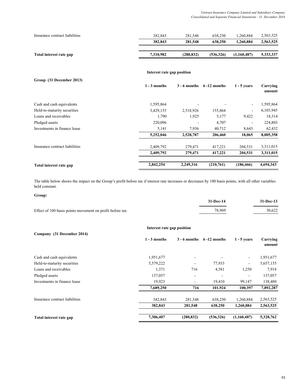| Insurance contract liabilities | 382.843   | 281.548   | 638.250    | .260.884    | 2,563,525 |
|--------------------------------|-----------|-----------|------------|-------------|-----------|
|                                | 382,843   | 281,548   | 638,250    | 1.260.884   | 2,563,525 |
|                                |           |           |            |             |           |
| Total interest rate gap        | 7,310,982 | (280.832) | (536, 326) | (1.160.487) | 5,333,337 |

### **Interest rate gap position**

| Group (31 December 2013)       |                |                |                 |                          |                    |
|--------------------------------|----------------|----------------|-----------------|--------------------------|--------------------|
|                                | $1 - 3$ months | $3 - 6$ months | $6 - 12$ months | $1 - 5$ years            | Carrying<br>amount |
| Cash and cash equivalents      | 1,595,864      |                |                 | $\overline{\phantom{a}}$ | 1,595,864          |
| Held-to-maturity securities    | 3,429,155      | 2,518,926      | 155,864         | $\overline{\phantom{a}}$ | 6,103,945          |
| Loans and receivables          | 1,790          | 1,925          | 5,177           | 9,422                    | 18,314             |
| Pledged assets                 | 220,096        |                | 4,707           |                          | 224,803            |
| Investments in finance lease   | 5,141          | 7,936          | 40,712          | 8,643                    | 62,432             |
|                                | 5,252,046      | 2,528,787      | 206,460         | 18,065                   | 8,005,358          |
| Insurance contract liabilities | 2,409,792      | 279,471        | 417,221         | 204,531                  | 3,311,015          |
|                                | 2,409,792      | 279,471        | 417,221         | 204,531                  | 3,311,015          |
| Total interest rate gap        | 2,842,254      | 2,249,316      | (210,761)       | (186, 466)               | 4,694,343          |

The table below shows the impact on the Group's profit before tax if interest rate increases or decreases by 100 basis points, with all other variables held constant.

| Group:                                                   |             |               |
|----------------------------------------------------------|-------------|---------------|
|                                                          | $31-Dec-14$ | $31 - Dec-13$ |
| Effect of 100 basis points movement on profit before tax | 78.969      | 30.622        |

|                                | Interest rate gap position |            |                                |                              |                    |
|--------------------------------|----------------------------|------------|--------------------------------|------------------------------|--------------------|
| Company (31 December 2014)     | $1 - 3$ months             |            | $3 - 6$ months $6 - 12$ months | $1 - 5$ years                | Carrying<br>amount |
| Cash and cash equivalents      | 1,951,677                  |            |                                | $\overline{\phantom{a}}$     | 1,951,677          |
| Held-to-maturity securities    | 5,579,222                  |            | 77,933                         | $\blacksquare$               | 5,657,155          |
| Loans and receivables          | 1,371                      | 716        | 4,581                          | 1,250                        | 7,918              |
| Pledged assets                 | 137,057                    |            |                                | $\qquad \qquad \blacksquare$ | 137,057            |
| Investments in finance lease   | 19,923                     |            | 19,410                         | 99,147                       | 138,480            |
|                                | 7,689,250                  | 716        | 101,924                        | 100.397                      | 7,892,287          |
| Insurance contract liabilities | 382,843                    | 281,548    | 638,250                        | 1,260,884                    | 2,563,525          |
|                                | 382,843                    | 281,548    | 638,250                        | 1,260,884                    | 2,563,525          |
| Total interest rate gap        | 7,306,407                  | (280, 832) | (536,326)                      | (1,160,487)                  | 5,328,762          |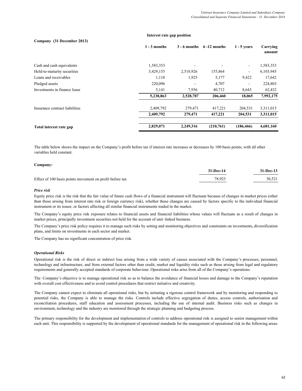### **Company (31 December 2013) Interest rate gap position**

|                                | $1 - 3$ months |                          | $3 - 6$ months $6 - 12$ months | $1 - 5$ vears            | Carrying<br>amount |
|--------------------------------|----------------|--------------------------|--------------------------------|--------------------------|--------------------|
| Cash and cash equivalents      | 1,583,353      |                          |                                | $\blacksquare$           | 1,583,353          |
| Held-to-maturity securities    | 3,429,155      | 2,518,926                | 155,864                        | $\overline{\phantom{a}}$ | 6,103,945          |
| Loans and receivables          | 1,118          | 1,925                    | 5,177                          | 9,422                    | 17,642             |
| Pledged assets                 | 220,096        | $\overline{\phantom{a}}$ | 4,707                          | $\overline{\phantom{a}}$ | 224,803            |
| Investments in finance lease   | 5,141          | 7,936                    | 40,712                         | 8,643                    | 62,432             |
|                                | 5,238,863      | 2,528,787                | 206,460                        | 18,065                   | 7,992,175          |
| Insurance contract liabilities | 2,409,792      | 279,471                  | 417,221                        | 204,531                  | 3,311,015          |
|                                | 2,409,792      | 279,471                  | 417,221                        | 204,531                  | 3,311,015          |
| Total interest rate gap        | 2,829,071      | 2,249,316                | (210,761)                      | (186, 466)               | 4,681,160          |

The table below shows the impact on the Company's profit before tax if interest rate increases or decreases by 100 basis points, with all other variables held constant.

### **Company:**

|                                                          | 31-Dec-14 | $31 - Dec-13$ |
|----------------------------------------------------------|-----------|---------------|
| Effect of 100 basis points movement on profit before tax | 78.923    | 30,521        |

### *Price risk*

Equity price risk is the risk that the fair value of future cash flows of a financial instrument will fluctuate because of changes in market prices (other than those arising from interest rate risk or foreign currency risk), whether those changes are caused by factors specific to the individual financial instrument or its issuer, or factors affecting all similar financial instruments traded in the market.

The Company's equity price risk exposure relates to financial assets and financial liabilities whose values will fluctuate as a result of changes in market prices, principally investment securities not held for the account of unit–linked business.

The Company's price risk policy requires it to manage such risks by setting and monitoring objectives and constraints on investments, diversification plans, and limits on investments in each sector and market.

The Company has no significant concentration of price risk.

### *Operational Risks*

Operational risk is the risk of direct or indirect loss arising from a wide variety of causes associated with the Company's processes, personnel, technology and infrastructure, and from external factors other than credit, market and liquidity risks such as those arising from legal and regulatory requirements and generally accepted standards of corporate behaviour. Operational risks arise from all of the Company's operations.

The Company's objective is to manage operational risk so as to balance the avoidance of financial losses and damage to the Company's reputation with overall cost effectiveness and to avoid control procedures that restrict initiative and creativity.

The Company cannot expect to eliminate all operational risks, but by initiating a rigorous control framework and by monitoring and responding to potential risks, the Company is able to manage the risks. Controls include effective segregation of duties, access controls, authorisation and reconciliation procedures, staff education and assessment processes, including the use of internal audit. Business risks such as changes in environment, technology and the industry are monitored through the strategic planning and budgeting process.

The primary responsibility for the development and implementation of controls to address operational risk is assigned to senior management within each unit. This responsibility is supported by the development of operational standards for the management of operational risk in the following areas: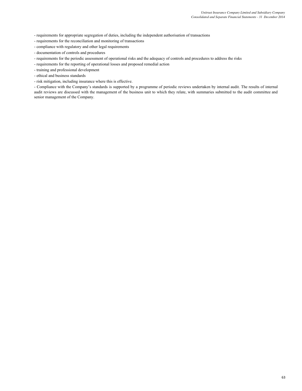- requirements for appropriate segregation of duties, including the independent authorisation of transactions

- requirements for the reconciliation and monitoring of transactions

- compliance with regulatory and other legal requirements
- documentation of controls and procedures
- requirements for the periodic assessment of operational risks and the adequacy of controls and procedures to address the risks
- requirements for the reporting of operational losses and proposed remedial action
- training and professional development
- ethical and business standards
- risk mitigation, including insurance where this is effective.

- Compliance with the Company's standards is supported by a programme of periodic reviews undertaken by internal audit. The results of internal audit reviews are discussed with the management of the business unit to which they relate, with summaries submitted to the audit committee and senior management of the Company.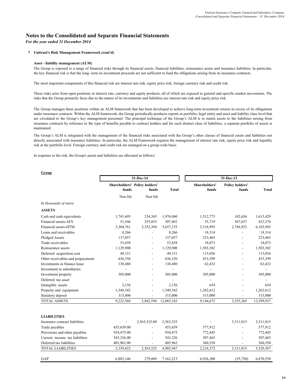## **Notes to the Consolidated and Separate Financial Statements**

*For the year ended 31 December 2014*

### **7 Unitrust's Risk Management Framework (cont'd)**

### **Asset - liability management (ALM)**

The Group is exposed to a range of financial risks through its financial assets, financial liabilities, reinsurance assets and insurance liabilities. In particular, the key financial risk is that the long- term its investment proceeds are not sufficient to fund the obligations arising from its insurance contracts.

The most important components of this financial risk are interest rate risk, equity price risk, foreign currency risk and credit risk.

These risks arise from open positions in interest rate, currency and equity products, all of which are exposed to general and specific market movements. The risks that the Group primarily faces due to the nature of its investments and liabilities are interest rate risk and equity price risk.

The Group manages these positions within an ALM framework that has been developed to achieve long-term investment returns in excess of its obligations under insurance contracts. Within the ALM framework, the Group periodically produces reports at portfolio, legal entity and asset and liability class level that are circulated to the Group's key management personnel. The principal technique of the Group's ALM is to match assets to the liabilities arising from insurance contracts by reference to the type of benefits payable to contract holders and for each distinct class of liabilities, a separate portfolio of assets is maintained.

The Group's ALM is integrated with the management of the financial risks associated with the Group's other classes of financial assets and liabilities not directly associated with insurance liabilities. In particular, the ALM Framework requires the management of interest rate risk, equity price risk and liquidity risk at the portfolio level. Foreign currency and credit risk are managed on a group-wide basis.

In response to the risk, the Group's assets and liabilities are allocated as follows:

|                                   | 31-Dec-14      |                                               |                | 31-Dec-13     |        |                                 |              |
|-----------------------------------|----------------|-----------------------------------------------|----------------|---------------|--------|---------------------------------|--------------|
|                                   | funds          | <b>Shareholders' Policy holders'</b><br>funds | <b>Total</b>   | Shareholders' | funds  | <b>Policy holders'</b><br>funds | <b>Total</b> |
|                                   | Non life       | Non life                                      |                |               |        |                                 |              |
| In thousands of naira             |                |                                               |                |               |        |                                 |              |
| <b>ASSETS</b>                     |                |                                               |                |               |        |                                 |              |
| Cash and cash equivalents         | 1,741,695      | 234,345                                       | 1,976,040      | 1,512,773     |        | 102,656                         | 1,615,429    |
| Financial assets-AFS              | 51,546         | 255,855                                       | 307,401        |               | 55,719 | 367,657                         | 423,376      |
| Financial assets-HTM              | 3,304,761      | 2,352,394                                     | 5,657,155      | 3,318,993     |        | 2,784,952                       | 6,103,945    |
| Loans and receivables             | 8,266          |                                               | 8,266          |               | 18,314 |                                 | 18,314       |
| Pledged Assets                    | 137,057        |                                               | 137,057        | 223,465       |        |                                 | 223,465      |
| Trade receivables                 | 53,658         |                                               | 53,658         |               | 18,073 |                                 | 18,073       |
| Reinsurance assets                | 1,129,900      | $\overline{a}$                                | 1,129,900      | 1,503,302     |        |                                 | 1,503,302    |
| Deferred acquisition cost         | 49,151         |                                               | 49,151         | 115,036       |        |                                 | 115,036      |
| Other receivables and prepayments | 636,356        |                                               | 636,356        | 433,299       |        |                                 | 433,299      |
| Investments in finance lease      | 138,480        | $\overline{a}$                                | 138,480        |               | 62,432 |                                 | 62,432       |
| Investment in subsidiaries        |                |                                               | $\overline{a}$ |               | ÷,     |                                 |              |
| Investment property               | 305,000        | $\overline{a}$                                | 305,000        | 305,000       |        |                                 | 305,000      |
| Deferred tax asset                | $\overline{a}$ |                                               | $\overline{a}$ |               |        |                                 |              |
| Intangible assets                 | 2,156          | $\overline{a}$                                | 2,156          |               | 654    |                                 | 654          |
| Property and equipment            | 1,349,542      | $\overline{\phantom{a}}$                      | 1,349,542      | 1,262,612     |        |                                 | 1,262,612    |
| Statutory deposit                 | 315,000        |                                               | 315,000        | 315,000       |        |                                 | 315,000      |
| <b>TOTAL ASSETS</b>               | 9,222,568      | 2,842,594                                     | 12,065,162     | 9,144,672     |        | 3,255,265                       | 12,399,937   |
|                                   |                |                                               |                |               |        |                                 |              |
| <b>LIABILITIES</b>                |                |                                               |                |               |        |                                 |              |
| Insurance contract liabilities    |                | 2,563,525.00                                  | 2,563,525      |               |        | 3,311,015                       | 3,311,015    |
| Trade payables                    | 455,659.00     |                                               | 455,659        | 577,912       |        |                                 | 577,912      |
| Provisions and other payables     | 934,475.00     |                                               | 934,475        | 772,445       |        |                                 | 772,445      |
| Current income tax liabilities    | 543,326.00     | $\overline{a}$                                | 543,326        | 507,465       |        |                                 | 507,465      |
| Deferred tax liabilities          | 405,962.00     |                                               | 405,962        | 360,550       |        |                                 | 360,550      |
| <b>TOTAL LIABILITIES</b>          | 2,339,422      | 2,563,525                                     | 4,902,947      | 2,218,372     |        | 3,311,015                       | 5,529,387    |
| GAP                               | 6,883,146      | 279,069                                       | 7,162,215      | 6,926,300     |        | (55,750)                        | 6,870,550    |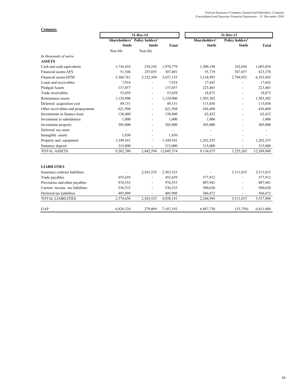### **Company**

|                                   | 31-Dec-14 |                                      |              | 31-Dec-13     |                          |              |  |
|-----------------------------------|-----------|--------------------------------------|--------------|---------------|--------------------------|--------------|--|
|                                   |           | <b>Shareholders' Policy holders'</b> |              | Shareholders' | <b>Policy holders'</b>   |              |  |
|                                   | funds     | funds                                | <b>Total</b> | funds         | funds                    | <b>Total</b> |  |
|                                   | Non life  | Non life                             |              |               |                          |              |  |
| In thousands of naira             |           |                                      |              |               |                          |              |  |
| <b>ASSETS</b>                     |           |                                      |              |               |                          |              |  |
| Cash and cash equivalents         | 1,736,434 | 234,345                              | 1,970,779    | 1,500,198     | 102,656                  | 1,602,854    |  |
| Financial assets-AFS              | 51,546    | 255,855                              | 307,401      | 55,719        | 367,657                  | 423,376      |  |
| Financial assets-HTM              | 3,304,761 | 2,352,394                            | 5,657,155    | 3,318,993     | 2,784,952                | 6,103,945    |  |
| Loans and receivables             | 7,918     |                                      | 7,918        | 17,642        |                          | 17,642       |  |
| Pledged Assets                    | 137,057   |                                      | 137,057      | 223,465       |                          | 223,465      |  |
| Trade receivables                 | 53,658    | $\overline{\phantom{0}}$             | 53,658       | 18,073        | $\overline{\phantom{a}}$ | 18,073       |  |
| Reinsurance assets                | 1,129,900 |                                      | 1,129,900    | 1,503,302     | $\overline{a}$           | 1,503,302    |  |
| Deferred acquisition cost         | 49,151    |                                      | 49,151       | 115,036       |                          | 115,036      |  |
| Other receivables and prepayments | 621,504   |                                      | 621,504      | 436,460       |                          | 436,460      |  |
| Investments in finance lease      | 138,480   |                                      | 138,480      | 62,432        |                          | 62,432       |  |
| Investment in subsidiaries        | 1,000     | $\overline{\phantom{0}}$             | 1,000        | 1,000         | $\overline{\phantom{a}}$ | 1,000        |  |
| Investment property               | 305,000   | $\overline{a}$                       | 305,000      | 305,000       |                          | 305,000      |  |
| Deferred tax asset                |           |                                      |              |               |                          |              |  |
| Intangible assets                 | 1,830     |                                      | 1,830        |               |                          |              |  |
| Property and equipment            | 1,349,541 | $\overline{a}$                       | 1,349,541    | 1,262,355     |                          | 1,262,355    |  |
| Statutory deposit                 | 315,000   |                                      | 315,000      | 315,000       |                          | 315,000      |  |
| <b>TOTAL ASSETS</b>               | 9,202,780 | 2,842,594                            | 12,045,374   | 9,134,675     | 3,255,265                | 12,389,940   |  |
| <b>LIABILITIES</b>                |           |                                      |              |               |                          |              |  |
| Insurance contract liabilities    |           | 2,563,525                            | 2,563,525    |               | 3,311,015                | 3,311,015    |  |
| Trade payables                    | 455,659   |                                      | 455,659      | 577,912       |                          | 577,912      |  |
| Provisions and other payables     | 976,553   |                                      | 976,553      | 807,941       |                          | 807,941      |  |
| Current income tax liabilities    | 536,535   |                                      | 536,535      | 500,620       |                          | 500,620      |  |
| Deferred tax liabilities          | 405,909   |                                      | 405,909      | 360,472       |                          | 360,472      |  |
| <b>TOTAL LIABILITIES</b>          | 2,374,656 | 2,563,525                            | 4,938,181    | 2,246,945     | 3,311,015                | 5,557,960    |  |
| GAP                               | 6,828,124 | 279,069                              | 7,107,193    | 6,887,730     | (55,750)                 | 6,831,980    |  |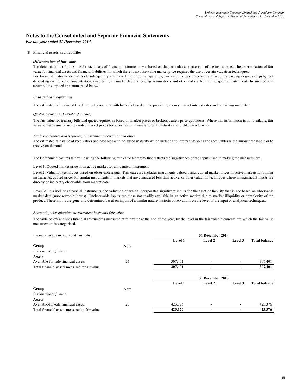## **Notes to the Consolidated and Separate Financial Statements**

*For the year ended 31 December 2014*

### **8 Financial assets and liabilities**

### *Determination of fair value*

The determination of fair value for each class of financial instruments was based on the particular characteristic of the instruments. The determination of fair value for financial assets and financial liabilities for which there is no observable market price requires the use of certain valuation techniques. For financial instruments that trade infrequently and have little price transparency, fair value is less objective, and requires varying degrees of judgment depending on liquidity, concentration, uncertainty of market factors, pricing assumptions and other risks affecting the specific instrument.The method and assumptions applied are enumerated below:

### *Cash and cash equivalent*

The estimated fair value of fixed interest placement with banks is based on the prevailing money market interest rates and remaining maturity.

### *Quoted securities (Available-for-Sale)*

The fair value for treasury bills and quoted equities is based on market prices or brokers/dealers price quotations. Where this information is not available, fair valuation is estimated using quoted market prices for securities with similar credit, maturity and yield characteristics.

### *Trade receivables and payables, reinsurance receivables and other*

The estimated fair value of receivables and payables with no stated maturity which includes no interest payables and receivables is the amount repayable or to receive on demand.

The Company measures fair value using the following fair value hierarchy that reflects the significance of the inputs used in making the measurement.

#### Level 1: Quoted market price in an active market for an identical instrument.

Level 2: Valuation techniques based on observable inputs. This category includes instruments valued using: quoted market prices in active markets for similar instruments; quoted prices for similar instruments in markets that are considered less than active; or other valuation techniques where all significant inputs are directly or indirectly observable from market data.

Level 3: This includes financial instruments, the valuation of which incorporates significant inputs for the asset or liability that is not based on observable market data (unobservable inputs). Unobservable inputs are those not readily available in an active market due to market illiquidity or complexity of the product. These inputs are generally determined based on inputs of a similar nature, historic observations on the level of the input or analytical techniques.

### *Accounting classification measurement basis and fair value*

The table below analyses financial instruments measured at fair value at the end of the year, by the level in the fair value hierarchy into which the fair value measurement is categorised.

| Financial assets measured at fair value       |             |         | 31 December 2014         |                          |                      |
|-----------------------------------------------|-------------|---------|--------------------------|--------------------------|----------------------|
|                                               |             | Level 1 | Level 2                  | Level 3                  | <b>Total balance</b> |
| Group                                         | <b>Note</b> |         |                          |                          |                      |
| In thousands of naira                         |             |         |                          |                          |                      |
| <b>Assets</b>                                 |             |         |                          |                          |                      |
| Available-for-sale financial assets           | 25          | 307,401 | $\overline{\phantom{0}}$ | $\overline{\phantom{0}}$ | 307,401              |
| Total financial assets measured at fair value |             | 307,401 | $\overline{\phantom{0}}$ |                          | 307,401              |
|                                               |             |         |                          |                          |                      |
|                                               |             |         | 31 December 2013         |                          |                      |
|                                               |             | Level 1 | Level 2                  | Level 3                  | <b>Total balance</b> |
| Group                                         | <b>Note</b> |         |                          |                          |                      |
| In thousands of naira                         |             |         |                          |                          |                      |
| <b>Assets</b>                                 |             |         |                          |                          |                      |
| Available-for-sale financial assets           | 25          | 423,376 | -                        | $\overline{\phantom{0}}$ | 423,376              |
| Total financial assets measured at fair value |             | 423,376 | -                        |                          | 423,376              |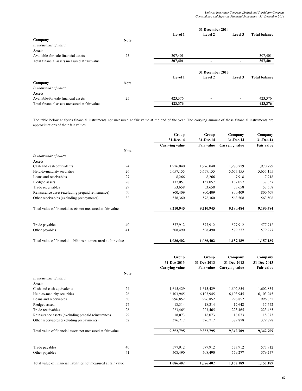|                                               |             |         | 31 December 2014         |                          |                      |
|-----------------------------------------------|-------------|---------|--------------------------|--------------------------|----------------------|
|                                               |             | Level 1 | Level 2                  | Level 3                  | <b>Total balance</b> |
| Company                                       | <b>Note</b> |         |                          |                          |                      |
| In thousands of naira                         |             |         |                          |                          |                      |
| <b>Assets</b>                                 |             |         |                          |                          |                      |
| Available-for-sale financial assets           | 25          | 307,401 | ٠                        | $\overline{\phantom{a}}$ | 307,401              |
| Total financial assets measured at fair value |             | 307,401 |                          |                          | 307,401              |
|                                               |             |         | 31 December 2013         |                          |                      |
|                                               |             | Level 1 | Level 2                  | Level 3                  | <b>Total balance</b> |
| Company                                       | <b>Note</b> |         |                          |                          |                      |
| In thousands of naira                         |             |         |                          |                          |                      |
| <b>Assets</b>                                 |             |         |                          |                          |                      |
| Available-for-sale financial assets           | 25          | 423,376 | ٠                        | $\overline{\phantom{a}}$ | 423,376              |
| Total financial assets measured at fair value |             | 423,376 | $\overline{\phantom{0}}$ | $\overline{\phantom{0}}$ | 423,376              |

The table below analyses financial instruments not measured at fair value at the end of the year. The carrying amount of these financial instruments are approximations of their fair values.

|                                                                 |             | Group                 | Group      | Company               | Company    |
|-----------------------------------------------------------------|-------------|-----------------------|------------|-----------------------|------------|
|                                                                 |             | 31-Dec-14             | 31-Dec-14  | 31-Dec-14             | 31-Dec-14  |
|                                                                 |             | <b>Carrying value</b> | Fair value | <b>Carrying value</b> | Fair value |
|                                                                 | <b>Note</b> |                       |            |                       |            |
| In thousands of naira                                           |             |                       |            |                       |            |
| <b>Assets</b>                                                   |             |                       |            |                       |            |
| Cash and cash equivalents                                       | 24          | 1,976,040             | 1,976,040  | 1,970,779             | 1,970,779  |
| Held-to-maturity securities                                     | 26          | 5,657,155             | 5,657,155  | 5,657,155             | 5,657,155  |
| Loans and receivables                                           | 27          | 8,266                 | 8,266      | 7,918                 | 7,918      |
| Pledged assets                                                  | 28          | 137,057               | 137,057    | 137,057               | 137,057    |
| Trade receivables                                               | 29          | 53,658                | 53,658     | 53,658                | 53,658     |
| Reinsurance asset (excluding prepaid reinsurance)               | 30          | 800,409               | 800,409    | 800,409               | 800,409    |
| Other receivables (excluding prepayments)                       | 32          | 578,360               | 578,360    | 563,508               | 563,508    |
| Total value of financial assets not measured at fair value      |             | 9,210,945             | 9,210,945  | 9,190,484             | 9,190,484  |
|                                                                 |             |                       |            |                       |            |
| Trade payables                                                  | 40          | 577,912               | 577,912    | 577,912               | 577,912    |
| Other payables                                                  | 41          | 508,490               | 508,490    | 579,277               | 579,277    |
| Total value of financial liabilities not measured at fair value |             | 1,086,402             | 1,086,402  | 1,157,189             | 1,157,189  |

|                                                                 |             | Group                 | Group       | Company               | Company     |
|-----------------------------------------------------------------|-------------|-----------------------|-------------|-----------------------|-------------|
|                                                                 |             | 31-Dec-2013           | 31-Dec-2013 | 31-Dec-2013           | 31-Dec-2013 |
|                                                                 |             | <b>Carrying value</b> | Fair value  | <b>Carrying value</b> | Fair value  |
|                                                                 | <b>Note</b> |                       |             |                       |             |
| In thousands of naira                                           |             |                       |             |                       |             |
| <b>Assets</b>                                                   |             |                       |             |                       |             |
| Cash and cash equivalents                                       | 24          | 1,615,429             | 1,615,429   | 1,602,854             | 1,602,854   |
| Held-to-maturity securities                                     | 26          | 6,103,945             | 6,103,945   | 6,103,945             | 6,103,945   |
| Loans and receivables                                           | 30          | 996,852               | 996,852     | 996,852               | 996,852     |
| Pledged assets                                                  | 27          | 18,314                | 18,314      | 17,642                | 17,642      |
| Trade receivables                                               | 28          | 223,465               | 223,465     | 223,465               | 223,465     |
| Reinsurance assets (excluding prepaid reinsurance)              | 29          | 18,073                | 18,073      | 18,073                | 18,073      |
| Other receivables (excluding prepayments)                       | 32          | 376,717               | 376,717     | 379,878               | 379,878     |
| Total value of financial assets not measured at fair value      |             | 9,352,795             | 9,352,795   | 9,342,709             | 9,342,709   |
|                                                                 |             |                       |             |                       |             |
| Trade payables                                                  | 40          | 577,912               | 577,912     | 577,912               | 577,912     |
| Other payables                                                  | 41          | 508,490               | 508,490     | 579,277               | 579,277     |
| Total value of financial liabilities not measured at fair value |             | 1,086,402             | 1,086,402   | 1,157,189             | 1,157,189   |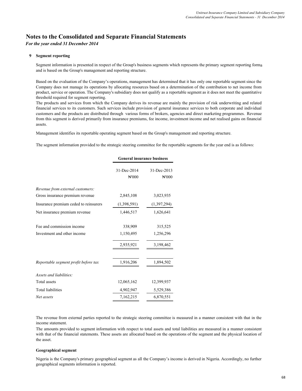# **Notes to the Consolidated and Separate Financial Statements**

*For the year ended 31 December 2014*

### **9 Segment reporting**

Segment information is presented in respect of the Group's business segments which represents the primary segment reporting forma and is based on the Group's management and reporting structure.

Based on the evaluation of the Company's operations, management has determined that it has only one reportable segment since the Company does not manage its operations by allocating resources based on a determination of the contribution to net income from product, service or operation. The Company's subsidiary does not qualify as a reportable segment as it does not meet the quantitative threshold required for segment reporting.

The products and services from which the Company derives its revenue are mainly the provision of risk underwriting and related financial services to its customers. Such services include provision of general insurance services to both corporate and individual customers and the products are distributed through various forms of brokers, agencies and direct marketing programmes. Revenue from this segment is derived primarily from insurance premiums, fee income, investment income and net realised gains on financial assets.

Management identifies its reportable operating segment based on the Group's management and reporting structure.

The segment information provided to the strategic steering committee for the reportable segments for the year end is as follows:

|                                       | <b>General insurance business</b> |                      |  |
|---------------------------------------|-----------------------------------|----------------------|--|
|                                       | 31-Dec-2014<br>H'000              | 31-Dec-2013<br>H'000 |  |
| Revenue from external customers:      |                                   |                      |  |
| Gross insurance premium revenue       | 2,845,108                         | 3,023,935            |  |
| Insurance premium ceded to reinsurers | (1,398,591)                       | (1,397,294)          |  |
| Net insurance premium revenue         | 1,446,517                         | 1,626,641            |  |
| Fee and commission income             | 338,909                           | 315,525              |  |
| Investment and other income           | 1,150,495                         | 1,256,296            |  |
|                                       | 2,935,921                         | 3,198,462            |  |
| Reportable segment profit before tax  | 1,916,206                         | 1,894,502            |  |
| Assets and liabilities:               |                                   |                      |  |
| Total assets                          | 12,065,162                        | 12,399,937           |  |
| <b>Total liabilities</b>              | 4,902,947                         | 5,529,386            |  |
| Net assets                            | 7,162,215                         | 6,870,551            |  |

The revenue from external parties reported to the strategic steering committee is measured in a manner consistent with that in the income statement.

The amounts provided to segment information with respect to total assets and total liabilities are measured in a manner consistent with that of the financial statements. These assets are allocated based on the operations of the segment and the physical location of the asset.

### **Geographical segment**

Nigeria is the Company's primary geographical segment as all the Company's income is derived in Nigeria. Accordingly, no further geographical segments information is reported.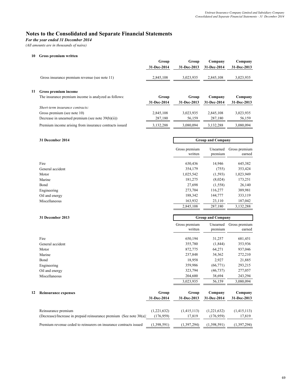# **Notes to the Consolidated and Separate Financial Statements**

*For the year ended 31 December 2014*

*(All amounts are in thousands of naira)*

 **10 Gross premium written** 

 **11 Gross premium income**

|                                                        | Group       | Group       | Company     | Company     |
|--------------------------------------------------------|-------------|-------------|-------------|-------------|
|                                                        | 31-Dec-2014 | 31-Dec-2013 | 31-Dec-2014 | 31-Dec-2013 |
| Gross insurance premium revenue (see note 11)          | 2,845,108   | 3,023,935   | 2,845,108   | 3,023,935   |
| Gross premium income                                   |             |             |             |             |
| The insurance premium income is analyzed as follows:   | Group       | Group       | Company     | Company     |
|                                                        | 31-Dec-2014 | 31-Dec-2013 | 31-Dec-2014 | 31-Dec-2013 |
| Short-term insurance contracts:                        |             |             |             |             |
| Gross premium (see note 10)                            | 2,845,108   | 3,023,935   | 2,845,108   | 3,023,935   |
| Decrease in unearned premium (see note $39(b)(ii)$ )   | 287,180     | 56,159      | 287,180     | 56,159      |
| Premium income arising from insurance contracts issued | 3,132,288   | 3,080,094   | 3,132,288   | 3,080,094   |
|                                                        |             |             |             |             |

| 31 December 2014 | <b>Group and Company</b> |                     |                         |  |
|------------------|--------------------------|---------------------|-------------------------|--|
|                  | Gross premium<br>written | Unearned<br>premium | Gross premium<br>earned |  |
| Fire             | 630,436                  | 14,946              | 645,382                 |  |
| General accident | 354,179                  | (755)               | 353,424                 |  |
| Motor            | 1,025,542                | (1, 593)            | 1,023,949               |  |
| Marine           | 181,275                  | (8,024)             | 173,251                 |  |
| Bond             | 27,698                   | (1,558)             | 26,140                  |  |
| Engineering      | 273,704                  | 116,277             | 389,981                 |  |
| Oil and energy   | 188,342                  | 144,777             | 333,119                 |  |
| Miscellaneous    | 163,932                  | 23,110              | 187,042                 |  |
|                  | 2,845,108                | 287,180             | 3,132,288               |  |

| 31 December 2013<br><b>Group and Company</b> |                          |                     |                         |
|----------------------------------------------|--------------------------|---------------------|-------------------------|
|                                              | Gross premium<br>written | Unearned<br>premium | Gross premium<br>earned |
| Fire                                         | 650,194                  | 31,257              | 681,451                 |
| General accident                             | 355,780                  | (1, 844)            | 353,936                 |
| Motor                                        | 872,775                  | 64,271              | 937,046                 |
| Marine                                       | 237,848                  | 34,362              | 272,210                 |
| Bond                                         | 18,958                   | 2,927               | 21,885                  |
| Engineering                                  | 359,986                  | (66,771)            | 293,215                 |
| Oil and energy                               | 323,794                  | (46, 737)           | 277,057                 |
| Miscellaneous                                | 204,600                  | 38,694              | 243,294                 |
|                                              | 3,023,935                | 56,159              | 3,080,094               |
|                                              |                          |                     |                         |

| 12 | <b>Reinsurance expenses</b>                                         | Group       | Group       | Company     | Company       |
|----|---------------------------------------------------------------------|-------------|-------------|-------------|---------------|
|    |                                                                     | 31-Dec-2014 | 31-Dec-2013 | 31-Dec-2014 | 31-Dec-2013   |
|    |                                                                     |             |             |             |               |
|    | Reinsurance premium                                                 | (1,221,632) | (1,415,113) | (1.221.632) | (1,415,113)   |
|    | (Decrease)/Increase in prepaid reinsurance premium (See note 30(a)) | (176.959)   | 17.819      | (176.959)   | 17.819        |
|    | Premium revenue ceded to reinsurers on insurance contracts issued   | (1,398,591) | (1,397,294) | (1,398,591) | (1, 397, 294) |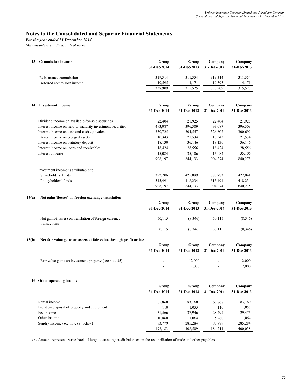*For the year ended 31 December 2014*

*(All amounts are in thousands of naira)*

| 13 | Commission income         | Group<br>31-Dec-2014 | Group<br>31-Dec-2013 | Company<br>31-Dec-2014 | Company<br>31-Dec-2013 |
|----|---------------------------|----------------------|----------------------|------------------------|------------------------|
|    | Reinsurance commission    | 319,314              | 311.354              | 319.314                | 311,354                |
|    | Deferred commision income | 19.595               | 4.171                | 19.595                 | 4,171                  |
|    |                           | 338,909              | 315.525              | 338,909                | 315,525                |

| 14 | <b>Investment income</b>                                  | Group       | Group       | Company     | Company     |
|----|-----------------------------------------------------------|-------------|-------------|-------------|-------------|
|    |                                                           | 31-Dec-2014 | 31-Dec-2013 | 31-Dec-2014 | 31-Dec-2013 |
|    |                                                           |             |             |             |             |
|    | Dividend income on available-for-sale securities          | 22,404      | 21,925      | 22.404      | 21,925      |
|    | Interest income on held-to-maturity investment securities | 493,087     | 396,309     | 493,087     | 396,309     |
|    | Interest income on cash and cash equivalents              | 330,725     | 304,557     | 326,802     | 300,699     |
|    | Interest income on pledged assets                         | 10,343      | 21,534      | 10,343      | 21,534      |
|    | Interest income on statutory deposit                      | 18,130      | 36,146      | 18,130      | 36,146      |
|    | Interest income on loans and receivables                  | 18,424      | 28,556      | 18,424      | 28,556      |
|    | Interest on lease                                         | 15,084      | 35,106      | 15,084      | 35,106      |
|    |                                                           | 908,197     | 844,133     | 904,274     | 840,275     |
|    | Investment income is attributable to:                     |             |             |             |             |
|    | Shareholders' funds                                       | 392,706     | 425,899     | 388,783     | 422,041     |
|    | Policyholders' funds                                      | 515,491     | 418,234     | 515,491     | 418,234     |
|    |                                                           | 908,197     | 844,133     | 904,274     | 840,275     |

#### **15(a) Net gains/(losses) on foreign exchange translation**

|                                                                       | Group       | Group       | Company     | Company     |
|-----------------------------------------------------------------------|-------------|-------------|-------------|-------------|
|                                                                       | 31-Dec-2014 | 31-Dec-2013 | 31-Dec-2014 | 31-Dec-2013 |
| Net gains/(losses) on translation of foreign currency<br>transactions | 50,115      | (8,346)     | 50,115      | (8.346)     |
|                                                                       | 50,115      | (8,346)     | 50,115      | (8,346)     |
|                                                                       |             |             |             |             |

#### **15(b) Net fair value gains on assets at fair value through profit or loss**

| Group       | Company     | Company     |
|-------------|-------------|-------------|
| 31-Dec-2013 | 31-Dec-2014 | 31-Dec-2013 |
|             |             |             |
| 12.000      | -           | 12,000      |
| 12.000      | -           | 12,000      |
|             |             |             |

#### **16 Other operating income**

|                                              | Group       | Group       | Company     | Company     |
|----------------------------------------------|-------------|-------------|-------------|-------------|
|                                              | 31-Dec-2014 | 31-Dec-2013 | 31-Dec-2014 | 31-Dec-2013 |
| Rental income                                | 65,868      | 83,160      | 65,868      | 83,160      |
| Profit on disposal of property and equipment | 110         | 1,055       | 110         | 1,055       |
| Fee income                                   | 31,566      | 37.946      | 28,497      | 29,475      |
| Other income                                 | 10.860      | 1.064       | 5,960       | 1,064       |
| Sundry income (see note (a) below)           | 83.779      | 285.284     | 83,779      | 285,284     |
|                                              | 192.183     | 408.509     | 184.214     | 400.038     |

 **(a)** Amount represents write-back of long outstanding credit balances on the reconciliation of trade and other payables.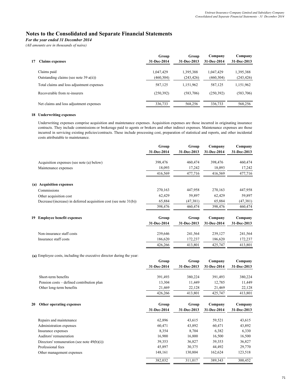*For the year ended 31 December 2014*

*(All amounts are in thousands of naira)*

| 17 | <b>Claims expenses</b>                    | Group<br>31-Dec-2014 | Group<br>31-Dec-2013 | Company<br>31-Dec-2014 | Company<br>31-Dec-2013 |
|----|-------------------------------------------|----------------------|----------------------|------------------------|------------------------|
|    | Claims paid                               | 1,047,429            | 1,395,388            | 1,047,429              | 1,395,388              |
|    | Outstanding claims (see note 39 $a(ii)$ ) | (460, 304)           | (243, 426)           | (460, 304)             | (243, 426)             |
|    | Total claims and loss adjustment expenses | 587,125              | 1,151,962            | 587,125                | 1,151,962              |
|    | Recoverable from re-insurers              | (250, 392)           | (583,706)            | (250, 392)             | (583,706)              |
|    | Net claims and loss adjustment expenses   | 336,733              | 568.256              | 336.733                | 568,256                |

### **18 Underwriting expenses**

Underwriting expenses comprise acquisition and maintenance expenses. Acquisition expenses are those incurred in originating insurance contracts. They include commissions or brokerage paid to agents or brokers and other indirect expenses. Maintenance expenses are those incurred in servicing existing policies/contracts. These include processing cost, preparation of statistical and reports, and other incidental costs attributable to maintenance.

|    |                                                                       | Group<br>31-Dec-2014 | Group<br>31-Dec-2013 | Company<br>31-Dec-2014 | Company<br>31-Dec-2013 |
|----|-----------------------------------------------------------------------|----------------------|----------------------|------------------------|------------------------|
|    | Acquisition expenses (see note (a) below)                             | 398,476              | 460,474              | 398,476                | 460,474                |
|    | Maintenance expenses                                                  | 18,093               | 17,242               | 18,093                 | 17,242                 |
|    |                                                                       | 416,569              | 477,716              | 416,569                | 477,716                |
|    | (a) Acquisition expenses                                              |                      |                      |                        |                        |
|    | Commissions                                                           | 270,163              | 447,958              | 270,163                | 447,958                |
|    | Other acquisition cost                                                | 62,429               | 59,897               | 62,429                 | 59,897                 |
|    | Decrease/(increase) in deferred acquisition cost (see note 31(b))     | 65,884               | (47, 381)            | 65,884                 | (47, 381)              |
|    |                                                                       | 398,476              | 460,474              | 398,476                | 460,474                |
| 19 | <b>Employee benefit expenses</b>                                      | Group                | Group                | Company                | Company                |
|    |                                                                       | 31-Dec-2014          | 31-Dec-2013          | 31-Dec-2014            | 31-Dec-2013            |
|    | Non-insurance staff costs                                             | 239,646              | 241,564              | 239,127                | 241,564                |
|    | Insurance staff costs                                                 | 186,620              | 172,237              | 186,620                | 172,237                |
|    |                                                                       | 426,266              | 413,801              | 425,747                | 413,801                |
|    | (a) Employee costs, including the executive director during the year: |                      |                      |                        |                        |
|    |                                                                       | Group                | Group                | Company                | Company                |
|    |                                                                       | 31-Dec-2014          | 31-Dec-2013          | 31-Dec-2014            | 31-Dec-2013            |
|    | Short-term benefits                                                   | 391,493              | 380,224              | 391,493                | 380,224                |
|    | Pension costs – defined contribution plan                             | 13,304               | 11,449               | 12,785                 | 11,449                 |
|    | Other long-term benefits                                              | 21,469               | 22,128               | 21,469                 | 22,128                 |
|    |                                                                       | 426,266              | 413,801              | 425,747                | 413,801                |

|  | 20 Other operating expenses |  |
|--|-----------------------------|--|

| 20 | Other operating expenses                       | Group       | Group       | Company     | Company     |
|----|------------------------------------------------|-------------|-------------|-------------|-------------|
|    |                                                | 31-Dec-2014 | 31-Dec-2013 | 31-Dec-2014 | 31-Dec-2013 |
|    |                                                |             |             |             |             |
|    | Repairs and maintenance                        | 62,896      | 43,615      | 59,521      | 43,615      |
|    | Administration expenses                        | 60,471      | 43,892      | 60,471      | 43,892      |
|    | Insurance expenses                             | 8,354       | 8.704       | 6,382       | 6,330       |
|    | Auditors' remuneration                         | 16,900      | 16,800      | 16,500      | 16,500      |
|    | Directors' remuneration (see note $49(b)(i)$ ) | 39,353      | 36,827      | 39,353      | 36,827      |
|    | Professional fees                              | 45,897      | 30,375      | 44,492      | 29,770      |
|    | Other management expenses                      | 148.161     | 130.804     | 162.624     | 123,518     |
|    |                                                | 382,032     | 311,017     | 389,343     | 300.452     |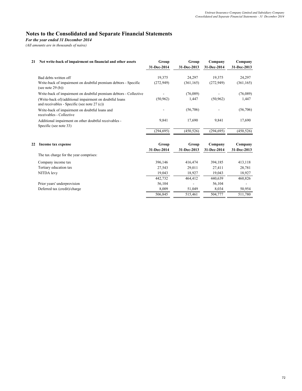*For the year ended 31 December 2014*

*(All amounts are in thousands of naira)*

| 21 | Net write-back of impairment on financial and other assets                                                | Group       | Group       | Company     | Company     |
|----|-----------------------------------------------------------------------------------------------------------|-------------|-------------|-------------|-------------|
|    |                                                                                                           | 31-Dec-2014 | 31-Dec-2013 | 31-Dec-2014 | 31-Dec-2013 |
|    | Bad debts written off                                                                                     | 19,375      | 24,297      | 19,375      | 24,297      |
|    | Write-back of impairment on doubtful premium debtors - Specific<br>(see note $29(b)$ )                    | (272, 949)  | (361, 165)  | (272, 949)  | (361, 165)  |
|    | Write-back of impairment on doubtful premium debtors - Collective                                         |             | (76,089)    |             | (76,089)    |
|    | (Write-back of)/additional impairment on doubtful loans<br>and receivables - Specific (see note $27(c)$ ) | (50, 962)   | 1,447       | (50, 962)   | 1,447       |
|    | Write-back of impairment on doubtful loans and<br>receivables - Collective                                |             | (56,706)    |             | (56,706)    |
|    | Additional impairment on other doubtful receivables -<br>Specific (see note 33)                           | 9,841       | 17,690      | 9,841       | 17,690      |
|    |                                                                                                           | (294, 695)  | (450, 526)  | (294, 695)  | (450, 526)  |
|    |                                                                                                           |             |             |             |             |
| 22 | Income tax expense                                                                                        | Group       | Group       | Company     | Company     |
|    |                                                                                                           | 31-Dec-2014 | 31-Dec-2013 | 31-Dec-2014 | 31-Dec-2013 |
|    | The tax charge for the year comprises:                                                                    |             |             |             |             |
|    | Company income tax                                                                                        | 396,146     | 416,474     | 394,185     | 413,118     |
|    | Tertiary education tax                                                                                    | 27,543      | 29,011      | 27,411      | 28,781      |
|    | NITDA levy                                                                                                | 19,043      | 18,927      | 19,043      | 18,927      |
|    |                                                                                                           | 442,732     | 464,412     | 440,639     | 460,826     |
|    | Prior years' underprovision                                                                               | 56,104      |             | 56,104      |             |
|    | Deferred tax (credit)/charge                                                                              | 8,009       | 51,049      | 8,034       | 50,954      |
|    |                                                                                                           | 506,845     | 515,461     | 504,777     | 511,780     |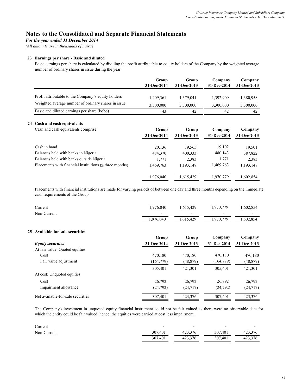*For the year ended 31 December 2014*

*(All amounts are in thousands of naira)*

### **23 Earnings per share - Basic and diluted**

Basic earnings per share is calculated by dividing the profit attributable to equity holders of the Company by the weighted average number of ordinary shares in issue during the year.

|                                                     | Group<br>31-Dec-2014 | Group<br>31-Dec-2013 | Company<br>31-Dec-2014 | Company<br>31-Dec-2013 |
|-----------------------------------------------------|----------------------|----------------------|------------------------|------------------------|
| Profit attributable to the Company's equity holders | 1,409,361            | 1,379,041            | 1.392.909              | 1,380,958              |
| Weighted average number of ordinary shares in issue | 3,300,000            | 3,300,000            | 3,300,000              | 3,300,000              |
| Basic and diluted earnings per share (kobo)         | 43                   | 42                   | 42                     | 42                     |

#### **24 Cash and cash equivalents**

| Cash and cash equivalents comprise:                          | Group       | Group       | Company     | Company     |
|--------------------------------------------------------------|-------------|-------------|-------------|-------------|
|                                                              | 31-Dec-2014 | 31-Dec-2013 | 31-Dec-2014 | 31-Dec-2013 |
| Cash in hand                                                 | 20,136      | 19,565      | 19,102      | 19,501      |
| Balances held with banks in Nigeria                          | 484,370     | 400,333     | 480,143     | 387,822     |
| Balances held with banks outside Nigeria                     | 1,771       | 2,383       | 1,771       | 2,383       |
| Placements with financial institutions $(\leq$ three months) | 1,469,763   | 1,193,148   | 1,469,763   | 1,193,148   |
|                                                              | 1.976.040   | 1.615.429   | 1,970,779   | 1,602,854   |

Placements with financial institutions are made for varying periods of between one day and three months depending on the immediate cash requirements of the Group.

| Current     | 1.976.040 | 1,615,429 | 1,970,779                | 1,602,854 |
|-------------|-----------|-----------|--------------------------|-----------|
| Non-Current | -         | -         | $\overline{\phantom{0}}$ | -         |
|             | 1.976.040 | 1,615,429 | 1,970,779                | 1,602,854 |

### **25 Available-for-sale securities**

|                                   | Group       | Group       | Company     | Company     |
|-----------------------------------|-------------|-------------|-------------|-------------|
| <b>Equity securities</b>          | 31-Dec-2014 | 31-Dec-2013 | 31-Dec-2014 | 31-Dec-2013 |
| At fair value: Quoted equities    |             |             |             |             |
| Cost                              | 470,180     | 470,180     | 470,180     | 470,180     |
| Fair value adjustment             | (164, 779)  | (48, 879)   | (164, 779)  | (48, 879)   |
|                                   | 305.401     | 421.301     | 305.401     | 421,301     |
| At cost: Unquoted equities        |             |             |             |             |
| Cost                              | 26,792      | 26.792      | 26,792      | 26,792      |
| Impairment allowance              | (24,792)    | (24, 717)   | (24,792)    | (24, 717)   |
| Net available-for-sale securities | 307,401     | 423,376     | 307,401     | 423,376     |

The Company's investment in unquoted equity financial instrument could not be fair valued as there were no observable data for which the entity could be fair valued, hence, the equities were carried at cost less impairment.

| Current     | -       |         | -       |         |
|-------------|---------|---------|---------|---------|
| Non-Current | 307.401 | 423.376 | 307.401 | 423.376 |
|             | 307.401 | 423.376 | 307,401 | 423.376 |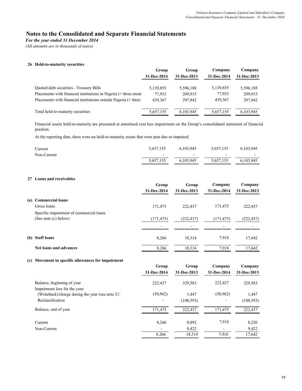*For the year ended 31 December 2014*

*(All amounts are in thousands of naira)*

#### **26 Held-to-maturity securities**

|                                                                 | Group       | Group       | Company     | Company     |
|-----------------------------------------------------------------|-------------|-------------|-------------|-------------|
|                                                                 | 31-Dec-2014 | 31-Dec-2013 | 31-Dec-2014 | 31-Dec-2013 |
| <b>Ouoted debt securities - Treasury Bills</b>                  | 5,139,855   | 5,596,188   | 5,139,855   | 5,596,188   |
| Placements with financial institutions in Nigeria (> three mont | 77.933      | 209.915     | 77,933      | 209,915     |
| Placements with financial institutions outside Nigeria (> three | 439.367     | 297.842     | 439.367     | 297,842     |
| Total held-to-maturity securities                               | 5,657,155   | 6,103,945   | 5,657,155   | 6,103,945   |

Financial assets held-to-maturity are presented at amortised cost less impairment on the Group's consolidated statement of financial position.

At the reporting date, there were no held-to-maturity assets that were past due or impaired.

| Current     | 5,657,155                | 6,103,945 | 5,657,155                | 6,103,945 |
|-------------|--------------------------|-----------|--------------------------|-----------|
| Non-Current | $\overline{\phantom{0}}$ |           | $\overline{\phantom{0}}$ | $\sim$    |
|             | 5,657,155                | 6,103,945 | 5,657,155                | 6,103,945 |

### **27 Loans and receivables**

|                                                                 | Group                    | Group                    | Company     | Company     |
|-----------------------------------------------------------------|--------------------------|--------------------------|-------------|-------------|
|                                                                 | 31-Dec-2014              | 31-Dec-2013              | 31-Dec-2014 | 31-Dec-2013 |
| (a) Commercial loans                                            |                          |                          |             |             |
| Gross loans                                                     | 171,475                  | 222,437                  | 171,475     | 222,437     |
| Specific impairment of commercial loans<br>(See note (c) below) | (171, 475)               | (222, 437)               | (171, 475)  | (222, 437)  |
|                                                                 | $\overline{\phantom{a}}$ | $\overline{\phantom{a}}$ |             |             |
| (b) Staff loans                                                 | 8,266                    | 18.314                   | 7,918       | 17,642      |
| <b>Net loans and advances</b>                                   | 8,266                    | 18,314                   | 7.918       | 17,642      |

#### **(c) Movement in specific allowances for impairment**

|                                                  | Group       |             | Group       | Company     | Company |
|--------------------------------------------------|-------------|-------------|-------------|-------------|---------|
|                                                  | 31-Dec-2014 | 31-Dec-2013 | 31-Dec-2014 | 31-Dec-2013 |         |
| Balance, beginning of year                       | 222,437     | 329,583     | 222,437     | 329,583     |         |
| Impairment loss for the year:                    |             |             |             |             |         |
| (Writeback)/charge during the year (see note 21) | (50, 962)   | 1.447       | (50, 962)   | 1,447       |         |
| Reclassification                                 |             | (108, 593)  |             | (108, 593)  |         |
| Balance, end of year                             | 171,475     | 222,437     | 171,475     | 222,437     |         |
| Current                                          | 8,266       | 8,892       | 7,918       | 8,220       |         |
| Non-Current                                      | -           | 9,422       |             | 9,422       |         |
|                                                  | 8,266       | 18,314      | 7,918       | 17,642      |         |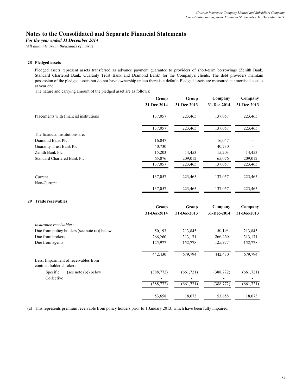*For the year ended 31 December 2014*

*(All amounts are in thousands of naira)*

### **28 Pledged assets**

Pledged assets represent assets transferred as advance payment guarantee to providers of short-term borrowings (Zenith Bank, Standard Chartered Bank, Guaranty Trust Bank and Diamond Bank) for the Company's clients. The debt providers maintain possession of the pledged assets but do not have ownership unless there is a default. Pledged assets are measured at amortised cost as at year end.

The nature and carrying amount of the pledged asset are as follows:

| Group       | Group       |             | Company            |
|-------------|-------------|-------------|--------------------|
| 31-Dec-2014 | 31-Dec-2013 | 31-Dec-2014 | 31-Dec-2013        |
| 137,057     | 223,465     | 137,057     | 223,465            |
| 137,057     | 223,465     | 137,057     | 223,465            |
|             |             |             |                    |
| 16,047      |             | 16,047      |                    |
| 40,730      |             | 40,730      |                    |
| 15,203      | 14,453      | 15,203      | 14,453             |
| 65,076      | 209,012     | 65,076      | 209,012            |
| 137,057     | 223,465     | 137,057     | 223,465            |
|             |             |             | 223,465            |
|             |             |             |                    |
| 137,057     | 223,465     | 137,057     | 223,465            |
|             |             |             |                    |
| Group       | Group       | Company     | Company            |
| 31-Dec-2014 | 31-Dec-2013 | 31-Dec-2014 | 31-Dec-2013        |
|             |             |             |                    |
| 50,193      | 213,845     | 50,193      | 213,845            |
| 266,260     | 313,171     | 266,260     | 313,171            |
| 125,977     | 152,778     | 125,977     | 152,778            |
| 442,430     | 679,794     | 442,430     | 679,794            |
|             |             |             |                    |
|             |             |             |                    |
| (388, 772)  | (661, 721)  | (388, 772)  | (661, 721)         |
|             | 137,057     | 223,465     | Company<br>137,057 |

18,073 53,658 53,658 18,073

(a) This represents premium receivable from policy holders prior to 1 January 2013, which have been fully impaired.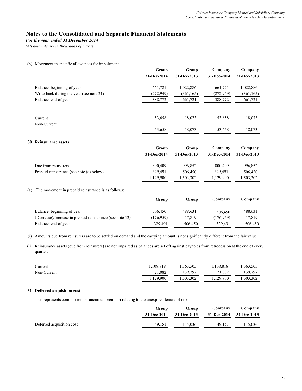*For the year ended 31 December 2014*

*(All amounts are in thousands of naira)*

#### (b) Movement in specific allowances for impairment

|                                          | Group<br>31-Dec-2014 | Group<br>31-Dec-2013 | Company<br>31-Dec-2014 | Company<br>31-Dec-2013 |
|------------------------------------------|----------------------|----------------------|------------------------|------------------------|
| Balance, beginning of year               | 661,721              | 1,022,886            | 661,721                | 1,022,886              |
| Write-back during the year (see note 21) | (272, 949)           | (361, 165)           | (272, 949)             | (361, 165)             |
| Balance, end of year                     | 388,772              | 661,721              | 388,772                | 661,721                |
|                                          |                      |                      |                        |                        |
| Current                                  | 53,658               | 18,073               | 53,658                 | 18,073                 |
| Non-Current                              |                      |                      |                        |                        |
|                                          | 53,658               | 18,073               | 53,658                 | 18,073                 |
|                                          |                      |                      |                        |                        |

### **30 Reinsurance assets**

|                                          | Group       | Group       | Company     | Company     |
|------------------------------------------|-------------|-------------|-------------|-------------|
|                                          | 31-Dec-2014 | 31-Dec-2013 | 31-Dec-2014 | 31-Dec-2013 |
| Due from reinsurers                      | 800,409     | 996.852     | 800,409     | 996,852     |
| Prepaid reinsurance (see note (a) below) | 329.491     | 506.450     | 329.491     | 506,450     |
|                                          | 1,129,900   | 1,503,302   | 1,129,900   | 1,503,302   |

#### (a) The movement in prepaid reinsurance is as follows:

|                                                          | Group      | Group   | Company   | Company |
|----------------------------------------------------------|------------|---------|-----------|---------|
| Balance, beginning of year                               | 506.450    | 488.631 | 506.450   | 488,631 |
| (Decrease)/Increase in prepaid reinsurance (see note 12) | (176, 959) | 17.819  | (176.959) | 17.819  |
| Balance, end of year                                     | 329.491    | 506.450 | 329.491   | 506.450 |

(i) Amounts due from reinsurers are to be settled on demand and the carrying amount is not significantly different from the fair value.

(ii) Reinsurance assets (due from reinsurers) are not impaired as balances are set off against payables from retrocession at the end of every quarter.

| Current     | 1,108,818 | 1,363,505 | 1,108,818 | 1,363,505 |
|-------------|-----------|-----------|-----------|-----------|
| Non-Current | 21.082    | 139.797   | 21.082    | 139.797   |
|             | 1,129,900 | 1,503,302 | 1,129,900 | 1,503,302 |

### **31 Deferred acquisition cost**

This represents commission on unearned premium relating to the unexpired tenure of risk.

| Group<br>31-Dec-2014 | Group<br>31-Dec-2013 | Company<br>31-Dec-2014 31-Dec-2013 | Company |
|----------------------|----------------------|------------------------------------|---------|
| 49.151               | 115.036              | 49.151                             | 115.036 |
|                      |                      |                                    |         |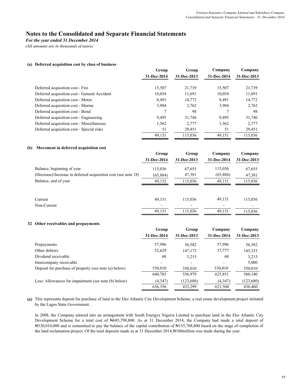*For the year ended 31 December 2014*

*(All amounts are in thousands of naira)*

### **(a) Deferred acquisition cost by class of business**

|                                              | Group<br>31-Dec-2014 |             |             |             | Group | Company | Company |
|----------------------------------------------|----------------------|-------------|-------------|-------------|-------|---------|---------|
|                                              |                      | 31-Dec-2013 | 31-Dec-2014 | 31-Dec-2013 |       |         |         |
| Deferred acquisition cost - Fire             | 15,507               | 21,739      | 15,507      | 21,739      |       |         |         |
|                                              |                      |             |             |             |       |         |         |
| Deferred acquisition cost - General Accident | 10,054               | 11,691      | 10,054      | 11,691      |       |         |         |
| Deferred acquisition cost - Motor            | 8,491                | 14,772      | 8,491       | 14,772      |       |         |         |
| Deferred acquisition cost - Marine           | 3,984                | 2,762       | 3,984       | 2,762       |       |         |         |
| Deferred acquisition cost - Bond             |                      | 98          |             | 98          |       |         |         |
| Deferred acquisition cost - Engineering      | 9.495                | 31,746      | 9,495       | 31,746      |       |         |         |
| Deferred acquisition cost - Miscellaneous    | 1,562                | 2,777       | 1,562       | 2,777       |       |         |         |
| Deferred acquisition cost - Special risks    | 51                   | 29,451      | 51          | 29,451      |       |         |         |
|                                              | 49,151               | 115,036     | 49,151      | 115,036     |       |         |         |

#### **(b) Movement in deferred acquisition cost**

|                                                                | Group       | Group       | Company     | Company     |
|----------------------------------------------------------------|-------------|-------------|-------------|-------------|
|                                                                | 31-Dec-2014 | 31-Dec-2013 | 31-Dec-2014 | 31-Dec-2013 |
| Balance, beginning of year                                     | 115,036     | 67,655      | 115,036     | 67,655      |
| (Decrease)/Increase in deferred acquisition cost (see note 18) | (65,884)    | 47,381      | (65,884)    | 47,381      |
| Balance, end of year                                           | 49,152      | 115,036     | 49,151      | 115,036     |
|                                                                |             |             |             |             |
| Current                                                        | 49,151      | 115,036     | 49,151      | 115,036     |
| Non-Current                                                    |             |             |             |             |
|                                                                | 49,151      | 115,036     | 49,151      | 115.036     |
|                                                                |             |             |             |             |

### **32 Other receivables and prepayments**

|                                                       | Group       | Group       | Company     | Company     |
|-------------------------------------------------------|-------------|-------------|-------------|-------------|
|                                                       | 31-Dec-2014 | 31-Dec-2013 | 31-Dec-2014 | 31-Dec-2013 |
| Prepayments                                           | 57,996      | 56,582      | 57,996      | 56,582      |
| Other debtors                                         | 52,629      | 147,172     | 37,777      | 145,333     |
| Dividend receivable                                   | 68          | 3,215       | 68          | 3,215       |
| Intercompany receivable                               |             | -           |             | 5,000       |
| Deposit for purchase of property (see note (a) below) | 530,010     | 350,010     | 530,010     | 350,010     |
|                                                       | 640.703     | 556,979     | 625,851     | 560,140     |
| Less: Allowances for impairment (see note (b) below)  | (4,347)     | (123,680)   | (4,347)     | (123,680)   |
|                                                       | 636,356     | 433,299     | 621,504     | 436,460     |

**(a)** This represents deposit for purchase of land in the Eko Atlantic City Development Scheme, a real estate development project initiated by the Lagos State Government. .

In 2008, the Company entered into an arrangement with South Energyx Nigeria Limited to purchase land in the Eko Atlantic City Development Scheme for a total cost of N685,798,800. As at 31 December 2014, the Company had made a total deposit of ₦530,010,000 and is committed to pay the balance of the capital contribution of ₦155,788,800 based on the stage of completion of the land reclamation project. Of the total deposits made as at 31 December 2014,#180million was made during the year.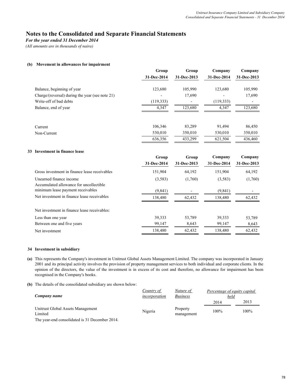*For the year ended 31 December 2014*

*(All amounts are in thousands of naira)*

### **(b) Movement in allowances for impairment**

|                                                 | Group       | Group       | Company     | Company     |
|-------------------------------------------------|-------------|-------------|-------------|-------------|
|                                                 | 31-Dec-2014 | 31-Dec-2013 | 31-Dec-2014 | 31-Dec-2013 |
| Balance, beginning of year                      | 123,680     | 105,990     | 123,680     | 105,990     |
| Charge/(reversal) during the year (see note 21) |             | 17,690      |             | 17,690      |
| Write-off of bad debts                          | (119, 333)  |             | (119, 333)  |             |
| Balance, end of year                            | 4,347       | 123,680     | 4,347       | 123,680     |
|                                                 |             |             |             |             |
| Current                                         | 106,346     | 83,289      | 91,494      | 86,450      |
| Non-Current                                     | 530,010     | 350,010     | 530,010     | 350,010     |
|                                                 | 636,356     | 433,299     | 621,504     | 436,460     |
|                                                 |             |             |             |             |

### **33 Investment in finance lease**

|                                                                    | Group<br>31-Dec-2014 | Group<br>31-Dec-2013 | Company<br>31-Dec-2014 | Company<br>31-Dec-2013 |
|--------------------------------------------------------------------|----------------------|----------------------|------------------------|------------------------|
| Gross investment in finance lease receivables                      | 151,904              | 64,192               | 151,904                | 64,192                 |
| Unearned finance income<br>Accumulated allowance for uncollectible | (3,583)              | (1,760)              | (3,583)                | (1,760)                |
| minimum lease payment receivables                                  | (9,841)              |                      | (9,841)                |                        |
| Net investment in finance lease receivables                        | 138.480              | 62,432               | 138,480                | 62,432                 |
| Net investment in finance lease receivables:                       |                      |                      |                        |                        |
| Less than one year                                                 | 39,333               | 53,789               | 39,333                 | 53,789                 |
| Between one and five years                                         | 99,147               | 8,643                | 99,147                 | 8,643                  |
| Net investment                                                     | 138,480              | 62,432               | 138,480                | 62,432                 |

### **34 Investment in subsidiary**

- **(a)** This represents the Company's investment in Unitrust Global Assets Management Limited. The company was incorporated in January 2001 and its principal activity involves the provision of property management services to both individual and corporate clients. In the opinion of the directors, the value of the investment is in excess of its cost and therefore, no allowance for impairment has been recognised in the Company's books.
- **(b)** The details of the consolidated subsidiary are shown below:

|                                               | Country of    | Nature of       | Percentage of equity capital |      |
|-----------------------------------------------|---------------|-----------------|------------------------------|------|
| Company name                                  | incorporation | <b>Business</b> | held                         |      |
|                                               |               |                 | 2014                         | 2013 |
| Unitrust Global Assets Management             | Nigeria       | Property        | 100%                         | 100% |
| Limited                                       |               | management      |                              |      |
| The year and consolidated is 21 December 2014 |               |                 |                              |      |

The year-end consolidated is 31 December 2014.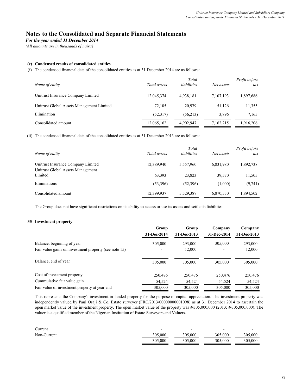*For the year ended 31 December 2014*

*(All amounts are in thousands of naira)*

### **(c) Condensed results of consolidated entities**

(i) The condensed financial data of the consolidated entities as at 31 December 2014 are as follows:

| Name of entity                            | Total assets | Total<br>liabilities | Net assets | Profit before<br>tax |
|-------------------------------------------|--------------|----------------------|------------|----------------------|
| Unitrust Insurance Company Limited        | 12,045,374   | 4,938,181            | 7,107,193  | 1,897,686            |
| Unitrust Global Assets Management Limited | 72.105       | 20.979               | 51.126     | 11,355               |
| Elimination                               | (52,317)     | (56,213)             | 3.896      | 7,165                |
| Consolidated amount                       | 12,065,162   | 4,902,947            | 7,162,215  | 1,916,206            |

(ii) The condensed financial data of the consolidated entities as at 31 December 2013 are as follows:

| Name of entity                                                          | Total assets | Total<br>liabilities | Net assets | Profit before<br>tax |
|-------------------------------------------------------------------------|--------------|----------------------|------------|----------------------|
| Unitrust Insurance Company Limited<br>Unitrust Global Assets Management | 12,389,940   | 5,557,960            | 6,831,980  | 1,892,738            |
| Limited                                                                 | 63,393       | 23,823               | 39,570     | 11,505               |
| Eliminations                                                            | (53,396)     | (52,396)             | (1,000)    | (9,741)              |
| Consolidated amount                                                     | 12,399,937   | 5,529,387            | 6,870,550  | 1,894,502            |

The Group does not have significant restrictions on its ability to access or use its assets and settle its liabilities.

### **35 Investment property**

|                                                       | Group       | Group       | Company     | Company     |
|-------------------------------------------------------|-------------|-------------|-------------|-------------|
|                                                       | 31-Dec-2014 | 31-Dec-2013 | 31-Dec-2014 | 31-Dec-2013 |
| Balance, beginning of year                            | 305,000     | 293,000     | 305,000     | 293,000     |
| Fair value gains on investment property (see note 15) |             | 12,000      |             | 12,000      |
| Balance, end of year                                  | 305,000     | 305,000     | 305,000     | 305,000     |
| Cost of investment property                           | 250,476     | 250,476     | 250,476     | 250,476     |
| Cummulative fair value gain                           | 54,524      | 54,524      | 54,524      | 54,524      |
| Fair value of investment property at year end         | 305,000     | 305,000     | 305,000     | 305,000     |

This represents the Company's investment in landed property for the purpose of capital appreciation. The investment property was independently valued by Paul Osaji & Co. Estate surveyor (FRC/2013/00000000001098) as at 31 December 2014 to ascertain the open market value of the investment property. The open market value of the property was ₦305,000,000 (2013: ₦305,000,000). The valuer is a qualified member of the Nigerian Institution of Estate Surveyors and Valuers.

| Current     |         |         | $\overline{\phantom{0}}$ | $\overline{\phantom{0}}$ |
|-------------|---------|---------|--------------------------|--------------------------|
| Non-Current | 305,000 | 305,000 | 305,000                  | 305,000                  |
|             | 305,000 | 305,000 | 305,000                  | 305,000                  |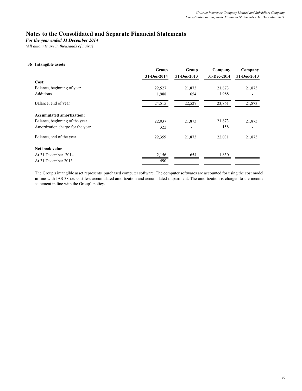*For the year ended 31 December 2014*

*(All amounts are in thousands of naira)*

### **36 Intangible assets**

|                                  | Group       | Group       | Company     | Company     |
|----------------------------------|-------------|-------------|-------------|-------------|
|                                  | 31-Dec-2014 | 31-Dec-2013 | 31-Dec-2014 | 31-Dec-2013 |
| Cost:                            |             |             |             |             |
| Balance, beginning of year       | 22,527      | 21,873      | 21,873      | 21,873      |
| Additions                        | 1,988       | 654         | 1,988       |             |
| Balance, end of year             | 24,515      | 22,527      | 23,861      | 21,873      |
| <b>Accumulated amortization:</b> |             |             |             |             |
| Balance, beginning of the year   | 22,037      | 21,873      | 21,873      | 21,873      |
| Amortization charge for the year | 322         | -           | 158         |             |
| Balance, end of the year         | 22,359      | 21,873      | 22,031      | 21,873      |
| Net book value                   |             |             |             |             |
| At 31 December 2014              | 2,156       | 654         | 1,830       |             |
| At 31 December 2013              | 490         |             |             |             |

The Group's intangible asset represents purchased computer software. The computer softwares are accounted for using the cost model in line with IAS 38 i.e. cost less accumulated amortization and accumulated impairment. The amortization is charged to the income statement in line with the Group's policy.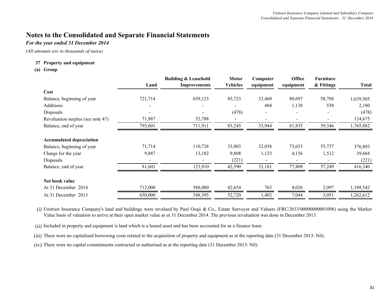## *For the year ended 31 December 2014*

*(All amounts are in thousands of naira)*

### **Property and equipment 37**

### **(a) Group**

|                                   |         | <b>Building &amp; Leasehold</b> | <b>Motor</b>    | Computer  | Office    | <b>Furniture</b> |              |
|-----------------------------------|---------|---------------------------------|-----------------|-----------|-----------|------------------|--------------|
|                                   | Land    | <b>Improvements</b>             | <b>Vehicles</b> | equipment | equipment | & Fittings       | <b>Total</b> |
| Cost                              |         |                                 |                 |           |           |                  |              |
| Balance, beginning of year        | 721,714 | 659,123                         | 85,723          | 33,460    | 80,697    | 58,788           | 1,639,505    |
| Additions                         |         |                                 |                 | 484       | 1,138     | 558              | 2,180        |
| Disposals                         |         |                                 | (478)           |           |           |                  | (478)        |
| Revaluation surplus (see note 47) | 71,887  | 52,788                          |                 |           |           |                  | 124,675      |
| Balance, end of year              | 793,601 | 711,911                         | 85,245          | 33,944    | 81,835    | 59,346           | 1,765,882    |
| <b>Accumulated depreciation</b>   |         |                                 |                 |           |           |                  |              |
| Balance, beginning of year        | 71,714  | 110,728                         | 33,003          | 32,058    | 73,653    | 55,737           | 376,893      |
| Charge for the year               | 9,887   | 13,182                          | 9,808           | 1,123     | 4,156     | 1,512            | 39,668       |
| Disposals                         |         |                                 | (221)           |           |           |                  | (221)        |
| Balance, end of year              | 81,601  | 123,910                         | 42,590          | 33,181    | 77,809    | 57,249           | 416,340      |
| Net book value                    |         |                                 |                 |           |           |                  |              |
| At 31 December 2014               | 712,000 | 588,000                         | 42,654          | 763       | 4,026     | 2,097            | 1,349,542    |
| At 31 December 2013               | 650,000 | 548,395                         | 52,720          | 1,402     | 7,044     | 3,051            | 1,262,612    |

(i) Unitrust Insurance Company's land and buildings were revalued by Paul Osaji & Co., Estate Surveyor and Valuers (FRC/2013/00000000001098) using the Market Value basis of valuation to arrive at their open market value as at 31 December 2014. The previous revaluation was done in December 2013.

(ii) Included in property and equipment is land which is a leased asset and has been accounted for as a finance lease.

(iii) There were no capitalised borrowing costs related to the acquisition of property and equipment as at the reporting date (31 December 2013: Nil).

(iv) There were no capital commitments contracted or authorised as at the reporting date (31 December 2013: Nil).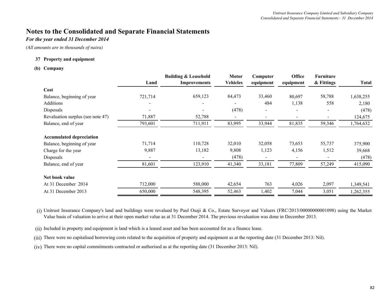## *For the year ended 31 December 2014*

*(All amounts are in thousands of naira)*

### **Property and equipment 37**

### **(b) Company**

|                                   |                          | <b>Building &amp; Leasehold</b> | <b>Motor</b>    | Computer                 | Office    | <b>Furniture</b> |              |
|-----------------------------------|--------------------------|---------------------------------|-----------------|--------------------------|-----------|------------------|--------------|
|                                   | Land                     | <b>Improvements</b>             | <b>Vehicles</b> | equipment                | equipment | & Fittings       | <b>Total</b> |
| Cost                              |                          |                                 |                 |                          |           |                  |              |
| Balance, beginning of year        | 721,714                  | 659,123                         | 84,473          | 33,460                   | 80,697    | 58,788           | 1,638,255    |
| Additions                         | $\overline{\phantom{a}}$ | $\overline{\phantom{0}}$        |                 | 484                      | 1,138     | 558              | 2,180        |
| <b>Disposals</b>                  | $\blacksquare$           |                                 | (478)           | $\overline{\phantom{0}}$ |           |                  | (478)        |
| Revaluation surplus (see note 47) | 71,887                   | 52,788                          |                 |                          |           |                  | 124,675      |
| Balance, end of year              | 793,601                  | 711,911                         | 83,995          | 33,944                   | 81,835    | 59,346           | 1,764,632    |
| <b>Accumulated depreciation</b>   |                          |                                 |                 |                          |           |                  |              |
| Balance, beginning of year        | 71,714                   | 110,728                         | 32,010          | 32,058                   | 73,653    | 55,737           | 375,900      |
| Charge for the year               | 9,887                    | 13,182                          | 9,808           | 1,123                    | 4,156     | 1,512            | 39,668       |
| Disposals                         |                          |                                 | (478)           |                          |           |                  | (478)        |
| Balance, end of year              | 81,601                   | 123,910                         | 41,340          | 33,181                   | 77,809    | 57,249           | 415,090      |
| Net book value                    |                          |                                 |                 |                          |           |                  |              |
| At 31 December 2014               | 712,000                  | 588,000                         | 42,654          | 763                      | 4,026     | 2,097            | 1,349,541    |
| At 31 December 2013               | 650,000                  | 548,395                         | 52,463          | 1,402                    | 7,044     | 3,051            | 1,262,355    |

(i) Unitrust Insurance Company's land and buildings were revalued by Paul Osaji & Co., Estate Surveyor and Valuers (FRC/2013/00000000001098) using the Market Value basis of valuation to arrive at their open market value as at 31 December 2014. The previous revaluation was done in December 2013.

(ii) Included in property and equipment is land which is a leased asset and has been accounted for as a finance lease.

(iii) There were no capitalised borrowing costs related to the acquisition of property and equipment as at the reporting date (31 December 2013: Nil).

(iv) There were no capital commitments contracted or authorised as at the reporting date (31 December 2013: Nil).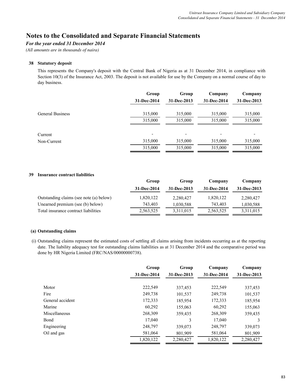## *For the year ended 31 December 2014*

*(All amounts are in thousands of naira)*

### **38 Statutory deposit**

This represents the Company's deposit with the Central Bank of Nigeria as at 31 December 2014, in compliance with Section 10(3) of the Insurance Act, 2003. The deposit is not available for use by the Company on a normal course of day to day business.

|                         | Group       | Group                    | Company     | Company     |
|-------------------------|-------------|--------------------------|-------------|-------------|
|                         | 31-Dec-2014 | 31-Dec-2013              | 31-Dec-2014 | 31-Dec-2013 |
| <b>General Business</b> | 315,000     | 315,000                  | 315,000     | 315,000     |
|                         | 315,000     | 315,000                  | 315,000     | 315,000     |
| Current                 |             | $\overline{\phantom{0}}$ |             |             |
| Non-Current             | 315,000     | 315,000                  | 315,000     | 315,000     |
|                         | 315,000     | 315,000                  | 315,000     | 315,000     |

### **39 Insurance contract liabilities**

|                                         | Group       | Group       | Company     | Company     |
|-----------------------------------------|-------------|-------------|-------------|-------------|
|                                         | 31-Dec-2014 | 31-Dec-2013 | 31-Dec-2014 | 31-Dec-2013 |
| Outstanding claims (see note (a) below) | 1,820,122   | 2,280,427   | 1,820,122   | 2,280,427   |
| Unearned premium (see (b) below)        | 743.403     | 1,030,588   | 743.403     | 1,030,588   |
| Total insurance contract liabilities    | 2,563,525   | 3,311,015   | 2,563,525   | 3,311,015   |

## **(a) Outstanding claims**

(i) Outstanding claims represent the estimated costs of settling all claims arising from incidents occurring as at the reporting date. The liability adequacy test for outstanding claims liabilities as at 31 December 2014 and the comparative period was done by HR Nigeria Limited (FRC/NAS/00000000738).

|                      | Group       | Group       | Company     | Company     |
|----------------------|-------------|-------------|-------------|-------------|
|                      | 31-Dec-2014 | 31-Dec-2013 | 31-Dec-2014 | 31-Dec-2013 |
| Motor                | 222,549     | 337,453     | 222,549     | 337,453     |
| Fire                 | 249,738     | 101,537     | 249,738     | 101,537     |
| General accident     | 172,333     | 185,954     | 172,333     | 185,954     |
| Marine               | 60,292      | 155,063     | 60,292      | 155,063     |
| <b>Miscellaneous</b> | 268,309     | 359,435     | 268,309     | 359,435     |
| Bond                 | 17,040      | 3           | 17,040      | 3           |
| Engineering          | 248,797     | 339,073     | 248,797     | 339,073     |
| Oil and gas          | 581,064     | 801,909     | 581,064     | 801,909     |
|                      | 1,820,122   | 2,280,427   | 1,820,122   | 2,280,427   |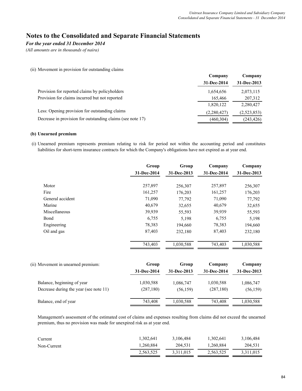## *For the year ended 31 December 2014*

*(All amounts are in thousands of naira)*

### (ii) Movement in provision for outstanding claims

|                                                            | Company     | Company     |
|------------------------------------------------------------|-------------|-------------|
|                                                            | 31-Dec-2014 | 31-Dec-2013 |
| Provision for reported claims by policyholders             | 1,654,656   | 2,073,115   |
| Provision for claims incurred but not reported             | 165,466     | 207,312     |
|                                                            | 1,820,122   | 2,280,427   |
| Less: Opening provision for outstanding claims             | (2,280,427) | (2,523,853) |
| Decrease in provision for outstanding claims (see note 17) | (460, 304)  | (243, 426)  |
|                                                            |             |             |

### **(b) Unearned premium**

(i) Unearned premium represents premium relating to risk for period not within the accounting period and constitutes liabilities for short-term insurance contracts for which the Company's obligations have not expired as at year end.

|                                        | Group<br>31-Dec-2014 | Group<br>31-Dec-2013 | Company<br>31-Dec-2014 | Company<br>31-Dec-2013 |
|----------------------------------------|----------------------|----------------------|------------------------|------------------------|
| Motor                                  | 257,897              | 256,307              | 257,897                | 256,307                |
| Fire                                   | 161,257              | 176,203              | 161,257                | 176,203                |
| General accident                       | 71,090               | 77,792               | 71,090                 | 77,792                 |
| Marine                                 | 40,679               | 32,655               | 40,679                 | 32,655                 |
| Miscellaneous                          | 39,939               | 55,593               | 39,939                 | 55,593                 |
| Bond                                   | 6,755                | 5,198                | 6,755                  | 5,198                  |
| Engineering                            | 78,383               | 194,660              | 78,383                 | 194,660                |
| Oil and gas                            | 87,403               | 232,180              | 87,403                 | 232,180                |
|                                        | 743,403              | 1,030,588            | 743,403                | 1,030,588              |
| (ii) Movement in unearned premium:     | Group                | Group                | Company                | Company                |
|                                        | 31-Dec-2014          | 31-Dec-2013          | 31-Dec-2014            | 31-Dec-2013            |
| Balance, beginning of year             | 1,030,588            | 1,086,747            | 1,030,588              | 1,086,747              |
| Decrease during the year (see note 11) | (287, 180)           | (56, 159)            | (287, 180)             | (56, 159)              |

Management's assessment of the estimated cost of claims and expenses resulting from claims did not exceed the unearned premium, thus no provision was made for unexpired risk as at year end.

Balance, end of year 743,408 743,408 743,408 743,408 743,408 1,030,588

| Current     | 1,302,641 | 3,106,484 | 1,302,641 | 3,106,484 |
|-------------|-----------|-----------|-----------|-----------|
| Non-Current | 1,260,884 | 204.531   | 1,260,884 | 204,531   |
|             | 2,563,525 | 3,311,015 | 2,563,525 | 3,311,015 |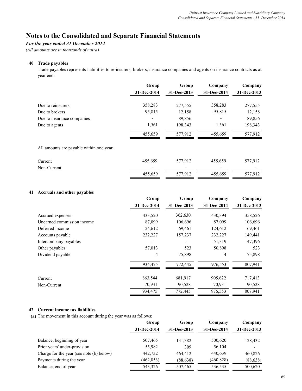## *For the year ended 31 December 2014*

*(All amounts are in thousands of naira)*

### **40 Trade payables**

Trade payables represents liabilities to re-insurers, brokers, insurance companies and agents on insurance contracts as at year end.

|                                          | Group       | Group       | Company     | Company     |
|------------------------------------------|-------------|-------------|-------------|-------------|
|                                          | 31-Dec-2014 | 31-Dec-2013 | 31-Dec-2014 | 31-Dec-2013 |
| Due to reinsurers                        | 358,283     | 277,555     | 358,283     | 277,555     |
| Due to brokers                           | 95,815      | 12,158      | 95,815      | 12,158      |
| Due to insurance companies               |             | 89,856      |             | 89,856      |
| Due to agents                            | 1,561       | 198,343     | 1,561       | 198,343     |
|                                          | 455,659     | 577,912     | 455,659     | 577,912     |
| All amounts are payable within one year. |             |             |             |             |
| Current                                  | 455,659     | 577,912     | 455,659     | 577,912     |
| Non-Current                              |             |             |             |             |
|                                          | 455,659     | 577,912     | 455,659     | 577,912     |

### **41 Accruals and other payables**

|                            | Group       | Group       | Company     | Company     |
|----------------------------|-------------|-------------|-------------|-------------|
|                            | 31-Dec-2014 | 31-Dec-2013 | 31-Dec-2014 | 31-Dec-2013 |
| Accrued expenses           | 433,520     | 362,630     | 430,394     | 358,526     |
| Unearned commission income | 87,099      | 106,696     | 87,099      | 106,696     |
| Deferred income            | 124,612     | 69,461      | 124,612     | 69,461      |
| Accounts payable           | 232,227     | 157,237     | 232,227     | 149,441     |
| Intercompany payables      | ۰           |             | 51,319      | 47,396      |
| Other payables             | 57,013      | 523         | 50,898      | 523         |
| Dividend payable           | 4           | 75,898      | 4           | 75,898      |
|                            | 934,475     | 772,445     | 976,553     | 807,941     |
| Current                    | 863,544     | 681,917     | 905,622     | 717,413     |
| Non-Current                | 70,931      | 90,528      | 70,931      | 90,528      |
|                            | 934,475     | 772,445     | 976,553     | 807,941     |

## **42 Current income tax liabilities**

**(a)** The movement in this account during the year was as follows:

|                                          | Group       | Group       | Company     | Company     |
|------------------------------------------|-------------|-------------|-------------|-------------|
|                                          | 31-Dec-2014 | 31-Dec-2013 | 31-Dec-2014 | 31-Dec-2013 |
| Balance, beginning of year               | 507,465     | 131,382     | 500,620     | 128,432     |
| Prior years' under-provision             | 55,982      | 309         | 56,104      |             |
| Charge for the year (see note (b) below) | 442,732     | 464,412     | 440,639     | 460,826     |
| Payments during the year                 | (462, 853)  | (88, 638)   | (460, 828)  | (88, 638)   |
| Balance, end of year                     | 543,326     | 507,465     | 536,535     | 500,620     |
|                                          |             |             |             |             |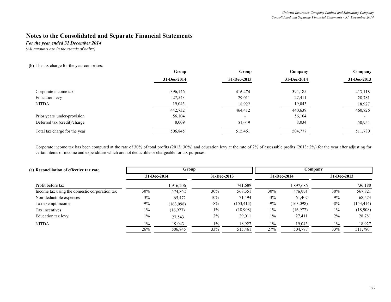*For the year ended 31 December 2014*

*(All amounts are in thousands of naira)*

**(b)** The tax charge for the year comprises:

|                               | Group       | Group                    | Company     | Company     |
|-------------------------------|-------------|--------------------------|-------------|-------------|
|                               | 31-Dec-2014 | 31-Dec-2013              | 31-Dec-2014 | 31-Dec-2013 |
| Corporate income tax          | 396,146     | 416,474                  | 394,185     | 413,118     |
| Education levy                | 27,543      | 29,011                   | 27,411      | 28,781      |
| <b>NITDA</b>                  | 19,043      | 18,927                   | 19,043      | 18,927      |
|                               | 442,732     | 464,412                  | 440,639     | 460,826     |
| Prior years' under-provision  | 56,104      | $\overline{\phantom{0}}$ | 56,104      |             |
| Deferred tax (credit)/charge  | 8,009       | 51,049                   | 8,034       | 50,954      |
| Total tax charge for the year | 506,845     | 515,461                  | 504,777     | 511,780     |

Corporate income tax has been computed at the rate of 30% of total profits (2013: 30%) and education levy at the rate of 2% of assessable profits (2013: 2%) for the year after adjusting for certain items of income and expenditure which are not deductible or chargeable for tax purposes.

| (c) Reconciliation of effective tax rate      | Group       |           |             |            | Company     |           |             |            |
|-----------------------------------------------|-------------|-----------|-------------|------------|-------------|-----------|-------------|------------|
|                                               | 31-Dec-2014 |           | 31-Dec-2013 |            | 31-Dec-2014 |           | 31-Dec-2013 |            |
| Profit before tax                             |             | 1,916,206 |             | 741,689    |             | 1,897,686 |             | 736,180    |
| Income tax using the domestic corporation tax | 30%         | 574,862   | 30%         | 568,351    | 30%         | 576,991   | 30%         | 567,821    |
| Non-deductible expenses                       | 3%          | 65,472    | 10%         | 71,494     | 3%          | 61,407    | 9%          | 68,573     |
| Tax exempt income                             | $-9\%$      | (163,098) | $-8\%$      | (153, 414) | $-9\%$      | (163,098) | $-8\%$      | (153, 414) |
| Tax incentives                                | $-1\%$      | (16,977)  | $-1\%$      | (18,908)   | $-1\%$      | (16,977)  | $-1\%$      | (18,908)   |
| Education tax levy                            | $1\%$       | 27,543    | 2%          | 29,011     | $1\%$       | 27,411    | $2\%$       | 28,781     |
| <b>NITDA</b>                                  | $1\%$       | 19,043    | $1\%$       | 18,927     | $1\%$       | 19,043    | $1\%$       | 18,927     |
|                                               | 26%         | 506,845   | 33%         | 515,461    | 27%         | 504,777   | 33%         | 511,780    |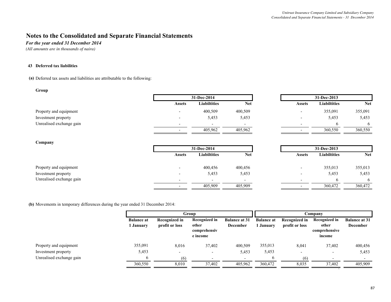*For the year ended 31 December 2014*

*(All amounts are in thousands of naira)*

#### **43 Deferred tax liabilities**

**(a)** Deferred tax assets and liabilities are attributable to the following:

#### **Group**

|                          |                          | 31-Dec-2014         |                          | 31-Dec-2013              |                     |         |
|--------------------------|--------------------------|---------------------|--------------------------|--------------------------|---------------------|---------|
|                          | <b>Assets</b>            | <b>Liabiltities</b> | Net                      | <b>Assets</b>            | <b>Liabiltities</b> | Ne      |
| Property and equipment   | $\overline{\phantom{0}}$ | 400,509             | 400,509                  | $\,$                     | 355,091             | 355,091 |
| Investment property      |                          | 5,453               | 5,453                    | $\overline{\phantom{0}}$ | 5,453               | 5,453   |
| Unrealised exchange gain |                          | <b>.</b>            | $\overline{\phantom{0}}$ | $\overline{\phantom{0}}$ |                     |         |
|                          | $\overline{\phantom{0}}$ | 405,962             | 405,962                  | $\overline{\phantom{0}}$ | 360,550             | 360,550 |

|                          | 31-Dec-2014              |                          |                          | 31-Dec-2013         |            |  |
|--------------------------|--------------------------|--------------------------|--------------------------|---------------------|------------|--|
| Assets                   | Liabiltities             | Net                      | <b>Assets</b>            | <b>Liabiltities</b> | <b>Net</b> |  |
|                          | 400,509                  | 400,509                  |                          | 355,091             | 355,091    |  |
|                          | 5,453                    | 5,453                    | $\overline{\phantom{0}}$ | 5,453               | 5,453      |  |
| $\overline{\phantom{0}}$ | $\overline{\phantom{0}}$ | $\overline{\phantom{a}}$ | $\overline{\phantom{0}}$ |                     |            |  |
|                          | 405,962                  | 405,962                  | $\overline{\phantom{0}}$ | 360,550             | 360,550    |  |

### **Company**

|                          |               | 31-Dec-2014              |                          | 31-Dec-2013   |                     |            |
|--------------------------|---------------|--------------------------|--------------------------|---------------|---------------------|------------|
|                          | <b>Assets</b> | <b>Liabiltities</b>      | <b>Net</b>               | <b>Assets</b> | <b>Liabiltities</b> | <b>Net</b> |
| Property and equipment   |               | 400,456                  | 400,456                  |               | 355,013             | 355,013    |
| Investment property      |               | 5,453                    | 5,453                    |               | 5,453               | 5,453      |
| Unrealised exchange gain |               | $\overline{\phantom{0}}$ | $\overline{\phantom{0}}$ |               |                     | O          |
|                          |               | 405,909                  | 405,909                  |               | 360,472             | 360,472    |

**(b)** Movements in temporary differences during the year ended 31 December 2014:

|                          |                                | Group                           |                                                    |                                         |                                | Company                         |                                                   |                                         |  |
|--------------------------|--------------------------------|---------------------------------|----------------------------------------------------|-----------------------------------------|--------------------------------|---------------------------------|---------------------------------------------------|-----------------------------------------|--|
|                          | <b>Balance at</b><br>1 Januarv | Recognized in<br>profit or loss | Recognized in<br>other<br>comprehensiv<br>e income | <b>Balance at 31</b><br><b>December</b> | <b>Balance at</b><br>1 Januarv | Recognized in<br>profit or loss | Recognized in<br>other<br>comprehensive<br>income | <b>Balance at 31</b><br><b>December</b> |  |
| Property and equipment   | 355,091                        | 8,016                           | 37,402                                             | 400,509                                 | 355,013                        | 8,041                           | 37,402                                            | 400,456                                 |  |
| Investment property      | 5,453                          | -                               |                                                    | 5,453                                   | 5,453                          |                                 |                                                   | 5,453                                   |  |
| Unrealised exchange gain | 6                              | (6)                             | $\overline{\phantom{0}}$                           | $\overline{\phantom{a}}$                | $\sigma$                       | (6)                             |                                                   |                                         |  |
|                          | 360,550                        | 8,010                           | 37,402                                             | 405,962                                 | 360,472                        | 8,035                           | 37.402                                            | 405,909                                 |  |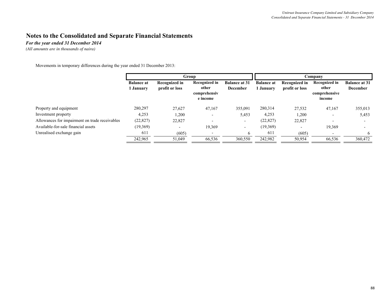*For the year ended 31 December 2014*

*(All amounts are in thousands of naira)*

Movements in temporary differences during the year ended 31 December 2013:

|                                                | <b>Group</b>      |                |                          | Company                  |                   |                |                         |                      |
|------------------------------------------------|-------------------|----------------|--------------------------|--------------------------|-------------------|----------------|-------------------------|----------------------|
|                                                | <b>Balance at</b> | Recognized in  | <b>Recognized in</b>     | <b>Balance at 31</b>     | <b>Balance at</b> | Recognized in  | Recognized in           | <b>Balance at 31</b> |
|                                                | . January         | profit or loss | other                    | <b>December</b>          | <b>January</b>    | profit or loss | other                   | <b>December</b>      |
|                                                |                   |                | comprehensiv<br>e income |                          |                   |                | comprehensive<br>income |                      |
| Property and equipment                         | 280,297           | 27,627         | 47,167                   | 355,091                  | 280,314           | 27,532         | 47,167                  | 355,013              |
| Investment property                            | 4,253             | 1,200          |                          | 5,453                    | 4,253             | 1,200          |                         | 5,453                |
| Allowances for impairment on trade receivables | (22, 827)         | 22,827         | $\overline{\phantom{0}}$ | $\overline{\phantom{a}}$ | (22, 827)         | 22,827         |                         |                      |
| Available-for-sale financial assets            | (19,369)          |                | 19,369                   | $\overline{\phantom{a}}$ | (19,369)          |                | 19,369                  |                      |
| Unrealised exchange gain                       | 611               | (605)          |                          | 6                        | 611               | (605)          |                         | 6                    |
|                                                | 242,965           | 51,049         | 66,536                   | 360,550                  | 242,982           | 50,954         | 66,536                  | 360,472              |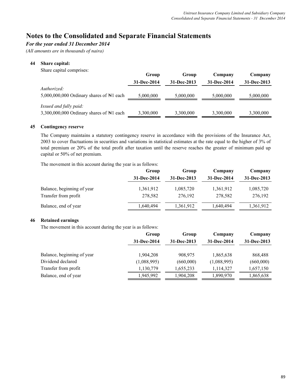## *For the year ended 31 December 2014*

*(All amounts are in thousands of naira)*

## **44 Share capital:**

| Share capital comprises:                                                      | Group<br>31-Dec-2014 | Group<br>31-Dec-2013 | Company<br>31-Dec-2014 | Company<br>31-Dec-2013 |
|-------------------------------------------------------------------------------|----------------------|----------------------|------------------------|------------------------|
| Authorized:<br>5,000,000,000 Ordinary shares of $\mathbb{N}1$ each            | 5,000,000            | 5,000,000            | 5,000,000              | 5,000,000              |
| Issued and fully paid:<br>3,300,000,000 Ordinary shares of $\mathbb{N}1$ each | 3,300,000            | 3,300,000            | 3,300,000              | 3,300,000              |

## **45 Contingency reserve**

The Company maintains a statutory contingency reserve in accordance with the provisions of the Insurance Act, 2003 to cover fluctuations in securities and variations in statistical estimates at the rate equal to the higher of 3% of total premium or 20% of the total profit after taxation until the reserve reaches the greater of minimum paid up capital or 50% of net premium.

The movement in this account during the year is as follows:

|                            | Group       | Group       | Company     | Company     |
|----------------------------|-------------|-------------|-------------|-------------|
|                            | 31-Dec-2014 | 31-Dec-2013 | 31-Dec-2014 | 31-Dec-2013 |
| Balance, beginning of year | 1,361,912   | 1,085,720   | 1,361,912   | 1,085,720   |
| Transfer from profit       | 278,582     | 276,192     | 278,582     | 276,192     |
| Balance, end of year       | 1,640,494   | 1,361,912   | 1,640,494   | 1,361,912   |

## **46 Retained earnings**

The movement in this account during the year is as follows:

| Group       | Group       | Company     | Company     |
|-------------|-------------|-------------|-------------|
| 31-Dec-2014 | 31-Dec-2013 | 31-Dec-2014 | 31-Dec-2013 |
| 1,904,208   | 908,975     | 1,865,638   | 868,488     |
| (1,088,995) | (660,000)   | (1,088,995) | (660,000)   |
| 1,130,779   | 1,655,233   | 1,114,327   | 1,657,150   |
| 1,945,992   | 1,904,208   | 1,890,970   | 1,865,638   |
|             |             |             |             |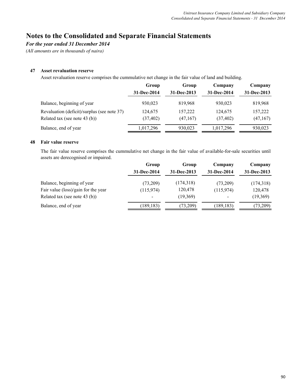## *For the year ended 31 December 2014*

*(All amounts are in thousands of naira)*

### **47 Asset revaluation reserve**

Asset revaluation reserve comprises the cummulative net change in the fair value of land and building.

|                                                                              | Group                | Group               | Company              | Company              |  |
|------------------------------------------------------------------------------|----------------------|---------------------|----------------------|----------------------|--|
|                                                                              | 31-Dec-2014          | 31-Dec-2013         | 31-Dec-2014          | 31-Dec-2013          |  |
| Balance, beginning of year                                                   | 930,023              | 819.968             | 930,023              | 819,968              |  |
| Revaluation (deficit)/surplus (see note 37)<br>Related tax (see note 43 (b)) | 124,675<br>(37, 402) | 157,222<br>(47,167) | 124,675<br>(37, 402) | 157,222<br>(47, 167) |  |
| Balance, end of year                                                         | 1,017,296            | 930,023             | 1,017,296            | 930,023              |  |

## **48 Fair value reserve**

The fair value reserve comprises the cummulative net change in the fair value of available-for-sale securities until assets are derecognised or impaired.

|                                     | Group       | Group       | Company                  | Company     |  |
|-------------------------------------|-------------|-------------|--------------------------|-------------|--|
|                                     | 31-Dec-2014 | 31-Dec-2013 | 31-Dec-2014              | 31-Dec-2013 |  |
| Balance, beginning of year          | (73,209)    | (174,318)   | (73,209)                 | (174,318)   |  |
| Fair value (loss)/gain for the year | (115,974)   | 120,478     | (115,974)                | 120,478     |  |
| Related tax (see note 43 (b))       |             | (19,369)    | $\overline{\phantom{0}}$ | (19,369)    |  |
| Balance, end of year                | (189, 183)  | (73,209)    | (189, 183)               | (73,209)    |  |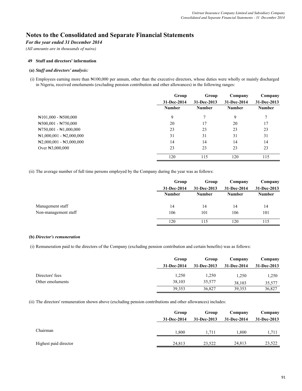### *For the year ended 31 December 2014*

*(All amounts are in thousands of naira)*

### **49 Staff and directors' information**

### **(a)** *Staff and directors' analysis:*

(i) Employees earning more than ₦100,000 per annum, other than the executive directors, whose duties were wholly or mainly discharged in Nigeria, received emoluments (excluding pension contribution and other allowances) in the following ranges:

|                                             | Group         | Group         | Company       | Company       |
|---------------------------------------------|---------------|---------------|---------------|---------------|
|                                             | 31-Dec-2014   | 31-Dec-2013   | 31-Dec-2014   | 31-Dec-2013   |
|                                             | <b>Number</b> | <b>Number</b> | <b>Number</b> | <b>Number</b> |
| $\text{N}101,000 - \text{N}500,000$         | 9             |               | 9             | 7             |
| $\text{N500,001 - N750,000}$                | 20            | 17            | 20            | 17            |
| $N750,001 - N1,000,000$                     | 23            | 23            | 23            | 23            |
| $\mathbb{N}1,000,001 - \mathbb{N}2,000,000$ | 31            | 31            | 31            | 31            |
| $\mathbb{N}2,000,001 - \mathbb{N}3,000,000$ | 14            | 14            | 14            | 14            |
| Over $\text{N3},000,000$                    | 23            | 23            | 23            | 23            |
|                                             | 120           | 115           | 120           | 115           |

(ii) The average number of full time persons employed by the Company during the year was as follows:

|                      | Group         | Group         | Company       | Company       |
|----------------------|---------------|---------------|---------------|---------------|
|                      | 31-Dec-2014   | 31-Dec-2013   | 31-Dec-2014   | 31-Dec-2013   |
|                      | <b>Number</b> | <b>Number</b> | <b>Number</b> | <b>Number</b> |
| Management staff     | 14            | 14            | 14            | 14            |
| Non-management staff | 106           | 101           | 106           | 101           |
|                      | 120           | 115           | 120           | 115           |

#### **(b)** *Director's remuneration*

(i) Remuneration paid to the directors of the Company (excluding pension contribution and certain benefits) was as follows:

|                  | Group       | Group       | Company     | Company     |
|------------------|-------------|-------------|-------------|-------------|
|                  | 31-Dec-2014 | 31-Dec-2013 | 31-Dec-2014 | 31-Dec-2013 |
| Directors' fees  | 1,250       | 1,250       | 1,250       | 1,250       |
| Other emoluments | 38,103      | 35,577      | 38,103      | 35,577      |
|                  | 39,353      | 36,827      | 39,353      | 36,827      |

(ii) The directors' remuneration shown above (excluding pension contributions and other allowances) includes:

|                       | Group       | Group       | Company     | Company     |
|-----------------------|-------------|-------------|-------------|-------------|
|                       | 31-Dec-2014 | 31-Dec-2013 | 31-Dec-2014 | 31-Dec-2013 |
| Chairman              | 1,800       | 1.711       | 1,800       | 1,711       |
| Highest paid director | 24,813      | 23.522      | 24,813      | 23,522      |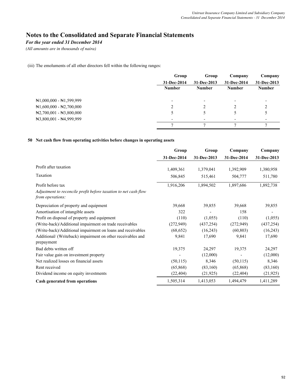## *For the year ended 31 December 2014*

*(All amounts are in thousands of naira)*

(iii) The emoluments of all other directors fell within the following ranges:

|                                             | Group         | Group         | Company       | Company                  |
|---------------------------------------------|---------------|---------------|---------------|--------------------------|
|                                             | 31-Dec-2014   | 31-Dec-2013   | 31-Dec-2014   | 31-Dec-2013              |
|                                             | <b>Number</b> | <b>Number</b> | <b>Number</b> | <b>Number</b>            |
| $\mathbb{N}1,000,000 - \mathbb{N}1,599,999$ |               |               |               | $\overline{\phantom{0}}$ |
| $\mathbb{N}1,600,000 - \mathbb{N}2,700,000$ |               |               |               |                          |
| $\mathbb{N}2,700,001 - \mathbb{N}3,800,000$ |               |               |               |                          |
| $\mathbb{N}3,800,001 - \mathbb{N}4,999,999$ |               |               |               | $\overline{\phantom{a}}$ |
|                                             |               |               |               |                          |

### **50 Net cash flow from operating activities before changes in operating assets**

|                                                                                     | Group       | Group       | Company     | Company     |
|-------------------------------------------------------------------------------------|-------------|-------------|-------------|-------------|
|                                                                                     | 31-Dec-2014 | 31-Dec-2013 | 31-Dec-2014 | 31-Dec-2013 |
| Profit after taxation                                                               | 1,409,361   | 1,379,041   | 1,392,909   | 1,380,958   |
| Taxation                                                                            | 506,845     | 515,461     | 504,777     | 511,780     |
| Profit before tax                                                                   | 1,916,206   | 1,894,502   | 1,897,686   | 1,892,738   |
| Adjustment to reconcile profit before taxation to net cash flow<br>from operations: |             |             |             |             |
| Depreciation of property and equipment                                              | 39,668      | 39,855      | 39,668      | 39,855      |
| Amortisation of intangible assets                                                   | 322         |             | 158         |             |
| Profit on disposal of property and equipment                                        | (110)       | (1,055)     | (110)       | (1,055)     |
| (Write-back)/Additional impairment on trade receivables                             | (272, 949)  | (437, 254)  | (272, 949)  | (437, 254)  |
| (Write-back)/Additional impairment on loans and receivables                         | (68, 652)   | (16,243)    | (60, 803)   | (16,243)    |
| Additional/ (Writeback) impairment on other receivables and<br>prepayment           | 9,841       | 17,690      | 9,841       | 17,690      |
| Bad debts written off                                                               | 19,375      | 24,297      | 19,375      | 24,297      |
| Fair value gain on investment property                                              |             | (12,000)    |             | (12,000)    |
| Net realized losses on financial assets                                             | (50, 115)   | 8,346       | (50, 115)   | 8,346       |
| Rent received                                                                       | (65,868)    | (83,160)    | (65,868)    | (83,160)    |
| Dividend income on equity investments                                               | (22, 404)   | (21, 925)   | (22, 404)   | (21, 925)   |
| Cash generated from operations                                                      | 1,505,314   | 1,413,053   | 1,494,479   | 1,411,289   |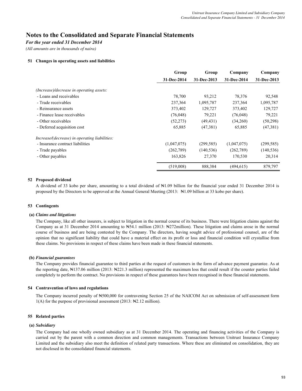### *For the year ended 31 December 2014*

*(All amounts are in thousands of naira)*

### **51 Changes in operating assets and liabilities**

|                                               | Group       | Group       | Company     | Company     |
|-----------------------------------------------|-------------|-------------|-------------|-------------|
|                                               | 31-Dec-2014 | 31-Dec-2013 | 31-Dec-2014 | 31-Dec-2013 |
| (Increase)/decrease in operating assets:      |             |             |             |             |
| - Loans and receivables                       | 78,700      | 93,212      | 78,376      | 92,548      |
| - Trade receivables                           | 237,364     | 1,095,787   | 237,364     | 1,095,787   |
| - Reinsurance assets                          | 373,402     | 129,727     | 373,402     | 129,727     |
| - Finance lease receivables                   | (76,048)    | 79,221      | (76,048)    | 79,221      |
| - Other receivables                           | (52, 273)   | (49, 431)   | (34,260)    | (50,298)    |
| - Deferred acquisition cost                   | 65,885      | (47,381)    | 65,885      | (47,381)    |
| Increase/(decrease) in operating liabilities: |             |             |             |             |
| - Insurance contract liabilities              | (1,047,075) | (299, 585)  | (1,047,075) | (299, 585)  |
| - Trade payables                              | (262, 789)  | (140, 536)  | (262,789)   | (140, 536)  |
| - Other payables                              | 163,826     | 27,370      | 170,530     | 20,314      |
|                                               | (519,008)   | 888,384     | (494, 615)  | 879,797     |

### **52 Proposed dividend**

A dividend of 33 kobo per share, amounting to a total dividend of ₦1.09 billion for the financial year ended 31 December 2014 is proposed by the Directors to be approved at the Annual General Meeting (2013: ₦1.09 billion at 33 kobo per share).

### **53 Contingents**

#### **(a)** *Claims and litigations*

The Company, like all other insurers, is subject to litigation in the normal course of its business. There were litigation claims against the Company as at 31 December 2014 amounting to N54.1 million (2013: N272million). These litigation and claims arose in the normal course of business and are being contested by the Company. The directors, having sought advice of professional counsel, are of the opinion that no significant liability that could have a material effect on its profit or loss and financial condition will crystallise from these claims. No provisions in respect of these claims have been made in these financial statements.

#### **(b)** *Financial guarantees*

The Company provides financial guarantee to third parties at the request of customers in the form of advance payment guarantee. As at the reporting date, ₦137.06 million (2013: ₦221.3 million) represented the maximum loss that could result if the counter parties failed completely to perform the contract. No provisions in respect of these guarantees have been recognised in these financial statements.

### **54 Contravention of laws and regulations**

The Company incurred penalty of ₦500,000 for contravening Section 25 of the NAICOM Act on submission of self-assessment form 1(A) for the purpose of provisional assessment (2013: ₦2.12 million).

### **55 Related parties**

#### **(a)** *Subsidiary*

The Company had one wholly owned subsidiary as at 31 December 2014. The operating and financing activities of the Company is carried out by the parent with a common direction and common managements. Transactions between Unitrust Insurance Company Limited and the subsidiary also meet the definition of related party transactions. Where these are eliminated on consolidation, they are not disclosed in the consolidated financial statements.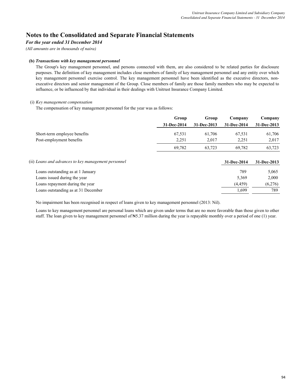### *For the year ended 31 December 2014*

*(All amounts are in thousands of naira)*

### **(b)** *Transactions with key management personnel*

The Group's key management personnel, and persons connected with them, are also considered to be related parties for disclosure purposes. The definition of key management includes close members of family of key management personnel and any entity over which key management personnel exercise control. The key management personnel have been identified as the executive directors, nonexecutive directors and senior management of the Group. Close members of family are those family members who may be expected to influence, or be influenced by that individual in their dealings with Unitrust Insurance Company Limited.

### (i) *Key management compensation*

The compensation of key management personnel for the year was as follows:

|                                                     | Group       | Group       | Company     | Company     |
|-----------------------------------------------------|-------------|-------------|-------------|-------------|
|                                                     | 31-Dec-2014 | 31-Dec-2013 | 31-Dec-2014 | 31-Dec-2013 |
| Short-term employee benefits                        | 67,531      | 61,706      | 67,531      | 61,706      |
| Post-employment benefits                            | 2,251       | 2,017       | 2,251       | 2,017       |
|                                                     | 69,782      | 63,723      | 69,782      | 63,723      |
| (ii) Loans and advances to key management personnel |             |             | 31-Dec-2014 | 31-Dec-2013 |
| Loans outstanding as at 1 January                   |             |             | 789         | 5,065       |
| Loans issued during the year                        |             |             | 5,369       | 2,000       |
| Loans repayment during the year                     |             |             | (4, 459)    | (6,276)     |
| Loans outstanding as at 31 December                 |             |             | 1,699       | 789         |
|                                                     |             |             |             |             |

No impairment has been recognised in respect of loans given to key management personnel (2013: Nil).

Loans to key management personnel are personal loans which are given under terms that are no more favorable than those given to other staff. The loan given to key management personnel of N5.37 million during the year is repayable monthly over a period of one (1) year.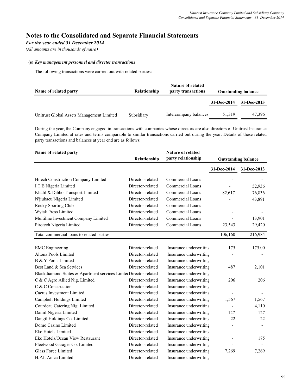## *For the year ended 31 December 2014*

*(All amounts are in thousands of naira)*

### **(e)** *Key management personnel and director transactions*

The following transactions were carried out with related parties:

| Name of related party                     | Relationship | <b>Nature of related</b><br>party transactions | <b>Outstanding balance</b> |             |
|-------------------------------------------|--------------|------------------------------------------------|----------------------------|-------------|
|                                           |              |                                                | 31-Dec-2014                | 31-Dec-2013 |
| Unitrust Global Assets Management Limited | Subsidiary   | Intercompany balances                          | 51.319                     | 47,396      |

During the year, the Company engaged in transactions with companies whose directors are also directors of Unitrust lnsurance Company Limited at rates and terms comparable to similar transactions carried out during the year. Details of these related party transactions and balances at year end are as follows:

| Name of related party                                           |                  | <b>Nature of related</b><br>party relationship<br>Relationship |             | <b>Outstanding balance</b> |  |  |
|-----------------------------------------------------------------|------------------|----------------------------------------------------------------|-------------|----------------------------|--|--|
|                                                                 |                  |                                                                | 31-Dec-2014 | 31-Dec-2013                |  |  |
| Hitech Construction Company Limited                             | Director-related | Commercial Loans                                               |             |                            |  |  |
| I.T.B Nigeria Limited                                           | Director-related | <b>Commercial Loans</b>                                        |             |                            |  |  |
| Khalil & Dibbo Transport Limited                                | Director-related | <b>Commercial Loans</b>                                        |             | 52,936                     |  |  |
|                                                                 | Director-related | Commercial Loans                                               | 82,617      | 76,836                     |  |  |
| N'jiubacu Nigeria Limited                                       |                  |                                                                |             | 43,891                     |  |  |
| Rocky Sporting Club                                             | Director-related | Commercial Loans                                               |             |                            |  |  |
| Wytak Press Limited                                             | Director-related | Commercial Loans                                               |             |                            |  |  |
| Multiline Investment Company Limited                            | Director-related | Commercial Loans                                               |             | 13,901                     |  |  |
| Pirotech Nigeria Limited                                        | Director-related | Commercial Loans                                               | 23,543      | 29,420                     |  |  |
| Total commercial loans to related parties                       |                  |                                                                | 106,160     | 216,984                    |  |  |
|                                                                 |                  |                                                                |             |                            |  |  |
| <b>EMC</b> Engineering                                          | Director-related | Insurance underwriting                                         | 175         | 175.00                     |  |  |
| Altona Pools Limited                                            | Director-related | Insurance underwriting                                         |             |                            |  |  |
| B & Y Pools Limited                                             | Director-related | Insurance underwriting                                         |             |                            |  |  |
| Best Land & Sea Setvices                                        | Director-related | Insurance underwriting                                         | 487         | 2,101                      |  |  |
| Blackdiamond Suites & Apartment services Limte Director-related |                  | Insurance underwriting                                         |             |                            |  |  |
| C & C Agro Allied Nig. Limited                                  | Director-related | Insurance underwriting                                         | 206         | 206                        |  |  |
| C & C Construction                                              | Director-related | Insurance underwriting                                         |             |                            |  |  |
| <b>Cactus Investment Limited</b>                                | Director-related | Insurance underwriting                                         |             |                            |  |  |
| Campbell Holdings Limited                                       | Director-related | Insurance underwriting                                         | 1,567       | 1,567                      |  |  |
| Courdeau Catering Nig. Limited                                  | Director-related | Insurance underwriting                                         |             | 4,110                      |  |  |
| DamiI Nigeria Limited                                           | Director-related | Insurance underwriting                                         | 127         | 127                        |  |  |
| Dangil Holdings Co. Limited                                     | Director-related | Insurance underwriting                                         | 22          | 22                         |  |  |
| Domo Casino Limited                                             | Director-related | Insurance underwriting                                         |             |                            |  |  |
| Eko Hotels Limited                                              | Director-related | Insurance underwriting                                         |             |                            |  |  |
| Eko Hotels/Ocean View Restaurant                                | Director-related | Insurance underwriting                                         |             | 175                        |  |  |
| Fleetwood Garages Co. Limited                                   | Director-related | Insurance underwriting                                         |             |                            |  |  |
| <b>Glass Force Limited</b>                                      | Director-related | Insurance underwriting                                         | 7,269       | 7,269                      |  |  |
| H.P.I. Amca Limited                                             | Director-related | Insurance underwriting                                         |             |                            |  |  |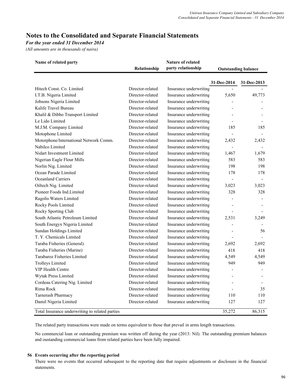## *For the year ended 31 December 2014*

*(All amounts are in thousands of naira)*

| Name of related party                           | Relationship     | Nature of related<br>party relationship |                | <b>Outstanding balance</b> |  |  |
|-------------------------------------------------|------------------|-----------------------------------------|----------------|----------------------------|--|--|
|                                                 |                  |                                         | 31-Dec-2014    | 31-Dec-2013                |  |  |
| Hitech Const. Co. Limited                       | Director-related | Insurance underwriting                  |                |                            |  |  |
| I.T.B. Nigeria Limited                          | Director-related | Insurance underwriting                  | 5,650          | 49,773                     |  |  |
| Jobsons Nigeria Limited                         | Director-related | Insurance underwriting                  |                |                            |  |  |
| Kalife Travel Bureau                            | Director-related | Insurance underwriting                  |                |                            |  |  |
| Khalil & Dibbo Transport Limited                | Director-related | Insurance underwriting                  |                |                            |  |  |
| Le Lido Limited                                 | Director-related | Insurance underwriting                  |                |                            |  |  |
| M.J.M. Company Limited                          | Director-related | Insurance underwriting                  | 185            | 185                        |  |  |
| Motophone Limited                               | Director-related | Insurance underwriting                  |                |                            |  |  |
| Motorphone/International Network Comm.          | Director-related | Insurance underwriting                  | 2,432          | 2,432                      |  |  |
| Nabilco Limited                                 | Director-related | Insurance underwriting                  |                |                            |  |  |
| Nidart Investment Limited                       | Director-related | Insurance underwriting                  | 1,467          | 1,679                      |  |  |
| Nigerian Eagle Flour Mills                      | Director-related | Insurance underwriting                  | 583            | 583                        |  |  |
| Norlin Nig. Limited                             | Director-related | Insurance underwriting                  | 198            | 198                        |  |  |
| Ocean Parade Limited                            | Director-related | Insurance underwriting                  | 178            | 178                        |  |  |
| <b>Oceanland Carriers</b>                       | Director-related | Insurance underwriting                  |                |                            |  |  |
| Oiltech Nig. Limited                            | Director-related | Insurance underwriting                  | 3,023          | 3,023                      |  |  |
| Pioneer Foods Ind.Limited                       | Director-related | Insurance underwriting                  | 328            | 328                        |  |  |
| Ragolis Waters Limited                          | Director-related | Insurance underwriting                  |                |                            |  |  |
| Rocky Pools Limited                             | Director-related | Insurance underwriting                  |                |                            |  |  |
| Rocky Sporting Club                             | Director-related | Insurance underwriting                  |                |                            |  |  |
| South Atlantic Petroleum Limited                | Director-related | Insurance underwriting                  | 2,531          | 3,249                      |  |  |
| South Energyx Nigeria Limited                   | Director-related | Insurance underwriting                  |                |                            |  |  |
| Sundan Holdings Limited                         | Director-related | Insurance underwriting                  |                | 56                         |  |  |
| T. Y. Chemicals Limited                         | Director-related | Insurance underwriting                  |                |                            |  |  |
| Taraba Fisheries (General)                      | Director-related | Insurance underwriting                  | 2,692          | 2,692                      |  |  |
| Taraba Fisheries (Marine)                       | Director-related | Insurance underwriting                  | 418            | 418                        |  |  |
| Tarabaroz Fisheries Limited                     | Director-related | Insurance underwriting                  | 4,549          | 4,549                      |  |  |
| <b>Trolleys Limited</b>                         | Director-related | Insurance underwriting                  | 949            | 949                        |  |  |
| VIP Health Centre                               | Director-related | Insurance underwriting                  | $\overline{a}$ |                            |  |  |
| Wytak Press Limited                             | Director-related | Insurance underwriting                  |                |                            |  |  |
| Cordeau Catering Nig. Limited                   | Director-related | Insurance underwriting                  |                |                            |  |  |
| Rima Rock                                       | Director-related | Insurance underwriting                  |                | 35                         |  |  |
| Tarnerash Pharmacy                              | Director-related | Insurance underwriting                  | 110            | 110                        |  |  |
| Damil Nigeria Limited                           | Director-related | Insurance underwriting                  | 127            | 127                        |  |  |
| Total Insurance underwriting to related parties |                  |                                         | 35,272         | 86,315                     |  |  |

The related party transactions were made on terms equivalent to those that prevail in arms length transactions.

No commercial loan or outstanding premium was written off during the year (2013: Nil). The outstanding premium balances and oustanding commercial loans from related parties have been fully impaired.

### **56 Events occurring after the reporting period**

There were no events that occurred subsequent to the reporting date that require adjustments or disclosure in the financial statements.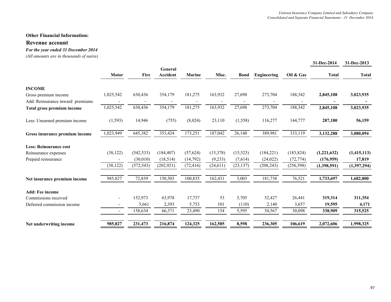## **Revenue account**

## *For the year ended 31 December 2014*

*(All amounts are in thousands of naira)*

|                                  |                          |            |                     |           |           |             |             |            | 31-Dec-2014  | 31-Dec-2013  |
|----------------------------------|--------------------------|------------|---------------------|-----------|-----------|-------------|-------------|------------|--------------|--------------|
|                                  | <b>Motor</b>             | Fire       | General<br>Accident | Marine    | Misc.     | <b>Bond</b> | Engineering | Oil & Gas  | <b>Total</b> | <b>Total</b> |
| <b>INCOME</b>                    |                          |            |                     |           |           |             |             |            |              |              |
| Gross premium income             | 1,025,542                | 630,436    | 354,179             | 181,275   | 163,932   | 27,698      | 273,704     | 188,342    | 2,845,108    | 3,023,935    |
| Add: Reinsurance inward premiums |                          |            |                     |           |           |             |             |            |              |              |
| Total gross premium income       | 1,025,542                | 630,436    | 354,179             | 181,275   | 163,932   | 27,698      | 273,704     | 188,342    | 2,845,108    | 3,023,935    |
| Less: Unearned premium income    | (1, 593)                 | 14,946     | (755)               | (8,024)   | 23,110    | (1, 558)    | 116,277     | 144,777    | 287,180      | 56,159       |
| Gross insurance premium income   | 1,023,949                | 645,382    | 353,424             | 173,251   | 187,042   | 26,140      | 389,981     | 333,119    | 3,132,288    | 3,080,094    |
| <b>Less: Reinsurance cost</b>    |                          |            |                     |           |           |             |             |            |              |              |
| Reinsurance expenses             | (38, 122)                | (542, 533) | (184, 407)          | (57, 624) | (15,378)  | (15, 523)   | (184, 221)  | (183, 824) | (1,221,632)  | (1,415,113)  |
| Prepaid reinsurance              |                          | (30,010)   | (18, 514)           | (14, 792) | (9,233)   | (7,614)     | (24, 022)   | (72, 774)  | (176,959)    | 17,819       |
|                                  | (38, 122)                | (572, 543) | (202, 921)          | (72, 416) | (24, 611) | (23, 137)   | (208, 243)  | (256, 598) | (1,398,591)  | (1,397,294)  |
| Net insurance premium income     | 985,827                  | 72,839     | 150,503             | 100,835   | 162,431   | 3,003       | 181,738     | 76,521     | 1,733,697    | 1,682,800    |
| <b>Add: Fee income</b>           |                          |            |                     |           |           |             |             |            |              |              |
| Commissions received             | $\overline{\phantom{a}}$ | 152,973    | 63,978              | 17,737    | 53        | 5,705       | 52,427      | 26,441     | 319,314      | 311,354      |
| Deferred commission income       | $\overline{\phantom{a}}$ | 5,661      | 2,393               | 5,753     | 101       | (110)       | 2,140       | 3,657      | 19,595       | 4,171        |
|                                  | $\sim$                   | 158,634    | 66,371              | 23,490    | 154       | 5,595       | 54,567      | 30,098     | 338,909      | 315,525      |
| Net underwriting income          | 985,827                  | 231,473    | 216,874             | 124,325   | 162,585   | 8,598       | 236,305     | 106,619    | 2,072,606    | 1,998,325    |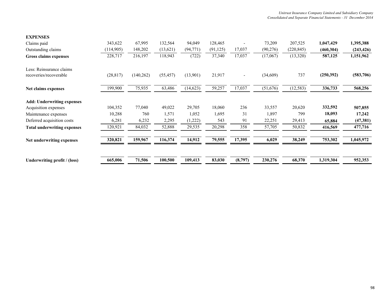| 343,622    | 67,995     | 132,564   | 94,049    | 128,465   |                | 73,209    | 207,525    | 1,047,429  | 1,395,388  |
|------------|------------|-----------|-----------|-----------|----------------|-----------|------------|------------|------------|
| (114, 905) | 148,202    | (13,621)  | (94, 771) | (91, 125) | 17,037         | (90, 276) | (220, 845) | (460, 304) | (243, 426) |
| 228,717    | 216,197    | 118,943   | (722)     | 37,340    | 17,037         | (17,067)  | (13,320)   | 587,125    | 1,151,962  |
| (28, 817)  | (140, 262) | (55, 457) | (13,901)  | 21,917    | $\blacksquare$ | (34, 609) | 737        | (250,392)  | (583,706)  |
| 199,900    | 75,935     | 63,486    | (14, 623) | 59,257    | 17,037         | (51, 676) | (12, 583)  | 336,733    | 568,256    |
|            |            |           |           |           |                |           |            |            |            |
| 104,352    | 77,040     | 49,022    | 29,705    | 18,060    | 236            | 33,557    | 20,620     | 332,592    | 507,855    |
| 10,288     | 760        | 1,571     | 1,052     | 1,695     | 31             | 1,897     | 799        | 18,093     | 17,242     |
| 6,281      | 6,232      | 2,295     | (1,222)   | 543       | 91             | 22,251    | 29,413     | 65,884     | (47, 381)  |
| 120,921    | 84,032     | 52,888    | 29,535    | 20,298    | 358            | 57,705    | 50,832     | 416,569    | 477,716    |
| 320,821    | 159,967    | 116,374   | 14,912    | 79,555    | 17,395         | 6,029     | 38,249     | 753,302    | 1,045,972  |
| 665,006    | 71,506     | 100,500   | 109,413   | 83,030    | (8,797)        | 230,276   | 68,370     | 1,319,304  | 952,353    |
|            |            |           |           |           |                |           |            |            |            |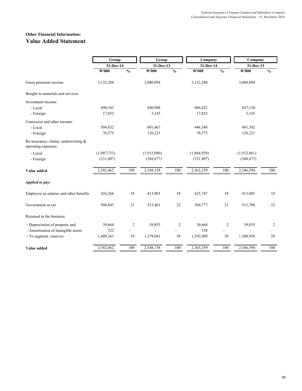# **Other Financial Information: Value Added Statement**

|                                                             | Group             |                | Group             |                          | Company           |                | Company           |               |  |
|-------------------------------------------------------------|-------------------|----------------|-------------------|--------------------------|-------------------|----------------|-------------------|---------------|--|
|                                                             | 31-Dec-14         |                | 31-Dec-13         |                          | 31-Dec-14         |                | 31-Dec-13         |               |  |
|                                                             | $\mathbb{N}^2000$ | $\frac{0}{0}$  | $\mathbb{N}^2000$ | $\overline{\frac{0}{0}}$ | $\mathbb{N}^2000$ | $\frac{0}{0}$  | $\mathbb{N}^2000$ | $\frac{0}{0}$ |  |
| Gross premium income                                        | 3,132,288         |                | 3,080,094         |                          | 3,132,288         |                | 3,080,094         |               |  |
| Bought in materials and services                            |                   |                |                   |                          |                   |                |                   |               |  |
| Investment income:                                          |                   |                |                   |                          |                   |                |                   |               |  |
| - Local                                                     | 890,345           |                | 840,988           |                          | 886,422           |                | 837,130           |               |  |
| - Foreign                                                   | 17,852            |                | 3,145             |                          | 17,852            |                | 3,145             |               |  |
| Comission and other income:                                 |                   |                |                   |                          |                   |                |                   |               |  |
| - Local                                                     | 504,632           |                | 601,467           |                          | 446,548           |                | 601,342           |               |  |
| - Foreign                                                   | 76,575            |                | 126,221           |                          | 76,575            |                | 126,221           |               |  |
| Re-insurance, claims, underwriting &<br>operating expenses: |                   |                |                   |                          |                   |                |                   |               |  |
| - Local                                                     | (1,907,733)       |                | (1,915,080)       |                          | (1,864,929)       |                | (1,912,861)       |               |  |
| - Foreign                                                   | (331, 497)        |                | (388, 677)        |                          | (331, 497)        |                | (388, 677)        |               |  |
| Value added                                                 | 2,382,462         | 100            | 2,348,158         | 100                      | 2,363,259         | 100            | 2,346,394         | 100           |  |
| Applied to pay:                                             |                   |                |                   |                          |                   |                |                   |               |  |
| Employee as salaries and other benefits                     | 426,266           | 18             | 413,801           | 18                       | 425,747           | 18             | 413,801           | 18            |  |
| Government as tax                                           | 506,845           | 21             | 515,461           | 22                       | 504,777           | 21             | 511,780           | 22            |  |
| Retained in the business:                                   |                   |                |                   |                          |                   |                |                   |               |  |
| - Depreciation of property and                              | 39,668            | $\overline{c}$ | 39,855            | $\overline{c}$           | 39,668            | $\overline{c}$ | 39,855            | 2             |  |
| - Amortisation of intangible assets                         | 322               |                |                   |                          | 158               |                |                   |               |  |
| - To augment reserves                                       | 1,409,361         | 59             | 1,379,041         | 58                       | 1,392,909         | 59             | 1,380,958         | 58            |  |
| Value added                                                 | 2,382,462         | 100            | 2,348,158         | 100                      | 2,363,259         | 100            | 2,346,394         | 100           |  |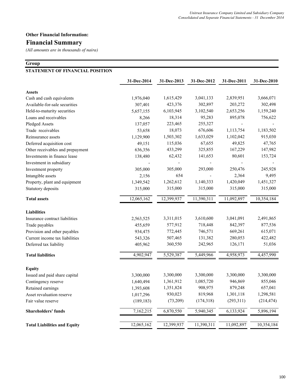# **Financial Summary**

*(All amounts are in thousands of naira)*

## **Group**

# **STATEMENT OF FINANCIAL POSITION**

|                                     | 31-Dec-2014 | 31-Dec-2013 | 31-Dec-2012 | 31-Dec-2011 | 31-Dec-2010 |
|-------------------------------------|-------------|-------------|-------------|-------------|-------------|
| <b>Assets</b>                       |             |             |             |             |             |
| Cash and cash equivalents           | 1,976,040   | 1,615,429   | 3,041,133   | 2,839,951   | 3,666,071   |
| Available-for-sale securities       | 307,401     | 423,376     | 302,897     | 203,272     | 302,498     |
| Held-to-maturity securities         | 5,657,155   | 6,103,945   | 3,102,540   | 2,653,256   | 1,159,240   |
| Loans and receivables               | 8,266       | 18,314      | 95,283      | 895,078     | 756,622     |
| Pledged Assets                      | 137,057     | 223,465     | 255,327     |             |             |
| Trade receivables                   | 53,658      | 18,073      | 676,606     | 1,113,754   | 1,183,502   |
| Reinsurance assets                  | 1,129,900   | 1,503,302   | 1,633,029   | 1,102,042   | 915,030     |
| Deferred acquisition cost           | 49,151      | 115,036     | 67,655      | 49,825      | 47,765      |
| Other receivables and prepayment    | 636,356     | 433,299     | 325,855     | 167,229     | 147,982     |
| Investments in finance lease        | 138,480     | 62,432      | 141,653     | 80,601      | 153,724     |
| Investment in subsidiary            |             |             |             |             |             |
| Investment property                 | 305,000     | 305,000     | 293,000     | 250,476     | 245,928     |
| Intangible assets                   | 2,156       | 654         |             | 2,364       | 9,495       |
| Property, plant and equipment       | 1,349,542   | 1,262,612   | 1,140,333   | 1,420,049   | 1,451,327   |
| Statutory deposits                  | 315,000     | 315,000     | 315,000     | 315,000     | 315,000     |
| <b>Total assets</b>                 | 12,065,162  | 12,399,937  | 11,390,311  | 11,092,897  | 10,354,184  |
| <b>Liabilities</b>                  |             |             |             |             |             |
| Insurance contract liabilities      | 2,563,525   | 3,311,015   | 3,610,600   | 3,041,091   | 2,491,865   |
| Trade payables                      | 455,659     | 577,912     | 718,448     | 842,397     | 877,536     |
| Provision and other payables        | 934,475     | 772,445     | 746,571     | 669,261     | 615,071     |
| Current income tax liabilities      | 543,326     | 507,465     | 131,382     | 280,053     | 422,482     |
| Deferred tax liability              | 405,962     | 360,550     | 242,965     | 126,171     | 51,036      |
| <b>Total liabilities</b>            | 4,902,947   | 5,529,387   | 5,449,966   | 4,958,973   | 4,457,990   |
| <b>Equity</b>                       |             |             |             |             |             |
| Issued and paid share capital       | 3,300,000   | 3,300,000   | 3,300,000   | 3,300,000   | 3,300,000   |
| Contingency reserve                 | 1,640,494   | 1,361,912   | 1,085,720   | 946,869     | 855,046     |
| Retained earnings                   | 1,393,608   | 1,351,824   | 908,975     | 879,248     | 657,041     |
| Asset revaluation reserve           | 1,017,296   | 930,023     | 819,968     | 1,301,118   | 1,298,581   |
| Fair value reserve                  | (189, 183)  | (73,209)    | (174, 318)  | (293,311)   | (214, 474)  |
| <b>Shareholders' funds</b>          | 7,162,215   | 6,870,550   | 5,940,345   | 6,133,924   | 5,896,194   |
| <b>Total Liabilities and Equity</b> | 12,065,162  | 12,399,937  | 11,390,311  | 11,092,897  | 10,354,184  |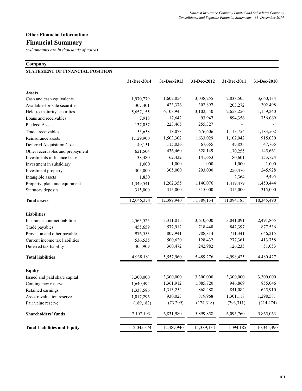# **Financial Summary**

*(All amounts are in thousands of naira)*

## **Company**

## **STATEMENT OF FINANCIAL POSITION**

|                                     | 31-Dec-2014 | 31-Dec-2013 | 31-Dec-2012 | 31-Dec-2011 | 31-Dec-2010 |
|-------------------------------------|-------------|-------------|-------------|-------------|-------------|
| <b>Assets</b>                       |             |             |             |             |             |
| Cash and cash equivalents           | 1,970,779   | 1,602,854   | 3,038,255   | 2,838,505   | 3,660,134   |
| Available-for-sale securities       | 307,401     | 423,376     | 302,897     | 203,272     | 302,498     |
| Held-to-maturity securities         | 5,657,155   | 6,103,945   | 3,102,540   | 2,653,256   | 1,159,240   |
| Loans and receivables               | 7,918       | 17,642      | 93,947      | 894,356     | 756,069     |
| Pledged Assets                      | 137,057     | 223,465     | 255,327     |             |             |
| Trade receivables                   | 53,658      | 18,073      | 676,606     | 1,113,754   | 1,183,502   |
| Reinsurance assets                  | 1,129,900   | 1,503,302   | 1,633,029   | 1,102,042   | 915,030     |
| Deferred Acquisition Cost           | 49,151      | 115,036     | 67,655      | 49,825      | 47,765      |
| Other receivables and prepayment    | 621,504     | 436,460     | 328,149     | 170,255     | 145,661     |
| Investments in finance lease        | 138,480     | 62,432      | 141,653     | 80,601      | 153,724     |
| Investment in subsidiary            | 1,000       | 1,000       | 1,000       | 1,000       | 1,000       |
| Investment property                 | 305,000     | 305,000     | 293,000     | 250,476     | 245,928     |
| Intangible assets                   | 1,830       |             |             | 2,364       | 9,495       |
| Property, plant and equipment       | 1,349,541   | 1,262,355   | 1,140,076   | 1,419,479   | 1,450,444   |
| Statutory deposits                  | 315,000     | 315,000     | 315,000     | 315,000     | 315,000     |
| <b>Total assets</b>                 | 12,045,374  | 12,389,940  | 11,389,134  | 11,094,185  | 10,345,490  |
| <b>Liabilities</b>                  |             |             |             |             |             |
| Insurance contract liabilities      | 2,563,525   | 3,311,015   | 3,610,600   | 3,041,091   | 2,491,865   |
| Trade payables                      | 455,659     | 577,912     | 718,448     | 842,397     | 877,536     |
| Provision and other payables        | 976,553     | 807,941     | 788,814     | 711,341     | 646,215     |
| Current income tax liabilities      | 536,535     | 500,620     | 128,432     | 277,361     | 413,758     |
| Deferred tax liability              | 405,909     | 360,472     | 242,982     | 126,235     | 51,053      |
| <b>Total liabilities</b>            | 4,938,181   | 5,557,960   | 5,489,276   | 4,998,425   | 4,480,427   |
| <b>Equity</b>                       |             |             |             |             |             |
| Issued and paid share capital       | 3,300,000   | 3,300,000   | 3,300,000   | 3,300,000   | 3,300,000   |
| Contingency reserve                 | 1,640,494   | 1,361,912   | 1,085,720   | 946,869     | 855,046     |
| Retained earnings                   | 1,338,586   | 1,313,254   | 868,488     | 841,084     | 625,910     |
| Asset revaluation reserve           | 1,017,296   | 930,023     | 819,968     | 1,301,118   | 1,298,581   |
| Fair value reserve                  | (189, 183)  | (73,209)    | (174,318)   | (293,311)   | (214, 474)  |
| <b>Shareholders' funds</b>          | 7,107,193   | 6,831,980   | 5,899,858   | 6,095,760   | 5,865,063   |
| <b>Total Liabilities and Equity</b> | 12,045,374  | 12,389,940  | 11,389,134  | 11,094,185  | 10,345,490  |